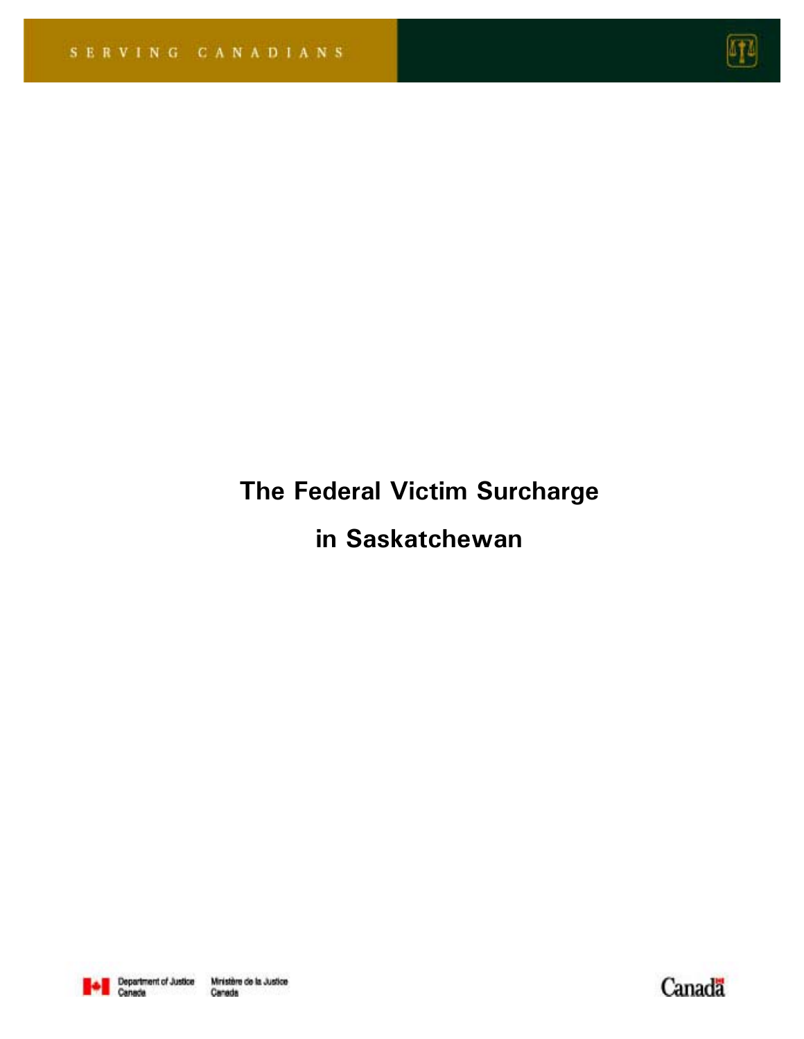

# **The Federal Victim Surcharge**

# **in Saskatchewan**



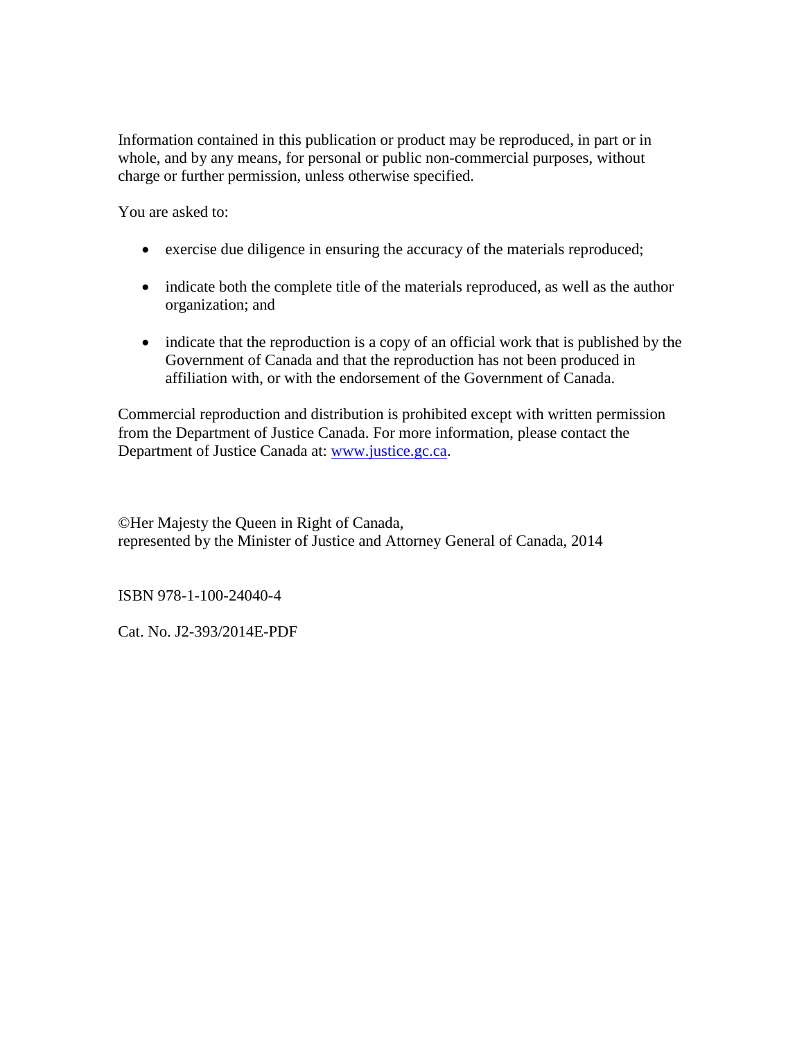Information contained in this publication or product may be reproduced, in part or in whole, and by any means, for personal or public non-commercial purposes, without charge or further permission, unless otherwise specified.

You are asked to:

- exercise due diligence in ensuring the accuracy of the materials reproduced;
- indicate both the complete title of the materials reproduced, as well as the author organization; and
- indicate that the reproduction is a copy of an official work that is published by the Government of Canada and that the reproduction has not been produced in affiliation with, or with the endorsement of the Government of Canada.

Commercial reproduction and distribution is prohibited except with written permission from the Department of Justice Canada. For more information, please contact the Department of Justice Canada at: [www.justice.gc.ca.](http://www.justice.gc.ca/)

©Her Majesty the Queen in Right of Canada, represented by the Minister of Justice and Attorney General of Canada, 2014

ISBN 978-1-100-24040-4

Cat. No. J2-393/2014E-PDF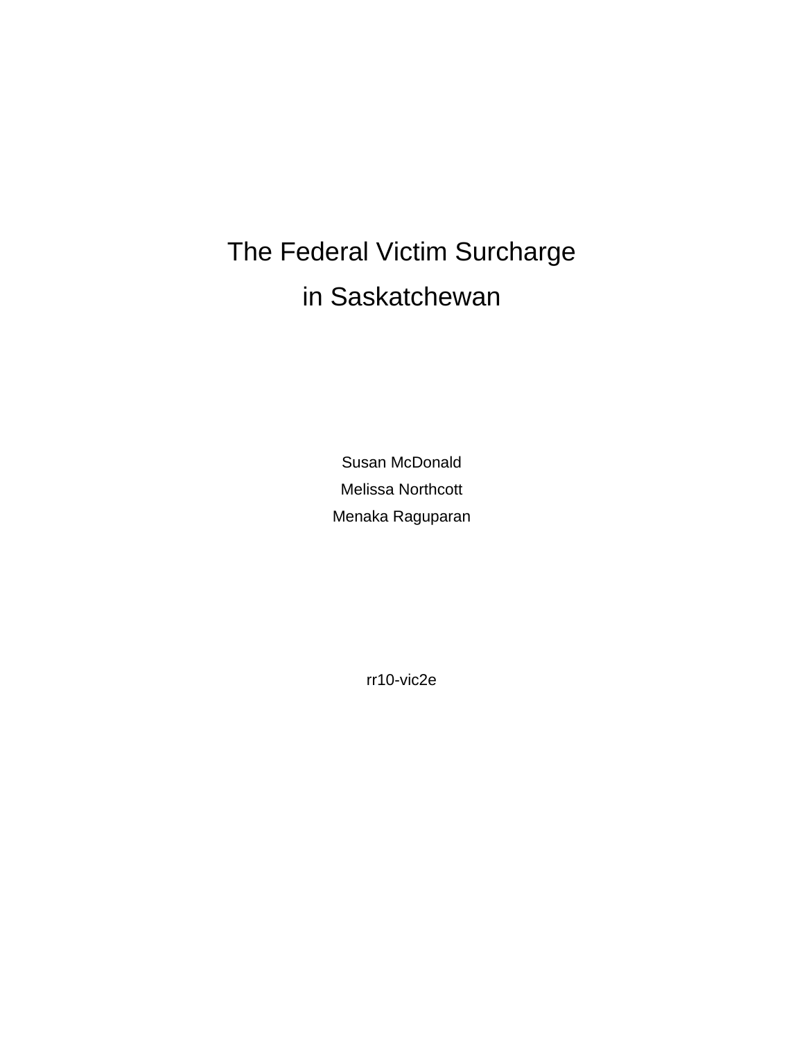# The Federal Victim Surcharge in Saskatchewan

Susan McDonald Melissa Northcott Menaka Raguparan

rr10-vic2e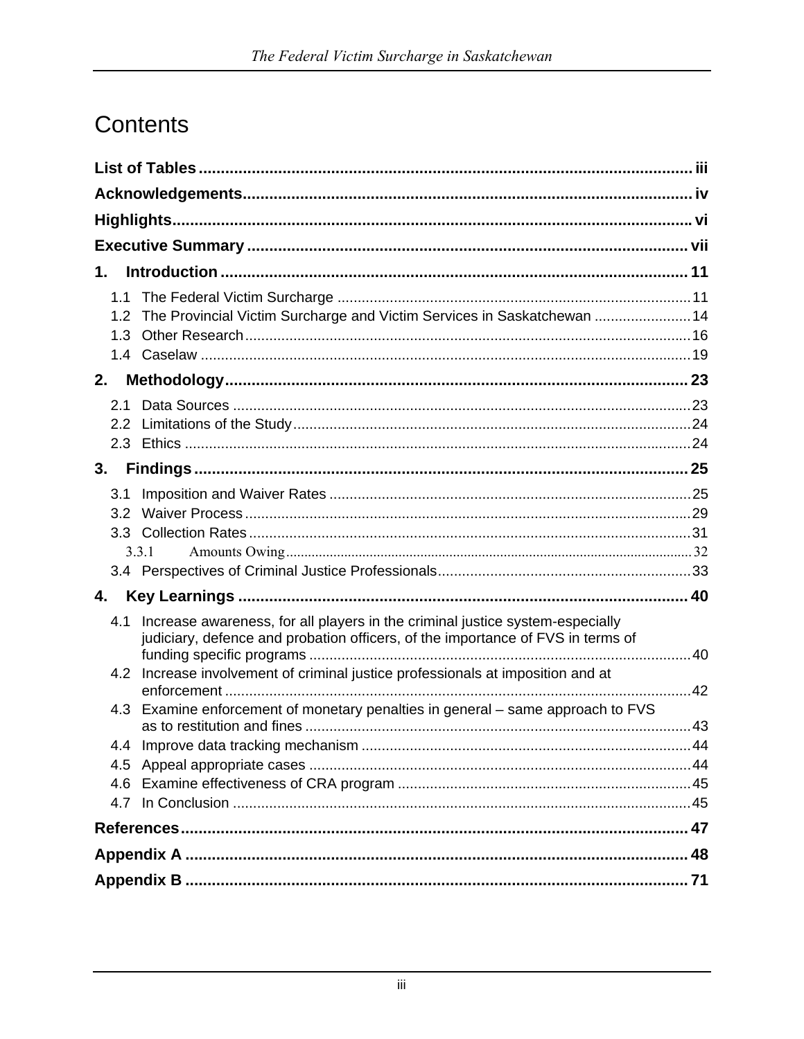# Contents

| 1.                                                                                                                                                                      |  |
|-------------------------------------------------------------------------------------------------------------------------------------------------------------------------|--|
|                                                                                                                                                                         |  |
| 1.1<br>The Provincial Victim Surcharge and Victim Services in Saskatchewan  14<br>1.2                                                                                   |  |
| 1.3                                                                                                                                                                     |  |
|                                                                                                                                                                         |  |
| 2.                                                                                                                                                                      |  |
| 2.1                                                                                                                                                                     |  |
| 2.2                                                                                                                                                                     |  |
|                                                                                                                                                                         |  |
| 3.                                                                                                                                                                      |  |
| 3.1                                                                                                                                                                     |  |
| 3.2                                                                                                                                                                     |  |
|                                                                                                                                                                         |  |
| 3.3.1                                                                                                                                                                   |  |
|                                                                                                                                                                         |  |
| 4.                                                                                                                                                                      |  |
| Increase awareness, for all players in the criminal justice system-especially<br>4.1<br>judiciary, defence and probation officers, of the importance of FVS in terms of |  |
| Increase involvement of criminal justice professionals at imposition and at<br>4.2                                                                                      |  |
|                                                                                                                                                                         |  |
| 4.3 Examine enforcement of monetary penalties in general – same approach to FVS                                                                                         |  |
|                                                                                                                                                                         |  |
| 4.5                                                                                                                                                                     |  |
| 4.6                                                                                                                                                                     |  |
|                                                                                                                                                                         |  |
|                                                                                                                                                                         |  |
|                                                                                                                                                                         |  |
|                                                                                                                                                                         |  |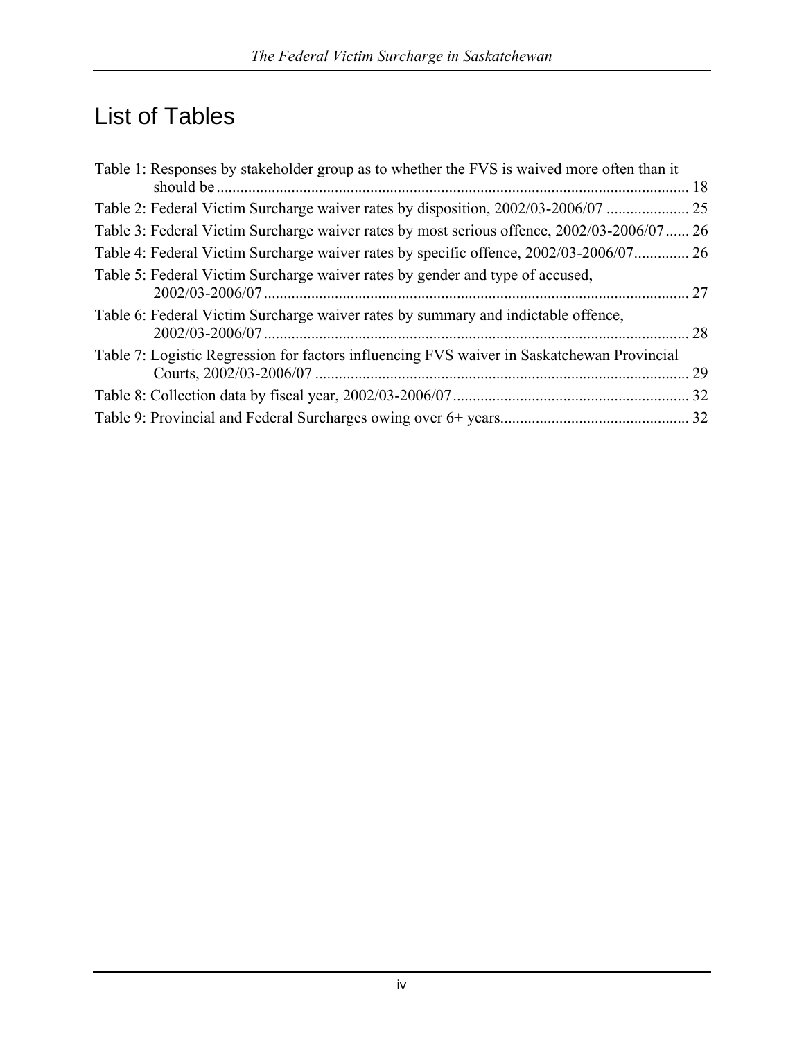# List of Tables

| Table 1: Responses by stakeholder group as to whether the FVS is waived more often than it | . 18 |
|--------------------------------------------------------------------------------------------|------|
|                                                                                            |      |
| Table 3: Federal Victim Surcharge waiver rates by most serious offence, 2002/03-2006/07 26 |      |
| Table 4: Federal Victim Surcharge waiver rates by specific offence, 2002/03-2006/07 26     |      |
| Table 5: Federal Victim Surcharge waiver rates by gender and type of accused,              |      |
| Table 6: Federal Victim Surcharge waiver rates by summary and indictable offence,          | 28   |
| Table 7: Logistic Regression for factors influencing FVS waiver in Saskatchewan Provincial | 29   |
|                                                                                            | 32   |
|                                                                                            |      |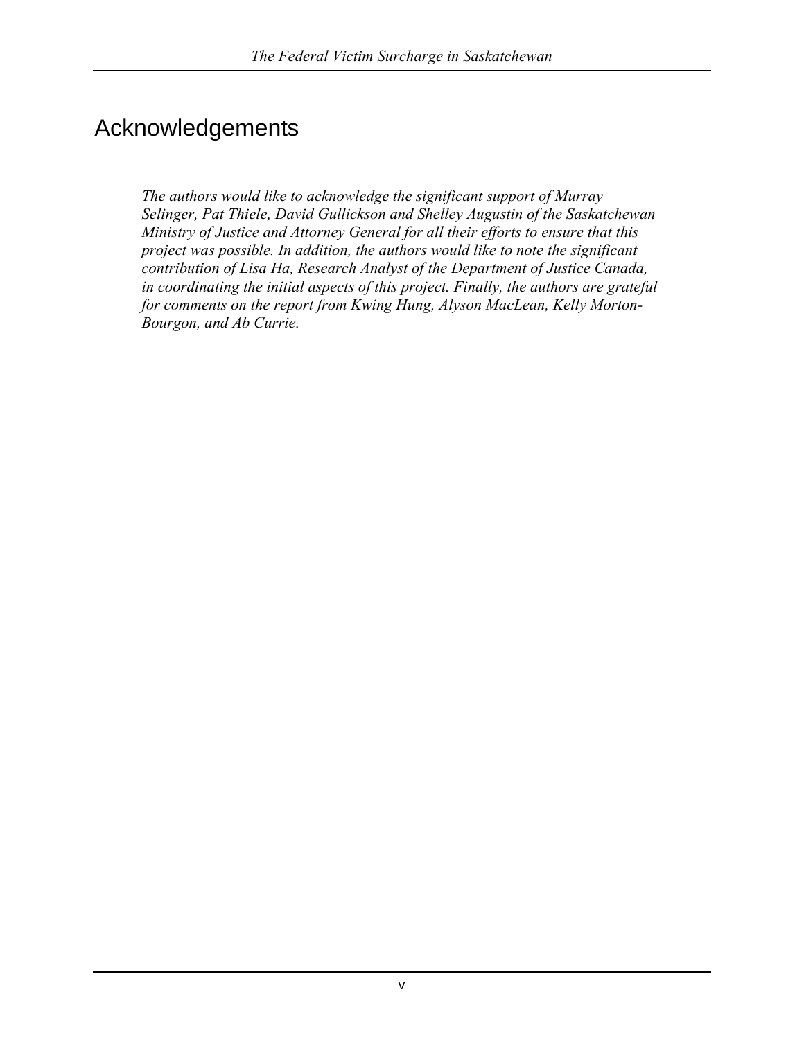# Acknowledgements

*The authors would like to acknowledge the significant support of Murray Selinger, Pat Thiele, David Gullickson and Shelley Augustin of the Saskatchewan Ministry of Justice and Attorney General for all their efforts to ensure that this project was possible. In addition, the authors would like to note the significant contribution of Lisa Ha, Research Analyst of the Department of Justice Canada, in coordinating the initial aspects of this project. Finally, the authors are grateful for comments on the report from Kwing Hung, Alyson MacLean, Kelly Morton-Bourgon, and Ab Currie.*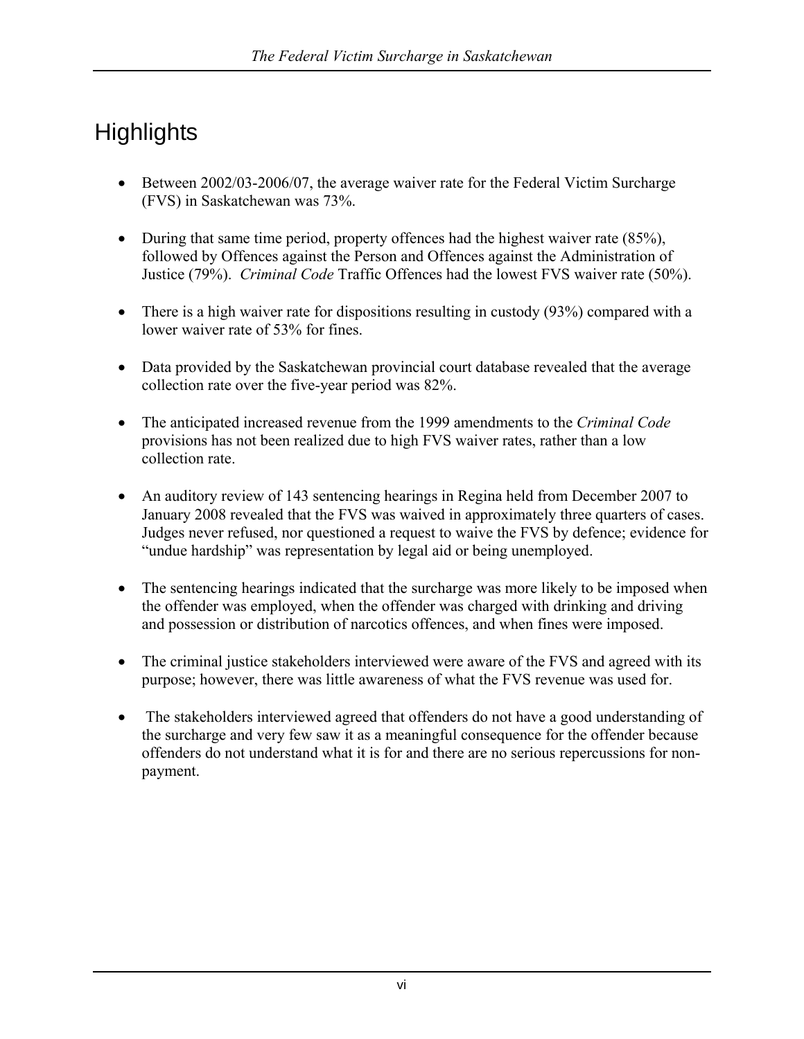# **Highlights**

- Between 2002/03-2006/07, the average waiver rate for the Federal Victim Surcharge (FVS) in Saskatchewan was 73%.
- During that same time period, property offences had the highest waiver rate (85%), followed by Offences against the Person and Offences against the Administration of Justice (79%). *Criminal Code* Traffic Offences had the lowest FVS waiver rate (50%).
- There is a high waiver rate for dispositions resulting in custody (93%) compared with a lower waiver rate of 53% for fines.
- Data provided by the Saskatchewan provincial court database revealed that the average collection rate over the five-year period was 82%.
- The anticipated increased revenue from the 1999 amendments to the *Criminal Code* provisions has not been realized due to high FVS waiver rates, rather than a low collection rate.
- An auditory review of 143 sentencing hearings in Regina held from December 2007 to January 2008 revealed that the FVS was waived in approximately three quarters of cases. Judges never refused, nor questioned a request to waive the FVS by defence; evidence for "undue hardship" was representation by legal aid or being unemployed.
- The sentencing hearings indicated that the surcharge was more likely to be imposed when the offender was employed, when the offender was charged with drinking and driving and possession or distribution of narcotics offences, and when fines were imposed.
- The criminal justice stakeholders interviewed were aware of the FVS and agreed with its purpose; however, there was little awareness of what the FVS revenue was used for.
- The stakeholders interviewed agreed that offenders do not have a good understanding of the surcharge and very few saw it as a meaningful consequence for the offender because offenders do not understand what it is for and there are no serious repercussions for nonpayment.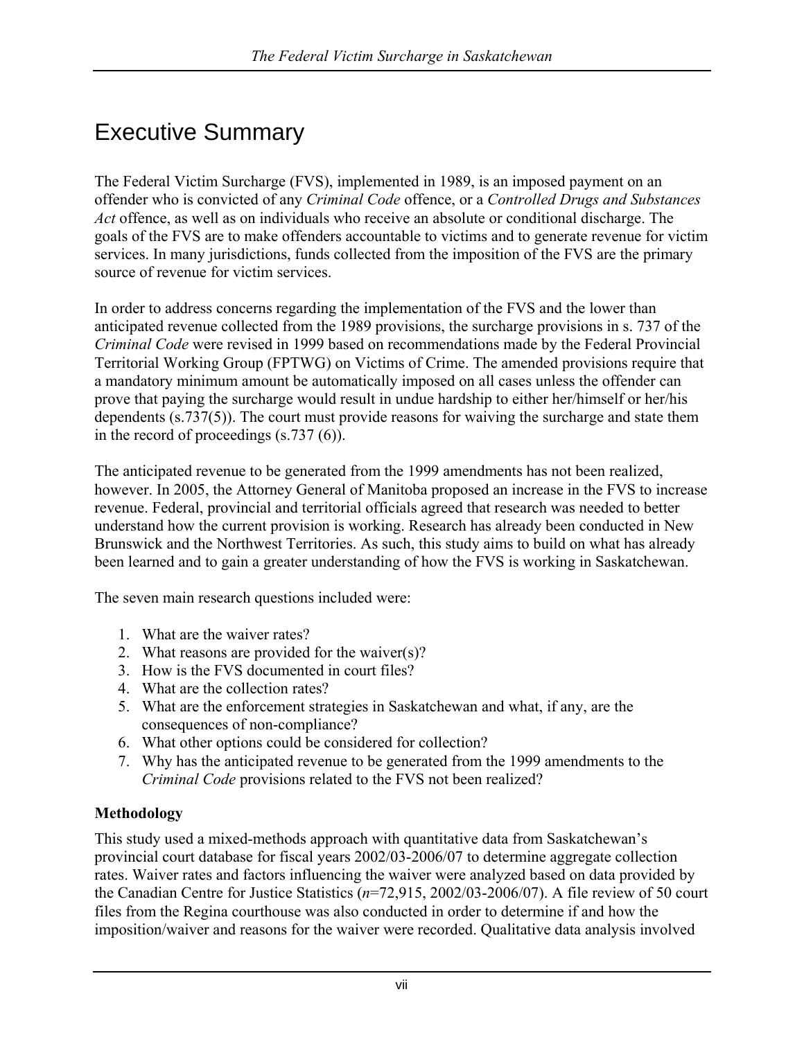# Executive Summary

The Federal Victim Surcharge (FVS), implemented in 1989, is an imposed payment on an offender who is convicted of any *Criminal Code* offence, or a *Controlled Drugs and Substances Act* offence, as well as on individuals who receive an absolute or conditional discharge. The goals of the FVS are to make offenders accountable to victims and to generate revenue for victim services. In many jurisdictions, funds collected from the imposition of the FVS are the primary source of revenue for victim services.

In order to address concerns regarding the implementation of the FVS and the lower than anticipated revenue collected from the 1989 provisions, the surcharge provisions in s. 737 of the *Criminal Code* were revised in 1999 based on recommendations made by the Federal Provincial Territorial Working Group (FPTWG) on Victims of Crime. The amended provisions require that a mandatory minimum amount be automatically imposed on all cases unless the offender can prove that paying the surcharge would result in undue hardship to either her/himself or her/his dependents (s.737(5)). The court must provide reasons for waiving the surcharge and state them in the record of proceedings (s.737 (6)).

The anticipated revenue to be generated from the 1999 amendments has not been realized, however. In 2005, the Attorney General of Manitoba proposed an increase in the FVS to increase revenue. Federal, provincial and territorial officials agreed that research was needed to better understand how the current provision is working. Research has already been conducted in New Brunswick and the Northwest Territories. As such, this study aims to build on what has already been learned and to gain a greater understanding of how the FVS is working in Saskatchewan.

The seven main research questions included were:

- 1. What are the waiver rates?
- 2. What reasons are provided for the waiver(s)?
- 3. How is the FVS documented in court files?
- 4. What are the collection rates?
- 5. What are the enforcement strategies in Saskatchewan and what, if any, are the consequences of non-compliance?
- 6. What other options could be considered for collection?
- 7. Why has the anticipated revenue to be generated from the 1999 amendments to the *Criminal Code* provisions related to the FVS not been realized?

### **Methodology**

This study used a mixed-methods approach with quantitative data from Saskatchewan's provincial court database for fiscal years 2002/03-2006/07 to determine aggregate collection rates. Waiver rates and factors influencing the waiver were analyzed based on data provided by the Canadian Centre for Justice Statistics (*n*=72,915, 2002/03-2006/07). A file review of 50 court files from the Regina courthouse was also conducted in order to determine if and how the imposition/waiver and reasons for the waiver were recorded. Qualitative data analysis involved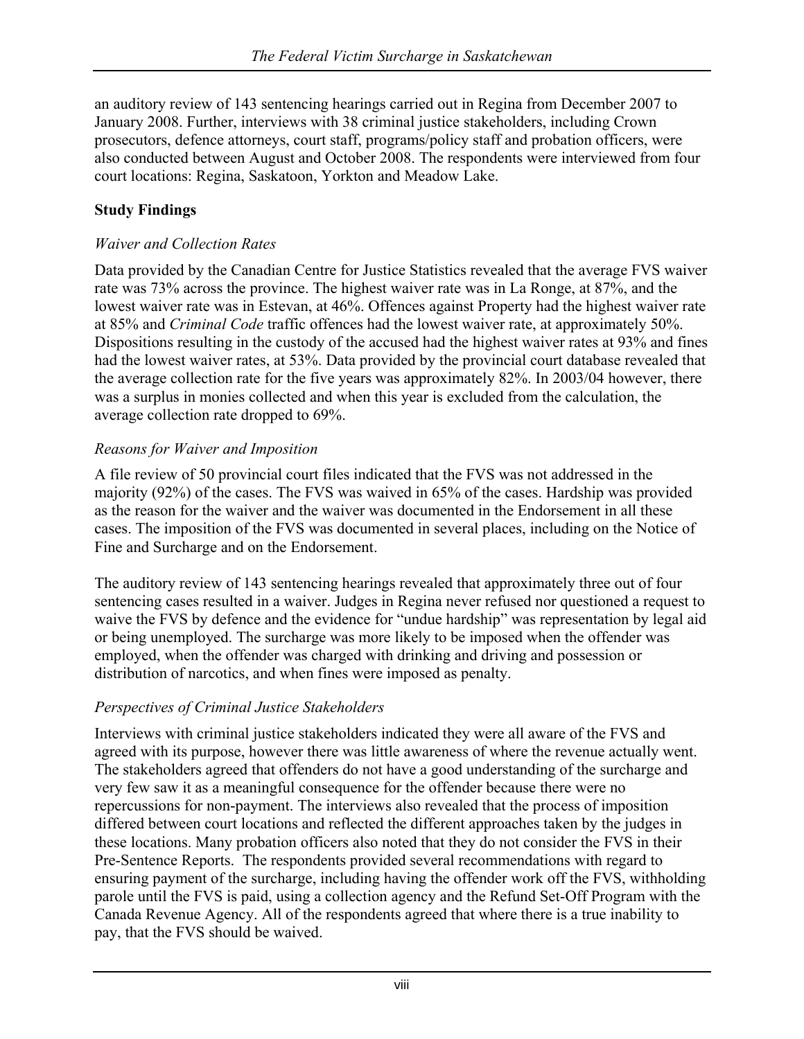an auditory review of 143 sentencing hearings carried out in Regina from December 2007 to January 2008. Further, interviews with 38 criminal justice stakeholders, including Crown prosecutors, defence attorneys, court staff, programs/policy staff and probation officers, were also conducted between August and October 2008. The respondents were interviewed from four court locations: Regina, Saskatoon, Yorkton and Meadow Lake.

### **Study Findings**

### *Waiver and Collection Rates*

Data provided by the Canadian Centre for Justice Statistics revealed that the average FVS waiver rate was 73% across the province. The highest waiver rate was in La Ronge, at 87%, and the lowest waiver rate was in Estevan, at 46%. Offences against Property had the highest waiver rate at 85% and *Criminal Code* traffic offences had the lowest waiver rate, at approximately 50%. Dispositions resulting in the custody of the accused had the highest waiver rates at 93% and fines had the lowest waiver rates, at 53%. Data provided by the provincial court database revealed that the average collection rate for the five years was approximately 82%. In 2003/04 however, there was a surplus in monies collected and when this year is excluded from the calculation, the average collection rate dropped to 69%.

### *Reasons for Waiver and Imposition*

A file review of 50 provincial court files indicated that the FVS was not addressed in the majority (92%) of the cases. The FVS was waived in 65% of the cases. Hardship was provided as the reason for the waiver and the waiver was documented in the Endorsement in all these cases. The imposition of the FVS was documented in several places, including on the Notice of Fine and Surcharge and on the Endorsement.

The auditory review of 143 sentencing hearings revealed that approximately three out of four sentencing cases resulted in a waiver. Judges in Regina never refused nor questioned a request to waive the FVS by defence and the evidence for "undue hardship" was representation by legal aid or being unemployed. The surcharge was more likely to be imposed when the offender was employed, when the offender was charged with drinking and driving and possession or distribution of narcotics, and when fines were imposed as penalty.

### *Perspectives of Criminal Justice Stakeholders*

Interviews with criminal justice stakeholders indicated they were all aware of the FVS and agreed with its purpose, however there was little awareness of where the revenue actually went. The stakeholders agreed that offenders do not have a good understanding of the surcharge and very few saw it as a meaningful consequence for the offender because there were no repercussions for non-payment. The interviews also revealed that the process of imposition differed between court locations and reflected the different approaches taken by the judges in these locations. Many probation officers also noted that they do not consider the FVS in their Pre-Sentence Reports. The respondents provided several recommendations with regard to ensuring payment of the surcharge, including having the offender work off the FVS, withholding parole until the FVS is paid, using a collection agency and the Refund Set-Off Program with the Canada Revenue Agency. All of the respondents agreed that where there is a true inability to pay, that the FVS should be waived.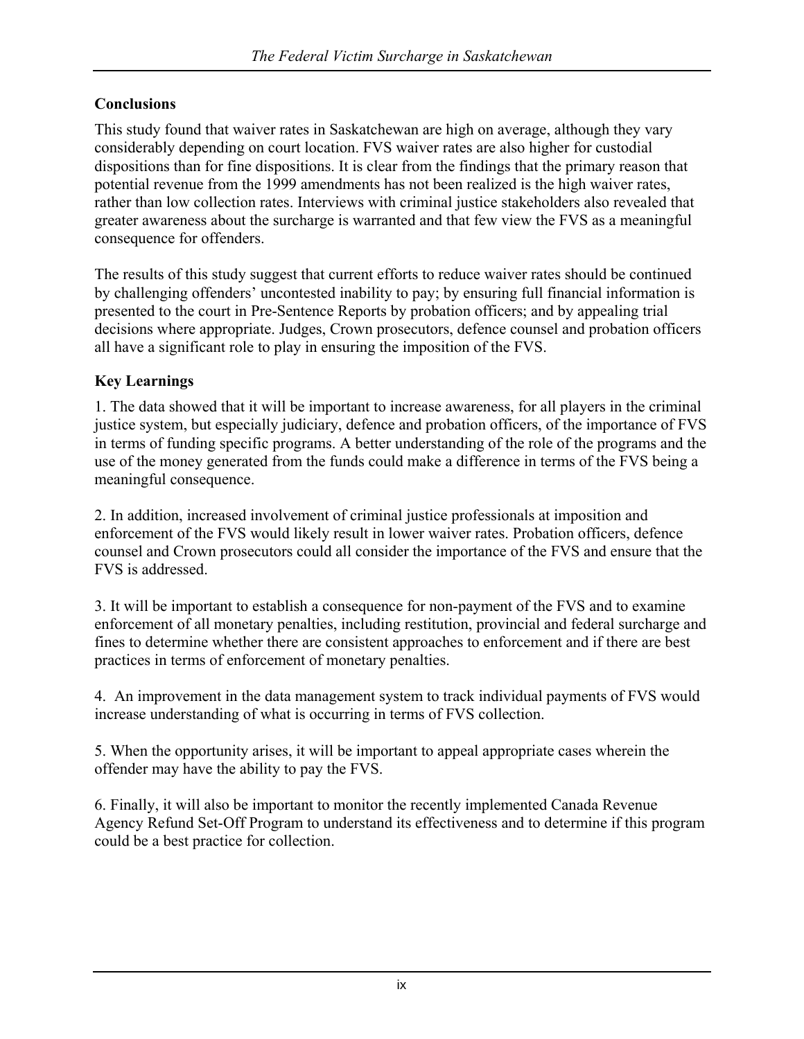### **Conclusions**

This study found that waiver rates in Saskatchewan are high on average, although they vary considerably depending on court location. FVS waiver rates are also higher for custodial dispositions than for fine dispositions. It is clear from the findings that the primary reason that potential revenue from the 1999 amendments has not been realized is the high waiver rates, rather than low collection rates. Interviews with criminal justice stakeholders also revealed that greater awareness about the surcharge is warranted and that few view the FVS as a meaningful consequence for offenders.

The results of this study suggest that current efforts to reduce waiver rates should be continued by challenging offenders' uncontested inability to pay; by ensuring full financial information is presented to the court in Pre-Sentence Reports by probation officers; and by appealing trial decisions where appropriate. Judges, Crown prosecutors, defence counsel and probation officers all have a significant role to play in ensuring the imposition of the FVS.

### **Key Learnings**

1. The data showed that it will be important to increase awareness, for all players in the criminal justice system, but especially judiciary, defence and probation officers, of the importance of FVS in terms of funding specific programs. A better understanding of the role of the programs and the use of the money generated from the funds could make a difference in terms of the FVS being a meaningful consequence.

2. In addition, increased involvement of criminal justice professionals at imposition and enforcement of the FVS would likely result in lower waiver rates. Probation officers, defence counsel and Crown prosecutors could all consider the importance of the FVS and ensure that the FVS is addressed.

3. It will be important to establish a consequence for non-payment of the FVS and to examine enforcement of all monetary penalties, including restitution, provincial and federal surcharge and fines to determine whether there are consistent approaches to enforcement and if there are best practices in terms of enforcement of monetary penalties.

4. An improvement in the data management system to track individual payments of FVS would increase understanding of what is occurring in terms of FVS collection.

5. When the opportunity arises, it will be important to appeal appropriate cases wherein the offender may have the ability to pay the FVS.

6. Finally, it will also be important to monitor the recently implemented Canada Revenue Agency Refund Set-Off Program to understand its effectiveness and to determine if this program could be a best practice for collection.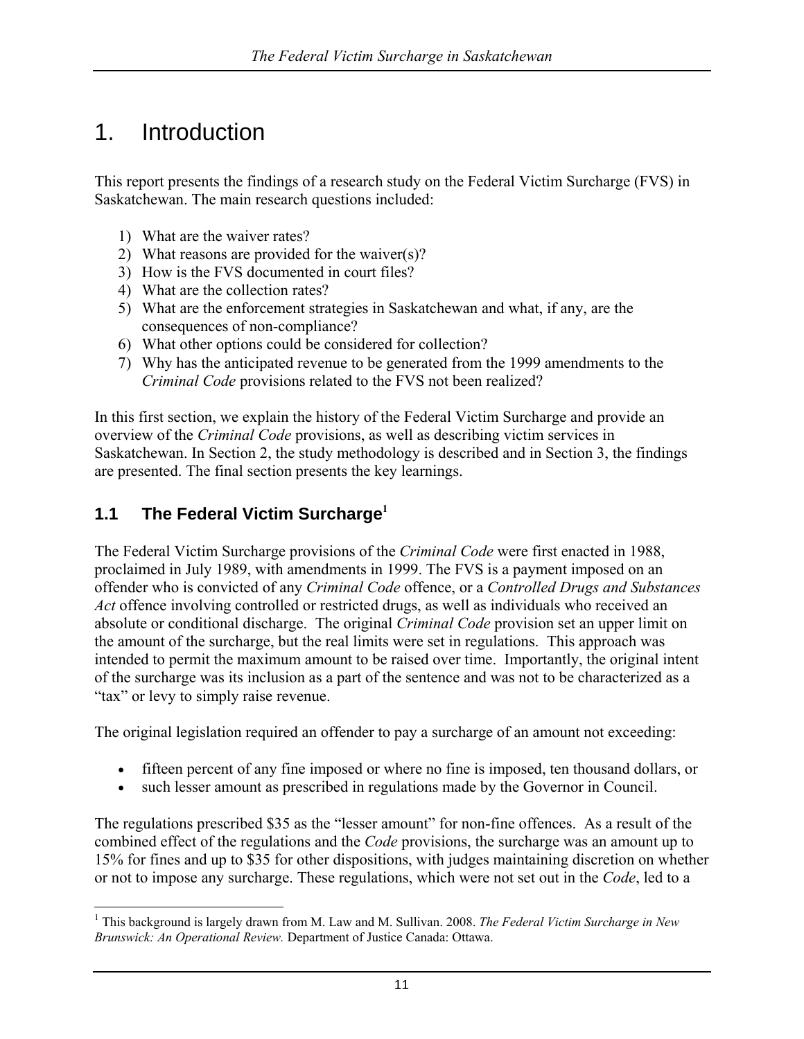# 1. Introduction

This report presents the findings of a research study on the Federal Victim Surcharge (FVS) in Saskatchewan. The main research questions included:

- 1) What are the waiver rates?
- 2) What reasons are provided for the waiver(s)?
- 3) How is the FVS documented in court files?
- 4) What are the collection rates?
- 5) What are the enforcement strategies in Saskatchewan and what, if any, are the consequences of non-compliance?
- 6) What other options could be considered for collection?
- 7) Why has the anticipated revenue to be generated from the 1999 amendments to the *Criminal Code* provisions related to the FVS not been realized?

In this first section, we explain the history of the Federal Victim Surcharge and provide an overview of the *Criminal Code* provisions, as well as describing victim services in Saskatchewan. In Section 2, the study methodology is described and in Section 3, the findings are presented. The final section presents the key learnings.

# **1.1 The Federal Victim Surcharge<sup>1</sup>**

The Federal Victim Surcharge provisions of the *Criminal Code* were first enacted in 1988, proclaimed in July 1989, with amendments in 1999. The FVS is a payment imposed on an offender who is convicted of any *Criminal Code* offence, or a *Controlled Drugs and Substances Act* offence involving controlled or restricted drugs, as well as individuals who received an absolute or conditional discharge. The original *Criminal Code* provision set an upper limit on the amount of the surcharge, but the real limits were set in regulations. This approach was intended to permit the maximum amount to be raised over time. Importantly, the original intent of the surcharge was its inclusion as a part of the sentence and was not to be characterized as a "tax" or levy to simply raise revenue.

The original legislation required an offender to pay a surcharge of an amount not exceeding:

- fifteen percent of any fine imposed or where no fine is imposed, ten thousand dollars, or
- such lesser amount as prescribed in regulations made by the Governor in Council.

The regulations prescribed \$35 as the "lesser amount" for non-fine offences. As a result of the combined effect of the regulations and the *Code* provisions, the surcharge was an amount up to 15% for fines and up to \$35 for other dispositions, with judges maintaining discretion on whether or not to impose any surcharge. These regulations, which were not set out in the *Code*, led to a

 $\overline{a}$ <sup>1</sup> This background is largely drawn from M. Law and M. Sullivan. 2008. *The Federal Victim Surcharge in New Brunswick: An Operational Review.* Department of Justice Canada: Ottawa.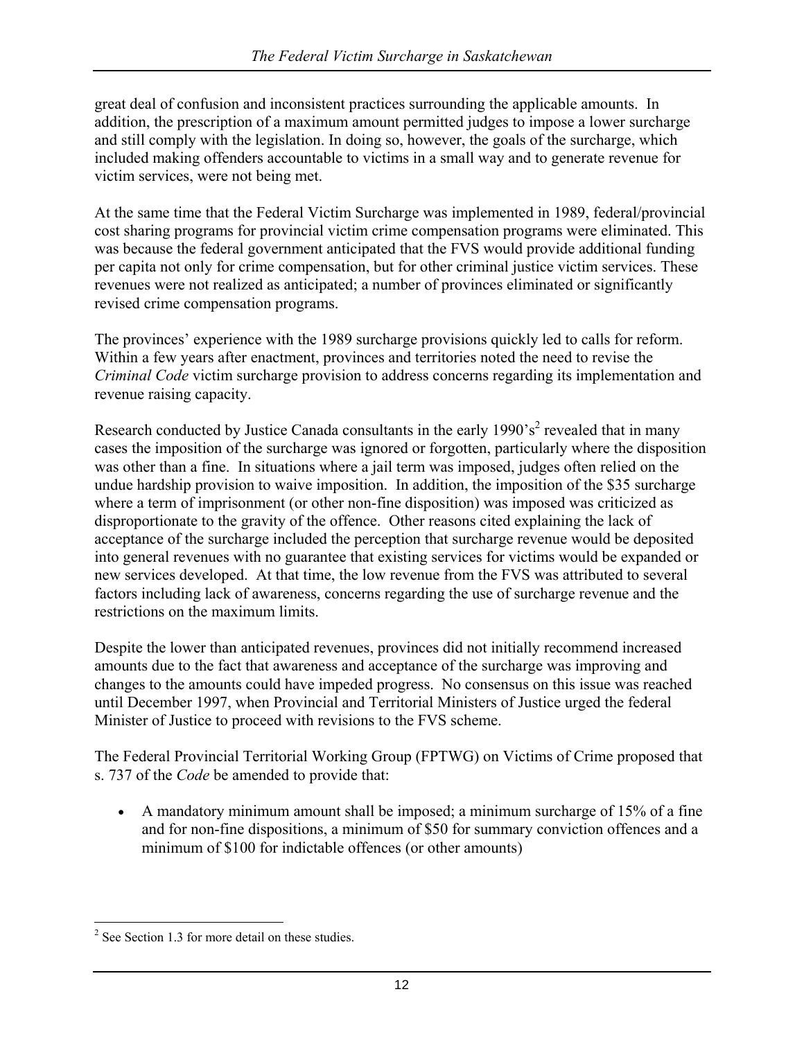great deal of confusion and inconsistent practices surrounding the applicable amounts. In addition, the prescription of a maximum amount permitted judges to impose a lower surcharge and still comply with the legislation. In doing so, however, the goals of the surcharge, which included making offenders accountable to victims in a small way and to generate revenue for victim services, were not being met.

At the same time that the Federal Victim Surcharge was implemented in 1989, federal/provincial cost sharing programs for provincial victim crime compensation programs were eliminated. This was because the federal government anticipated that the FVS would provide additional funding per capita not only for crime compensation, but for other criminal justice victim services. These revenues were not realized as anticipated; a number of provinces eliminated or significantly revised crime compensation programs.

The provinces' experience with the 1989 surcharge provisions quickly led to calls for reform. Within a few years after enactment, provinces and territories noted the need to revise the *Criminal Code* victim surcharge provision to address concerns regarding its implementation and revenue raising capacity.

Research conducted by Justice Canada consultants in the early  $1990$ 's<sup>2</sup> revealed that in many cases the imposition of the surcharge was ignored or forgotten, particularly where the disposition was other than a fine. In situations where a jail term was imposed, judges often relied on the undue hardship provision to waive imposition. In addition, the imposition of the \$35 surcharge where a term of imprisonment (or other non-fine disposition) was imposed was criticized as disproportionate to the gravity of the offence. Other reasons cited explaining the lack of acceptance of the surcharge included the perception that surcharge revenue would be deposited into general revenues with no guarantee that existing services for victims would be expanded or new services developed. At that time, the low revenue from the FVS was attributed to several factors including lack of awareness, concerns regarding the use of surcharge revenue and the restrictions on the maximum limits.

Despite the lower than anticipated revenues, provinces did not initially recommend increased amounts due to the fact that awareness and acceptance of the surcharge was improving and changes to the amounts could have impeded progress. No consensus on this issue was reached until December 1997, when Provincial and Territorial Ministers of Justice urged the federal Minister of Justice to proceed with revisions to the FVS scheme.

The Federal Provincial Territorial Working Group (FPTWG) on Victims of Crime proposed that s. 737 of the *Code* be amended to provide that:

• A mandatory minimum amount shall be imposed; a minimum surcharge of 15% of a fine and for non-fine dispositions, a minimum of \$50 for summary conviction offences and a minimum of \$100 for indictable offences (or other amounts)

<sup>&</sup>lt;sup>2</sup> See Section 1.3 for more detail on these studies.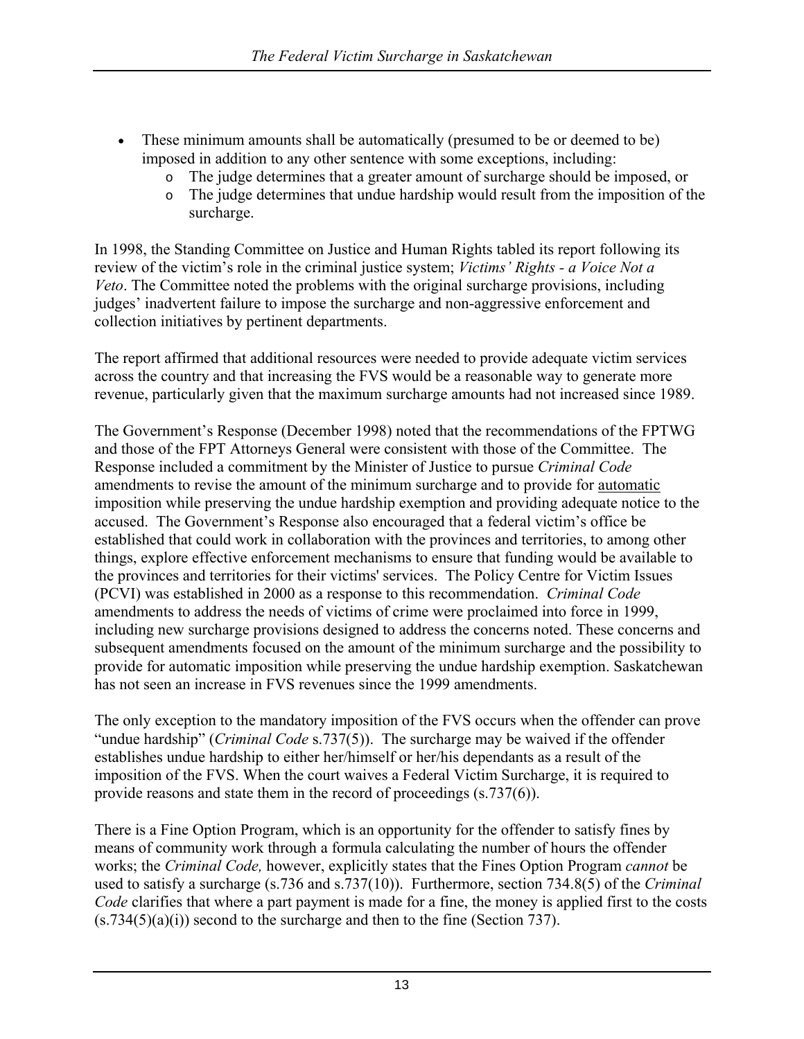- These minimum amounts shall be automatically (presumed to be or deemed to be) imposed in addition to any other sentence with some exceptions, including:
	- o The judge determines that a greater amount of surcharge should be imposed, or
	- o The judge determines that undue hardship would result from the imposition of the surcharge.

In 1998, the Standing Committee on Justice and Human Rights tabled its report following its review of the victim's role in the criminal justice system; *Victims' Rights - a Voice Not a Veto*. The Committee noted the problems with the original surcharge provisions, including judges' inadvertent failure to impose the surcharge and non-aggressive enforcement and collection initiatives by pertinent departments.

The report affirmed that additional resources were needed to provide adequate victim services across the country and that increasing the FVS would be a reasonable way to generate more revenue, particularly given that the maximum surcharge amounts had not increased since 1989.

The Government's Response (December 1998) noted that the recommendations of the FPTWG and those of the FPT Attorneys General were consistent with those of the Committee. The Response included a commitment by the Minister of Justice to pursue *Criminal Code* amendments to revise the amount of the minimum surcharge and to provide for automatic imposition while preserving the undue hardship exemption and providing adequate notice to the accused. The Government's Response also encouraged that a federal victim's office be established that could work in collaboration with the provinces and territories, to among other things, explore effective enforcement mechanisms to ensure that funding would be available to the provinces and territories for their victims' services. The Policy Centre for Victim Issues (PCVI) was established in 2000 as a response to this recommendation. *Criminal Code* amendments to address the needs of victims of crime were proclaimed into force in 1999, including new surcharge provisions designed to address the concerns noted. These concerns and subsequent amendments focused on the amount of the minimum surcharge and the possibility to provide for automatic imposition while preserving the undue hardship exemption. Saskatchewan has not seen an increase in FVS revenues since the 1999 amendments.

The only exception to the mandatory imposition of the FVS occurs when the offender can prove "undue hardship" (*Criminal Code* s.737(5)). The surcharge may be waived if the offender establishes undue hardship to either her/himself or her/his dependants as a result of the imposition of the FVS. When the court waives a Federal Victim Surcharge, it is required to provide reasons and state them in the record of proceedings (s.737(6)).

There is a Fine Option Program, which is an opportunity for the offender to satisfy fines by means of community work through a formula calculating the number of hours the offender works; the *Criminal Code,* however, explicitly states that the Fines Option Program *cannot* be used to satisfy a surcharge (s.736 and s.737(10)). Furthermore, section 734.8(5) of the *Criminal Code* clarifies that where a part payment is made for a fine, the money is applied first to the costs  $(s.734(5)(a)(i))$  second to the surcharge and then to the fine (Section 737).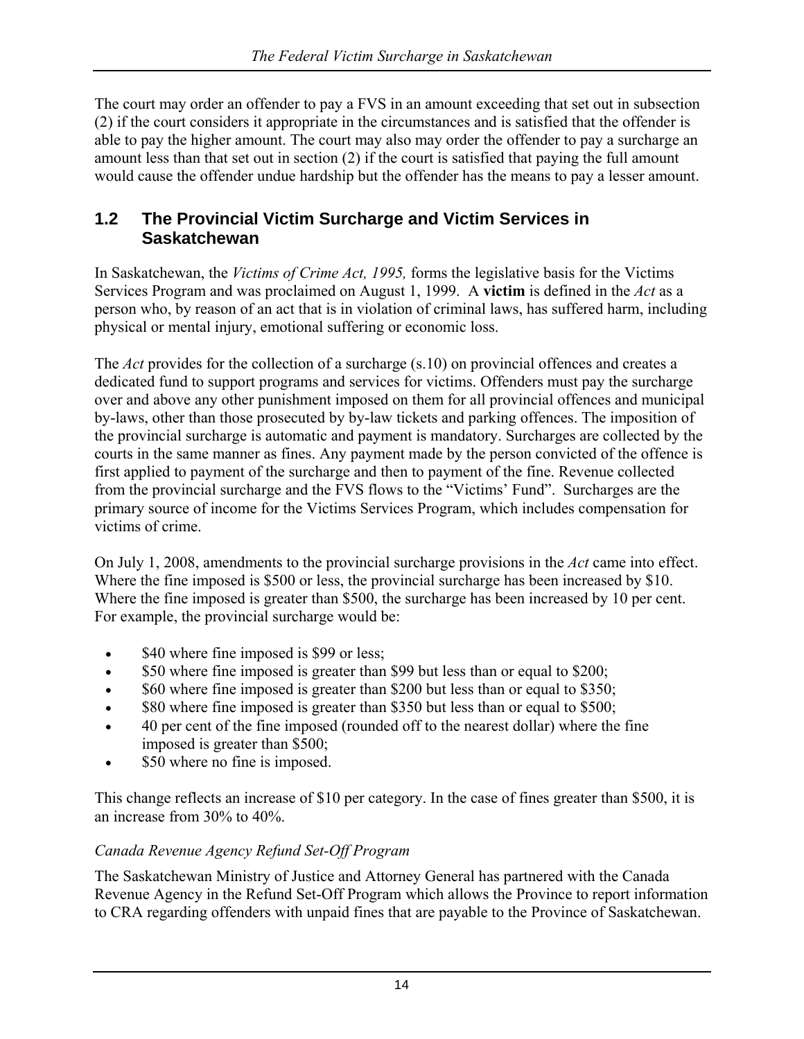The court may order an offender to pay a FVS in an amount exceeding that set out in subsection (2) if the court considers it appropriate in the circumstances and is satisfied that the offender is able to pay the higher amount. The court may also may order the offender to pay a surcharge an amount less than that set out in section (2) if the court is satisfied that paying the full amount would cause the offender undue hardship but the offender has the means to pay a lesser amount.

### **1.2 The Provincial Victim Surcharge and Victim Services in Saskatchewan**

In Saskatchewan, the *Victims of Crime Act, 1995,* forms the legislative basis for the Victims Services Program and was proclaimed on August 1, 1999. A **victim** is defined in the *Act* as a person who, by reason of an act that is in violation of criminal laws, has suffered harm, including physical or mental injury, emotional suffering or economic loss.

The *Act* provides for the collection of a surcharge (s.10) on provincial offences and creates a dedicated fund to support programs and services for victims. Offenders must pay the surcharge over and above any other punishment imposed on them for all provincial offences and municipal by-laws, other than those prosecuted by by-law tickets and parking offences. The imposition of the provincial surcharge is automatic and payment is mandatory. Surcharges are collected by the courts in the same manner as fines. Any payment made by the person convicted of the offence is first applied to payment of the surcharge and then to payment of the fine. Revenue collected from the provincial surcharge and the FVS flows to the "Victims' Fund". Surcharges are the primary source of income for the Victims Services Program, which includes compensation for victims of crime.

On July 1, 2008, amendments to the provincial surcharge provisions in the *Act* came into effect. Where the fine imposed is \$500 or less, the provincial surcharge has been increased by \$10. Where the fine imposed is greater than \$500, the surcharge has been increased by 10 per cent. For example, the provincial surcharge would be:

- \$40 where fine imposed is \$99 or less;
- \$50 where fine imposed is greater than \$99 but less than or equal to \$200;
- \$60 where fine imposed is greater than \$200 but less than or equal to \$350;
- \$80 where fine imposed is greater than \$350 but less than or equal to \$500;
- 40 per cent of the fine imposed (rounded off to the nearest dollar) where the fine imposed is greater than \$500;
- \$50 where no fine is imposed.

This change reflects an increase of \$10 per category. In the case of fines greater than \$500, it is an increase from 30% to 40%.

### *Canada Revenue Agency Refund Set-Off Program*

The Saskatchewan Ministry of Justice and Attorney General has partnered with the Canada Revenue Agency in the Refund Set-Off Program which allows the Province to report information to CRA regarding offenders with unpaid fines that are payable to the Province of Saskatchewan.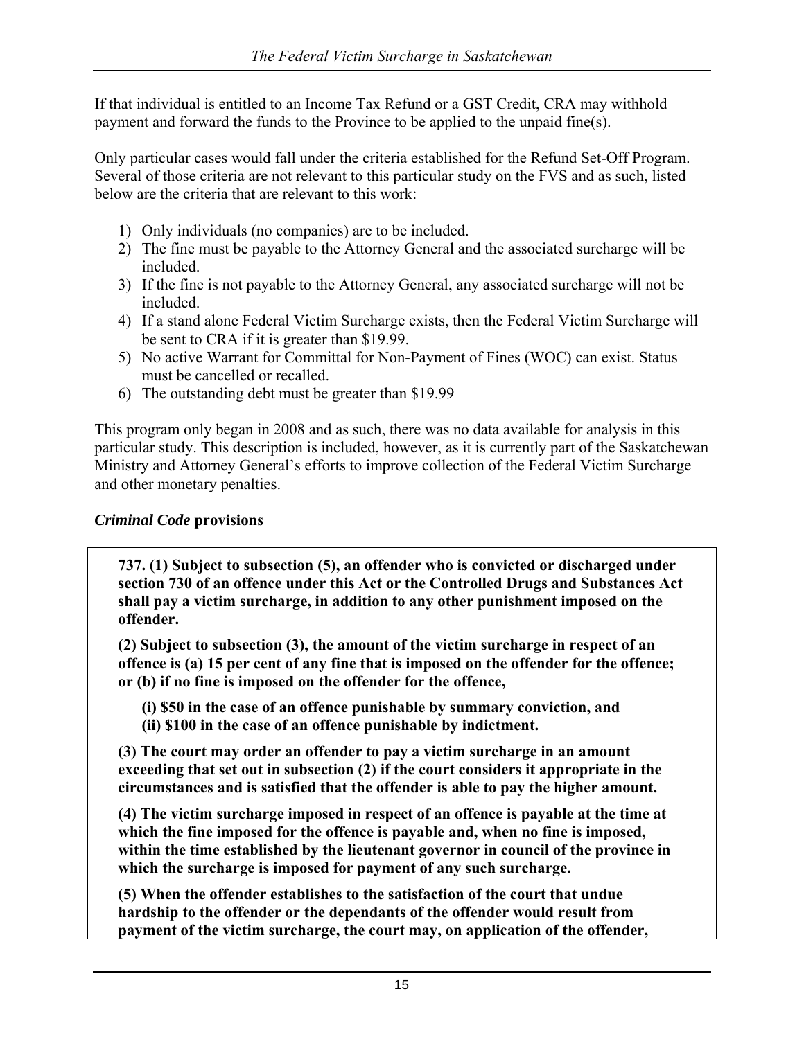If that individual is entitled to an Income Tax Refund or a GST Credit, CRA may withhold payment and forward the funds to the Province to be applied to the unpaid fine(s).

Only particular cases would fall under the criteria established for the Refund Set-Off Program. Several of those criteria are not relevant to this particular study on the FVS and as such, listed below are the criteria that are relevant to this work:

- 1) Only individuals (no companies) are to be included.
- 2) The fine must be payable to the Attorney General and the associated surcharge will be included.
- 3) If the fine is not payable to the Attorney General, any associated surcharge will not be included.
- 4) If a stand alone Federal Victim Surcharge exists, then the Federal Victim Surcharge will be sent to CRA if it is greater than \$19.99.
- 5) No active Warrant for Committal for Non-Payment of Fines (WOC) can exist. Status must be cancelled or recalled.
- 6) The outstanding debt must be greater than \$19.99

This program only began in 2008 and as such, there was no data available for analysis in this particular study. This description is included, however, as it is currently part of the Saskatchewan Ministry and Attorney General's efforts to improve collection of the Federal Victim Surcharge and other monetary penalties.

### *Criminal Code* **provisions**

**737. (1) Subject to subsection (5), an offender who is convicted or discharged under section 730 of an offence under this Act or the Controlled Drugs and Substances Act shall pay a victim surcharge, in addition to any other punishment imposed on the offender.** 

**(2) Subject to subsection (3), the amount of the victim surcharge in respect of an offence is (a) 15 per cent of any fine that is imposed on the offender for the offence; or (b) if no fine is imposed on the offender for the offence,** 

**(i) \$50 in the case of an offence punishable by summary conviction, and (ii) \$100 in the case of an offence punishable by indictment.** 

**(3) The court may order an offender to pay a victim surcharge in an amount exceeding that set out in subsection (2) if the court considers it appropriate in the circumstances and is satisfied that the offender is able to pay the higher amount.** 

**(4) The victim surcharge imposed in respect of an offence is payable at the time at which the fine imposed for the offence is payable and, when no fine is imposed, within the time established by the lieutenant governor in council of the province in which the surcharge is imposed for payment of any such surcharge.** 

**(5) When the offender establishes to the satisfaction of the court that undue hardship to the offender or the dependants of the offender would result from payment of the victim surcharge, the court may, on application of the offender,**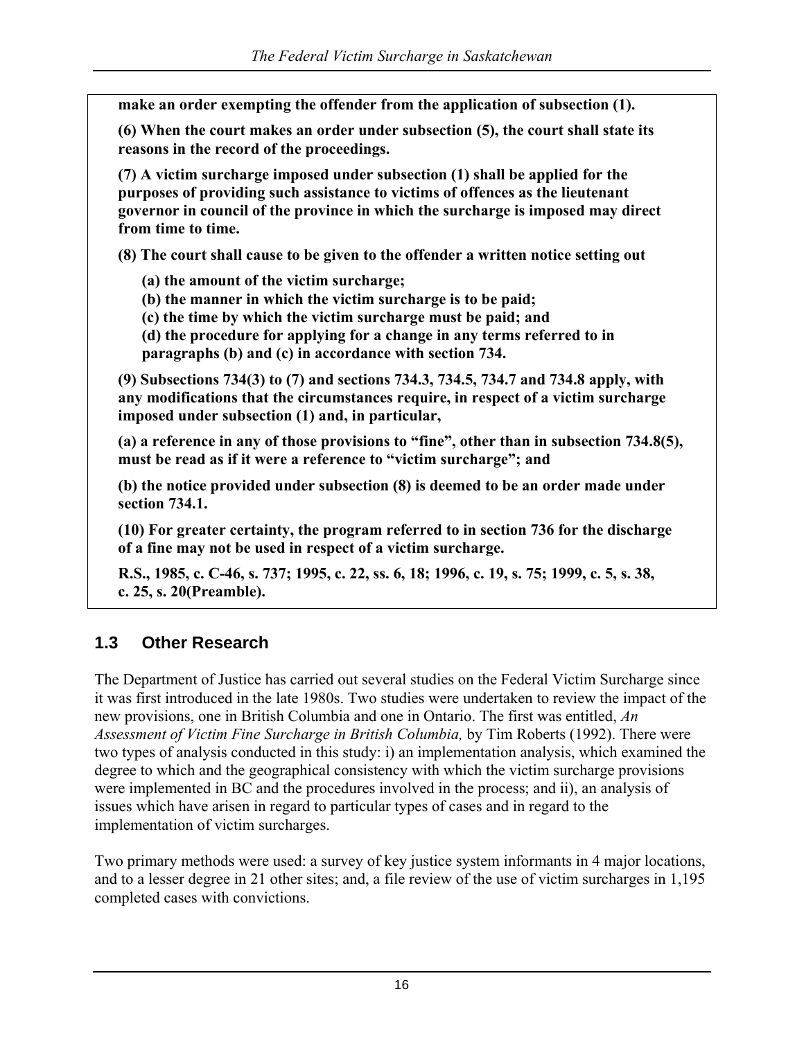**make an order exempting the offender from the application of subsection (1).** 

**(6) When the court makes an order under subsection (5), the court shall state its reasons in the record of the proceedings.** 

**(7) A victim surcharge imposed under subsection (1) shall be applied for the purposes of providing such assistance to victims of offences as the lieutenant governor in council of the province in which the surcharge is imposed may direct from time to time.** 

**(8) The court shall cause to be given to the offender a written notice setting out** 

**(a) the amount of the victim surcharge;** 

**(b) the manner in which the victim surcharge is to be paid;** 

**(c) the time by which the victim surcharge must be paid; and** 

**(d) the procedure for applying for a change in any terms referred to in paragraphs (b) and (c) in accordance with section 734.** 

**(9) Subsections 734(3) to (7) and sections 734.3, 734.5, 734.7 and 734.8 apply, with any modifications that the circumstances require, in respect of a victim surcharge imposed under subsection (1) and, in particular,** 

**(a) a reference in any of those provisions to "fine", other than in subsection 734.8(5), must be read as if it were a reference to "victim surcharge"; and** 

**(b) the notice provided under subsection (8) is deemed to be an order made under section 734.1.** 

**(10) For greater certainty, the program referred to in section 736 for the discharge of a fine may not be used in respect of a victim surcharge.** 

**R.S., 1985, c. C-46, s. 737; 1995, c. 22, ss. 6, 18; 1996, c. 19, s. 75; 1999, c. 5, s. 38, c. 25, s. 20(Preamble).** 

# **1.3 Other Research**

The Department of Justice has carried out several studies on the Federal Victim Surcharge since it was first introduced in the late 1980s. Two studies were undertaken to review the impact of the new provisions, one in British Columbia and one in Ontario. The first was entitled, *An Assessment of Victim Fine Surcharge in British Columbia,* by Tim Roberts (1992). There were two types of analysis conducted in this study: i) an implementation analysis, which examined the degree to which and the geographical consistency with which the victim surcharge provisions were implemented in BC and the procedures involved in the process; and ii), an analysis of issues which have arisen in regard to particular types of cases and in regard to the implementation of victim surcharges.

Two primary methods were used: a survey of key justice system informants in 4 major locations, and to a lesser degree in 21 other sites; and, a file review of the use of victim surcharges in 1,195 completed cases with convictions.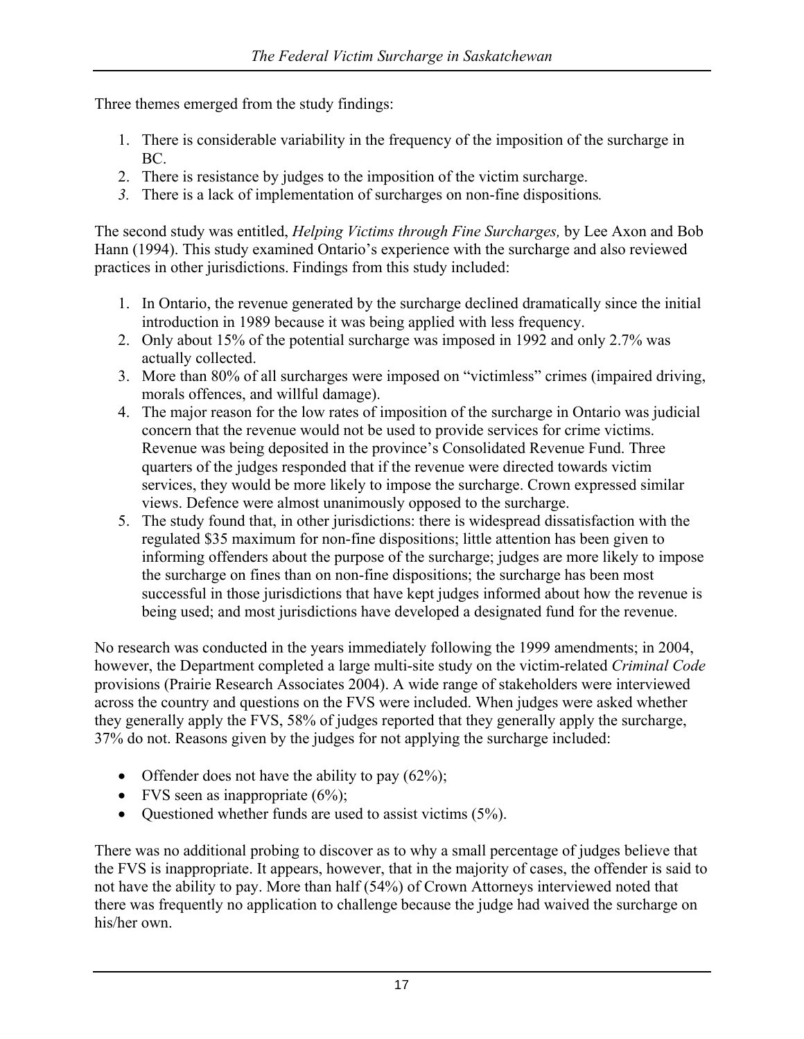Three themes emerged from the study findings:

- 1. There is considerable variability in the frequency of the imposition of the surcharge in BC.
- 2. There is resistance by judges to the imposition of the victim surcharge.
- *3.* There is a lack of implementation of surcharges on non-fine dispositions*.*

The second study was entitled, *Helping Victims through Fine Surcharges,* by Lee Axon and Bob Hann (1994). This study examined Ontario's experience with the surcharge and also reviewed practices in other jurisdictions. Findings from this study included:

- 1. In Ontario, the revenue generated by the surcharge declined dramatically since the initial introduction in 1989 because it was being applied with less frequency.
- 2. Only about 15% of the potential surcharge was imposed in 1992 and only 2.7% was actually collected.
- 3. More than 80% of all surcharges were imposed on "victimless" crimes (impaired driving, morals offences, and willful damage).
- 4. The major reason for the low rates of imposition of the surcharge in Ontario was judicial concern that the revenue would not be used to provide services for crime victims. Revenue was being deposited in the province's Consolidated Revenue Fund. Three quarters of the judges responded that if the revenue were directed towards victim services, they would be more likely to impose the surcharge. Crown expressed similar views. Defence were almost unanimously opposed to the surcharge.
- 5. The study found that, in other jurisdictions: there is widespread dissatisfaction with the regulated \$35 maximum for non-fine dispositions; little attention has been given to informing offenders about the purpose of the surcharge; judges are more likely to impose the surcharge on fines than on non-fine dispositions; the surcharge has been most successful in those jurisdictions that have kept judges informed about how the revenue is being used; and most jurisdictions have developed a designated fund for the revenue.

No research was conducted in the years immediately following the 1999 amendments; in 2004, however, the Department completed a large multi-site study on the victim-related *Criminal Code* provisions (Prairie Research Associates 2004). A wide range of stakeholders were interviewed across the country and questions on the FVS were included. When judges were asked whether they generally apply the FVS, 58% of judges reported that they generally apply the surcharge, 37% do not. Reasons given by the judges for not applying the surcharge included:

- Offender does not have the ability to pay  $(62\%)$ ;
- FVS seen as inappropriate  $(6\%)$ ;
- Questioned whether funds are used to assist victims (5%).

There was no additional probing to discover as to why a small percentage of judges believe that the FVS is inappropriate. It appears, however, that in the majority of cases, the offender is said to not have the ability to pay. More than half (54%) of Crown Attorneys interviewed noted that there was frequently no application to challenge because the judge had waived the surcharge on his/her own.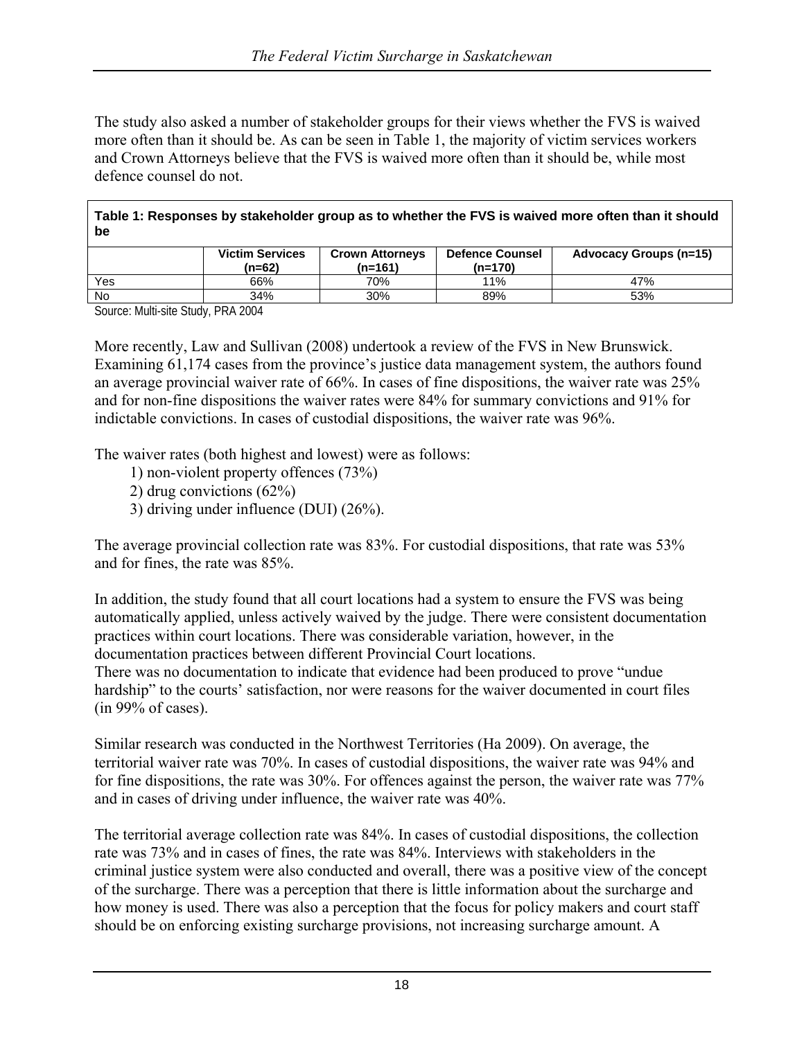The study also asked a number of stakeholder groups for their views whether the FVS is waived more often than it should be. As can be seen in Table 1, the majority of victim services workers and Crown Attorneys believe that the FVS is waived more often than it should be, while most defence counsel do not.

**Table 1: Responses by stakeholder group as to whether the FVS is waived more often than it should be** 

|     | <b>Victim Services</b><br>(n=62) | <b>Crown Attorneys</b><br>$(n=161)$ | <b>Defence Counsel</b><br>$(n=170)$ | Advocacy Groups (n=15) |
|-----|----------------------------------|-------------------------------------|-------------------------------------|------------------------|
| Yes | 66%                              | 70%                                 | 11%                                 | 47%                    |
| No  | 34%                              | 30%                                 | 89%                                 | 53%                    |

Source: Multi-site Study, PRA 2004

More recently, Law and Sullivan (2008) undertook a review of the FVS in New Brunswick. Examining 61,174 cases from the province's justice data management system, the authors found an average provincial waiver rate of 66%. In cases of fine dispositions, the waiver rate was 25% and for non-fine dispositions the waiver rates were 84% for summary convictions and 91% for indictable convictions. In cases of custodial dispositions, the waiver rate was 96%.

The waiver rates (both highest and lowest) were as follows:

- 1) non-violent property offences (73%)
- 2) drug convictions (62%)
- 3) driving under influence (DUI) (26%).

The average provincial collection rate was 83%. For custodial dispositions, that rate was 53% and for fines, the rate was 85%.

In addition, the study found that all court locations had a system to ensure the FVS was being automatically applied, unless actively waived by the judge. There were consistent documentation practices within court locations. There was considerable variation, however, in the documentation practices between different Provincial Court locations.

There was no documentation to indicate that evidence had been produced to prove "undue hardship" to the courts' satisfaction, nor were reasons for the waiver documented in court files (in 99% of cases).

Similar research was conducted in the Northwest Territories (Ha 2009). On average, the territorial waiver rate was 70%. In cases of custodial dispositions, the waiver rate was 94% and for fine dispositions, the rate was 30%. For offences against the person, the waiver rate was 77% and in cases of driving under influence, the waiver rate was 40%.

The territorial average collection rate was 84%. In cases of custodial dispositions, the collection rate was 73% and in cases of fines, the rate was 84%. Interviews with stakeholders in the criminal justice system were also conducted and overall, there was a positive view of the concept of the surcharge. There was a perception that there is little information about the surcharge and how money is used. There was also a perception that the focus for policy makers and court staff should be on enforcing existing surcharge provisions, not increasing surcharge amount. A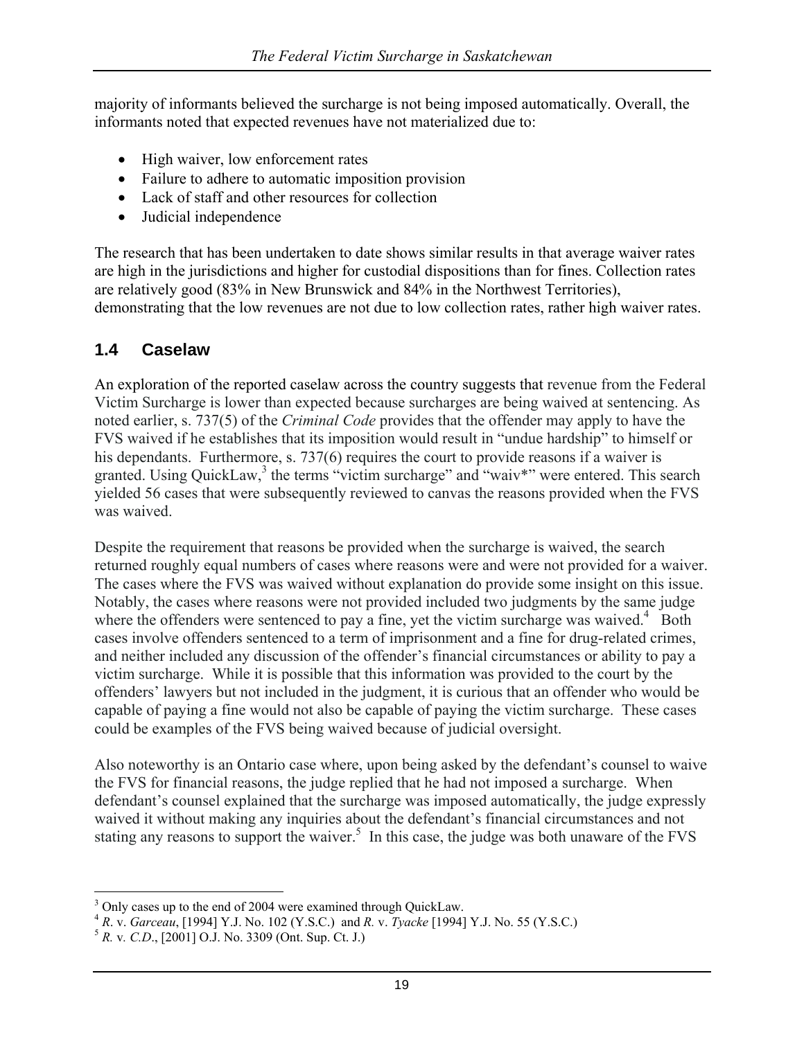majority of informants believed the surcharge is not being imposed automatically. Overall, the informants noted that expected revenues have not materialized due to:

- High waiver, low enforcement rates
- Failure to adhere to automatic imposition provision
- Lack of staff and other resources for collection
- Judicial independence

The research that has been undertaken to date shows similar results in that average waiver rates are high in the jurisdictions and higher for custodial dispositions than for fines. Collection rates are relatively good (83% in New Brunswick and 84% in the Northwest Territories), demonstrating that the low revenues are not due to low collection rates, rather high waiver rates.

### **1.4 Caselaw**

An exploration of the reported caselaw across the country suggests that revenue from the Federal Victim Surcharge is lower than expected because surcharges are being waived at sentencing. As noted earlier, s. 737(5) of the *Criminal Code* provides that the offender may apply to have the FVS waived if he establishes that its imposition would result in "undue hardship" to himself or his dependants. Furthermore, s. 737(6) requires the court to provide reasons if a waiver is granted. Using QuickLaw,<sup>3</sup> the terms "victim surcharge" and "waiv\*" were entered. This search yielded 56 cases that were subsequently reviewed to canvas the reasons provided when the FVS was waived.

Despite the requirement that reasons be provided when the surcharge is waived, the search returned roughly equal numbers of cases where reasons were and were not provided for a waiver. The cases where the FVS was waived without explanation do provide some insight on this issue. Notably, the cases where reasons were not provided included two judgments by the same judge where the offenders were sentenced to pay a fine, yet the victim surcharge was waived.<sup>4</sup> Both cases involve offenders sentenced to a term of imprisonment and a fine for drug-related crimes, and neither included any discussion of the offender's financial circumstances or ability to pay a victim surcharge. While it is possible that this information was provided to the court by the offenders' lawyers but not included in the judgment, it is curious that an offender who would be capable of paying a fine would not also be capable of paying the victim surcharge. These cases could be examples of the FVS being waived because of judicial oversight.

Also noteworthy is an Ontario case where, upon being asked by the defendant's counsel to waive the FVS for financial reasons, the judge replied that he had not imposed a surcharge. When defendant's counsel explained that the surcharge was imposed automatically, the judge expressly waived it without making any inquiries about the defendant's financial circumstances and not stating any reasons to support the waiver.<sup>5</sup> In this case, the judge was both unaware of the FVS

<sup>&</sup>lt;sup>3</sup> Only cases up to the end of 2004 were examined through QuickLaw.

<sup>4</sup> *<sup>R</sup>*. v. *Garceau*, [1994] Y.J. No. 102 (Y.S.C.) and *R.* v. *Tyacke* [1994] Y.J. No. 55 (Y.S.C.) 5 *R.* v*. C.D*., [2001] O.J. No. 3309 (Ont. Sup. Ct. J.)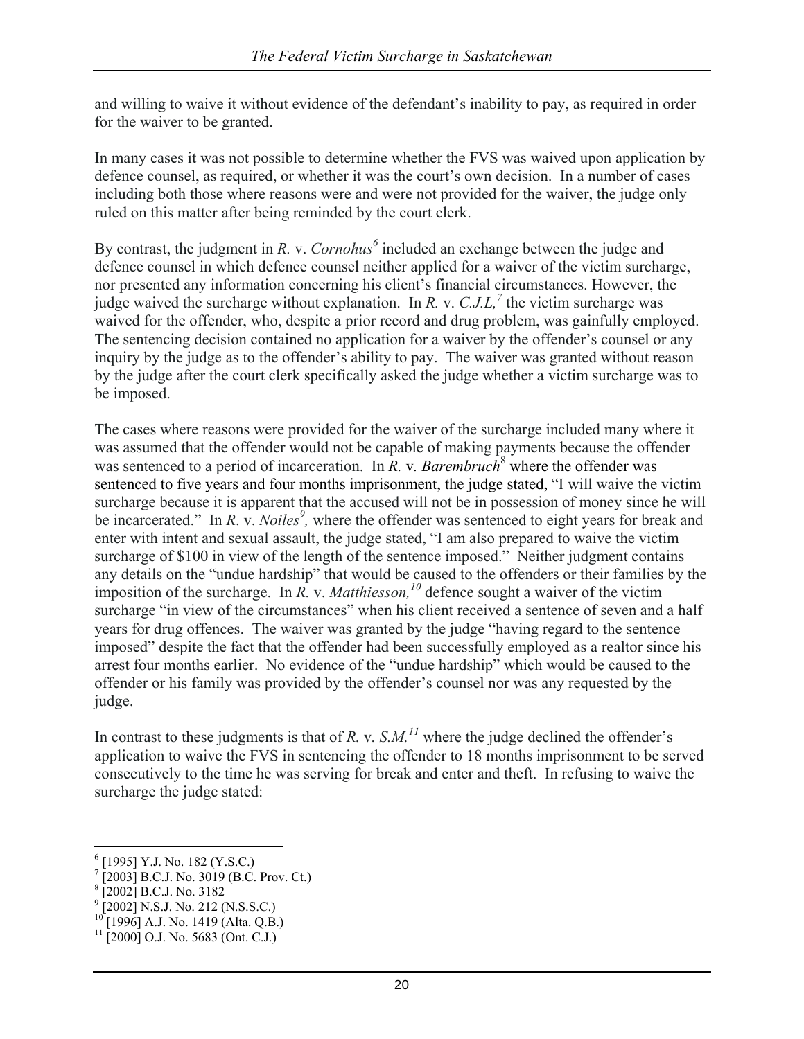and willing to waive it without evidence of the defendant's inability to pay, as required in order for the waiver to be granted.

In many cases it was not possible to determine whether the FVS was waived upon application by defence counsel, as required, or whether it was the court's own decision. In a number of cases including both those where reasons were and were not provided for the waiver, the judge only ruled on this matter after being reminded by the court clerk.

By contrast, the judgment in *R.* v. *Cornohus<sup>6</sup>* included an exchange between the judge and defence counsel in which defence counsel neither applied for a waiver of the victim surcharge, nor presented any information concerning his client's financial circumstances. However, the judge waived the surcharge without explanation. In *R.* v. *C.J.L,<sup>7</sup>* the victim surcharge was waived for the offender, who, despite a prior record and drug problem, was gainfully employed. The sentencing decision contained no application for a waiver by the offender's counsel or any inquiry by the judge as to the offender's ability to pay. The waiver was granted without reason by the judge after the court clerk specifically asked the judge whether a victim surcharge was to be imposed.

The cases where reasons were provided for the waiver of the surcharge included many where it was assumed that the offender would not be capable of making payments because the offender was sentenced to a period of incarceration. In *R*. *v. Barembruch*<sup>8</sup> where the offender was sentenced to five years and four months imprisonment, the judge stated, "I will waive the victim surcharge because it is apparent that the accused will not be in possession of money since he will be incarcerated." In *R*. v. *Noiles<sup>9</sup>*, where the offender was sentenced to eight years for break and enter with intent and sexual assault, the judge stated, "I am also prepared to waive the victim surcharge of \$100 in view of the length of the sentence imposed." Neither judgment contains any details on the "undue hardship" that would be caused to the offenders or their families by the imposition of the surcharge. In  $\overline{R}$ , v. *Matthiesson*,<sup>10</sup> defence sought a waiver of the victim surcharge "in view of the circumstances" when his client received a sentence of seven and a half years for drug offences. The waiver was granted by the judge "having regard to the sentence imposed" despite the fact that the offender had been successfully employed as a realtor since his arrest four months earlier. No evidence of the "undue hardship" which would be caused to the offender or his family was provided by the offender's counsel nor was any requested by the judge.

In contrast to these judgments is that of *R. v. S.M.*<sup> $11$ </sup> where the judge declined the offender's application to waive the FVS in sentencing the offender to 18 months imprisonment to be served consecutively to the time he was serving for break and enter and theft. In refusing to waive the surcharge the judge stated:

 $\overline{a}$ 6 [1995] Y.J. No. 182 (Y.S.C.)

 $7$ [2003] B.C.J. No. 3019 (B.C. Prov. Ct.)

<sup>8</sup> [2002] B.C.J. No. 3182

 $^{9}$ [2002] N.S.J. No. 212 (N.S.S.C.)

 $^{10}$ [1996] A.J. No. 1419 (Alta. Q.B.)

 $11$  [2000] O.J. No. 5683 (Ont. C.J.)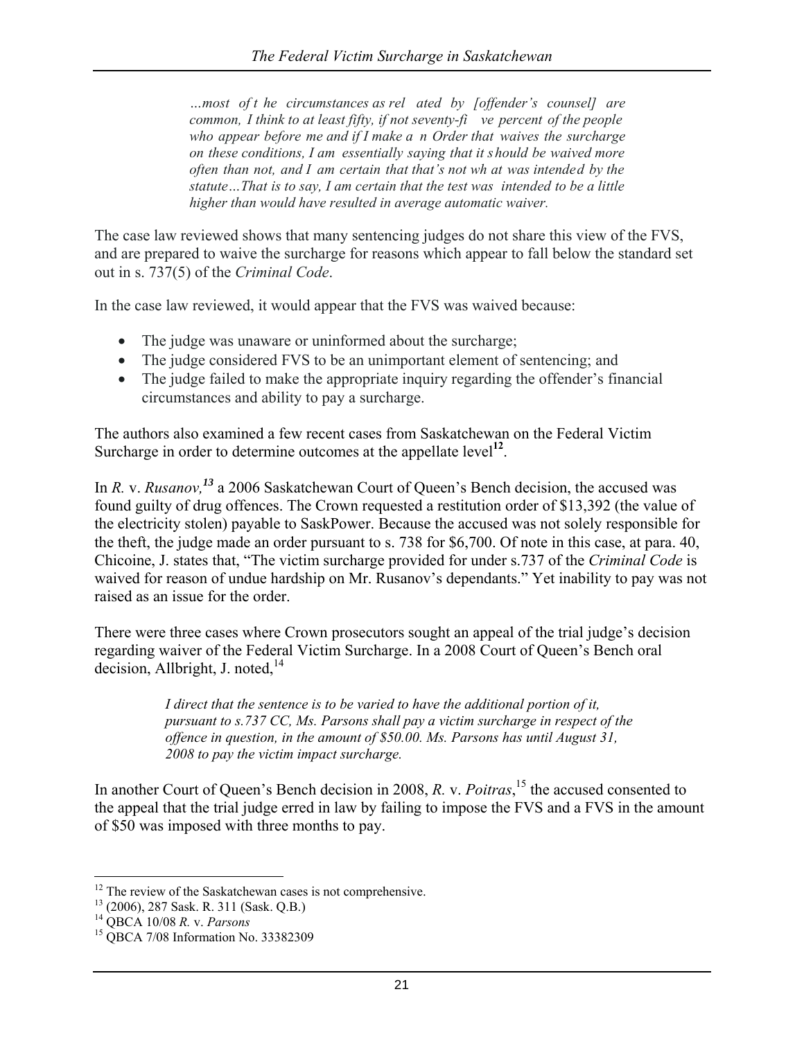*…most of t he circumstances as rel ated by [offender's counsel] are common, I think to at least fifty, if not seventy-fi ve percent of the people who appear before me and if I make a n Order that waives the surcharge on these conditions, I am essentially saying that it should be waived more often than not, and I am certain that that's not wh at was intended by the statute…That is to say, I am certain that the test was intended to be a little higher than would have resulted in average automatic waiver.* 

The case law reviewed shows that many sentencing judges do not share this view of the FVS, and are prepared to waive the surcharge for reasons which appear to fall below the standard set out in s. 737(5) of the *Criminal Code*.

In the case law reviewed, it would appear that the FVS was waived because:

- The judge was unaware or uninformed about the surcharge;
- The judge considered FVS to be an unimportant element of sentencing; and
- The judge failed to make the appropriate inquiry regarding the offender's financial circumstances and ability to pay a surcharge.

The authors also examined a few recent cases from Saskatchewan on the Federal Victim Surcharge in order to determine outcomes at the appellate level**<sup>12</sup>**.

In *R.* v. *Rusanov,<sup>13</sup>* a 2006 Saskatchewan Court of Queen's Bench decision, the accused was found guilty of drug offences. The Crown requested a restitution order of \$13,392 (the value of the electricity stolen) payable to SaskPower. Because the accused was not solely responsible for the theft, the judge made an order pursuant to s. 738 for \$6,700. Of note in this case, at para. 40, Chicoine, J. states that, "The victim surcharge provided for under s.737 of the *Criminal Code* is waived for reason of undue hardship on Mr. Rusanov's dependants." Yet inability to pay was not raised as an issue for the order.

There were three cases where Crown prosecutors sought an appeal of the trial judge's decision regarding waiver of the Federal Victim Surcharge. In a 2008 Court of Queen's Bench oral decision, Allbright, J. noted, $14$ 

> *I direct that the sentence is to be varied to have the additional portion of it, pursuant to s.737 CC, Ms. Parsons shall pay a victim surcharge in respect of the offence in question, in the amount of \$50.00. Ms. Parsons has until August 31, 2008 to pay the victim impact surcharge.*

In another Court of Queen's Bench decision in 2008, *R.* v. *Poitras*, 15 the accused consented to the appeal that the trial judge erred in law by failing to impose the FVS and a FVS in the amount of \$50 was imposed with three months to pay.

 $\overline{a}$  $12$  The review of the Saskatchewan cases is not comprehensive.

<sup>13 (2006), 287</sup> Sask. R. 311 (Sask. Q.B.)

<sup>14</sup> QBCA 10/08 *R.* v. *Parsons*

<sup>15</sup> QBCA 7/08 Information No. 33382309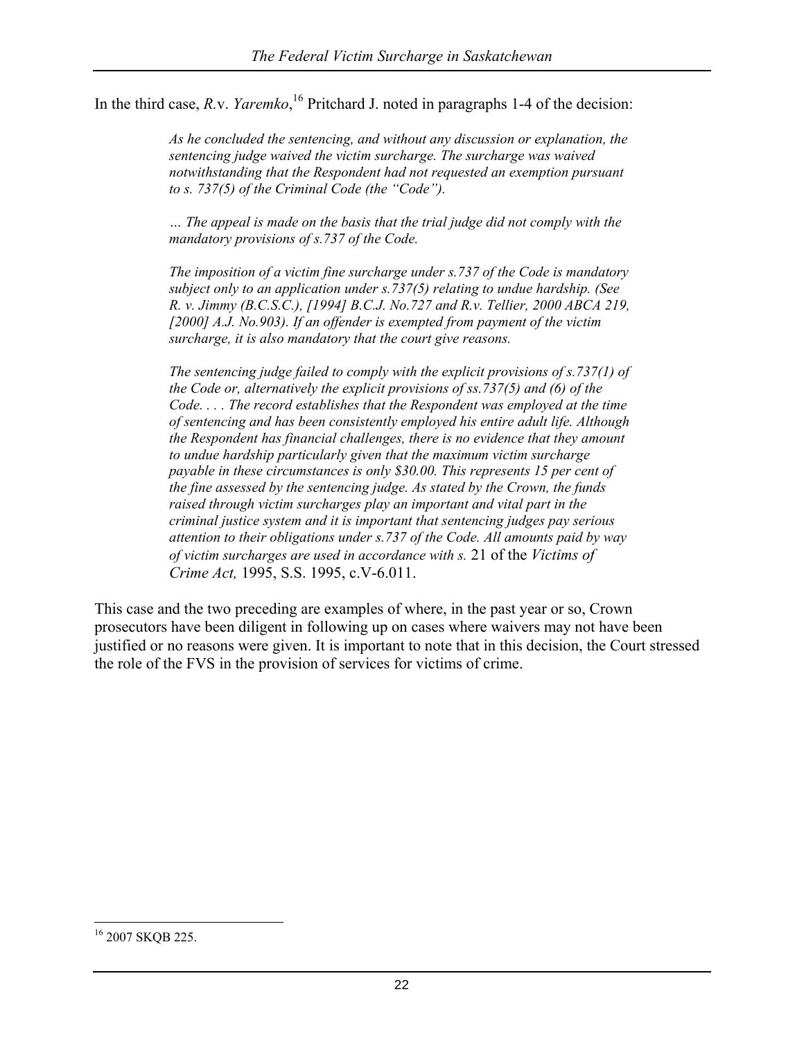In the third case, *R.v. Yaremko*,<sup>16</sup> Pritchard J. noted in paragraphs 1-4 of the decision:

*As he concluded the sentencing, and without any discussion or explanation, the sentencing judge waived the victim surcharge. The surcharge was waived notwithstanding that the Respondent had not requested an exemption pursuant to s. 737(5) of the Criminal Code (the "Code").* 

*… The appeal is made on the basis that the trial judge did not comply with the mandatory provisions of s.737 of the Code.* 

*The imposition of a victim fine surcharge under s.737 of the Code is mandatory subject only to an application under s.737(5) relating to undue hardship. (See R. v. Jimmy (B.C.S.C.), [1994] B.C.J. No.727 and R.v. Tellier, 2000 ABCA 219, [2000] A.J. No.903). If an offender is exempted from payment of the victim surcharge, it is also mandatory that the court give reasons.* 

*The sentencing judge failed to comply with the explicit provisions of s.737(1) of the Code or, alternatively the explicit provisions of ss.737(5) and (6) of the Code. . . . The record establishes that the Respondent was employed at the time of sentencing and has been consistently employed his entire adult life. Although the Respondent has financial challenges, there is no evidence that they amount to undue hardship particularly given that the maximum victim surcharge payable in these circumstances is only \$30.00. This represents 15 per cent of the fine assessed by the sentencing judge. As stated by the Crown, the funds raised through victim surcharges play an important and vital part in the criminal justice system and it is important that sentencing judges pay serious attention to their obligations under s.737 of the Code. All amounts paid by way of victim surcharges are used in accordance with s.* 21 of the *Victims of Crime Act,* 1995, S.S. 1995, c.V-6.011.

This case and the two preceding are examples of where, in the past year or so, Crown prosecutors have been diligent in following up on cases where waivers may not have been justified or no reasons were given. It is important to note that in this decision, the Court stressed the role of the FVS in the provision of services for victims of crime.

 $\overline{a}$ <sup>16</sup> 2007 SKQB 225.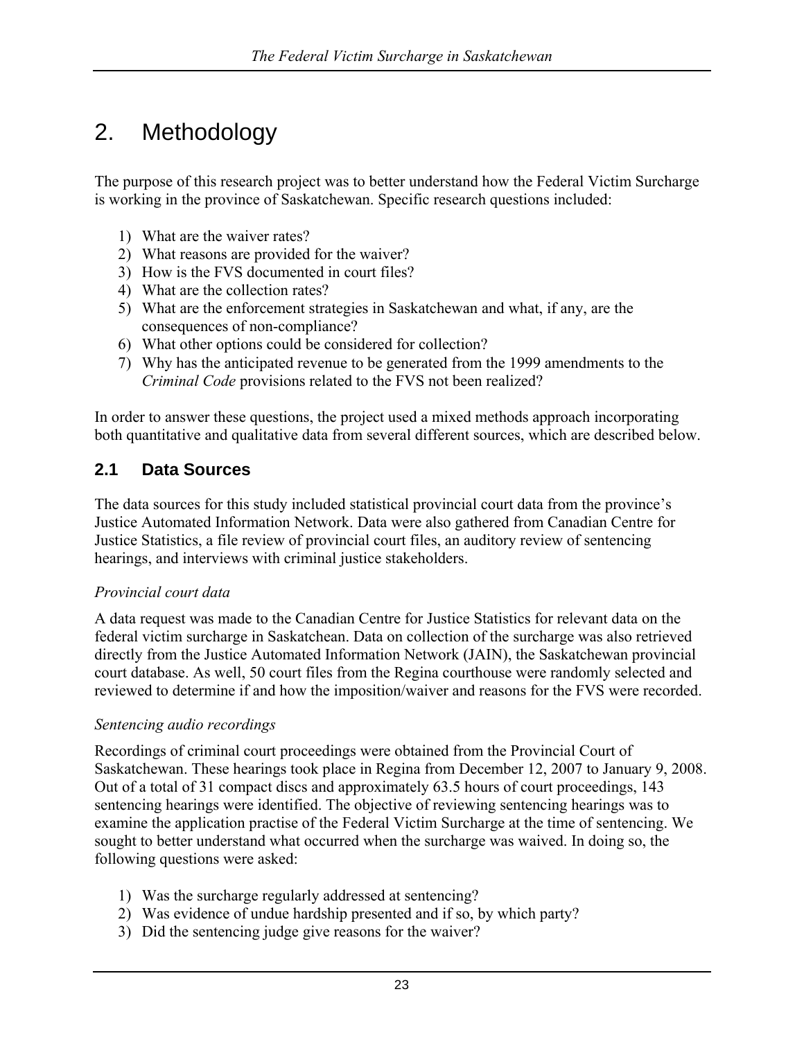# 2. Methodology

The purpose of this research project was to better understand how the Federal Victim Surcharge is working in the province of Saskatchewan. Specific research questions included:

- 1) What are the waiver rates?
- 2) What reasons are provided for the waiver?
- 3) How is the FVS documented in court files?
- 4) What are the collection rates?
- 5) What are the enforcement strategies in Saskatchewan and what, if any, are the consequences of non-compliance?
- 6) What other options could be considered for collection?
- 7) Why has the anticipated revenue to be generated from the 1999 amendments to the *Criminal Code* provisions related to the FVS not been realized?

In order to answer these questions, the project used a mixed methods approach incorporating both quantitative and qualitative data from several different sources, which are described below.

### **2.1 Data Sources**

The data sources for this study included statistical provincial court data from the province's Justice Automated Information Network. Data were also gathered from Canadian Centre for Justice Statistics, a file review of provincial court files, an auditory review of sentencing hearings, and interviews with criminal justice stakeholders.

#### *Provincial court data*

A data request was made to the Canadian Centre for Justice Statistics for relevant data on the federal victim surcharge in Saskatchean. Data on collection of the surcharge was also retrieved directly from the Justice Automated Information Network (JAIN), the Saskatchewan provincial court database. As well, 50 court files from the Regina courthouse were randomly selected and reviewed to determine if and how the imposition/waiver and reasons for the FVS were recorded.

### *Sentencing audio recordings*

Recordings of criminal court proceedings were obtained from the Provincial Court of Saskatchewan. These hearings took place in Regina from December 12, 2007 to January 9, 2008. Out of a total of 31 compact discs and approximately 63.5 hours of court proceedings, 143 sentencing hearings were identified. The objective of reviewing sentencing hearings was to examine the application practise of the Federal Victim Surcharge at the time of sentencing. We sought to better understand what occurred when the surcharge was waived. In doing so, the following questions were asked:

- 1) Was the surcharge regularly addressed at sentencing?
- 2) Was evidence of undue hardship presented and if so, by which party?
- 3) Did the sentencing judge give reasons for the waiver?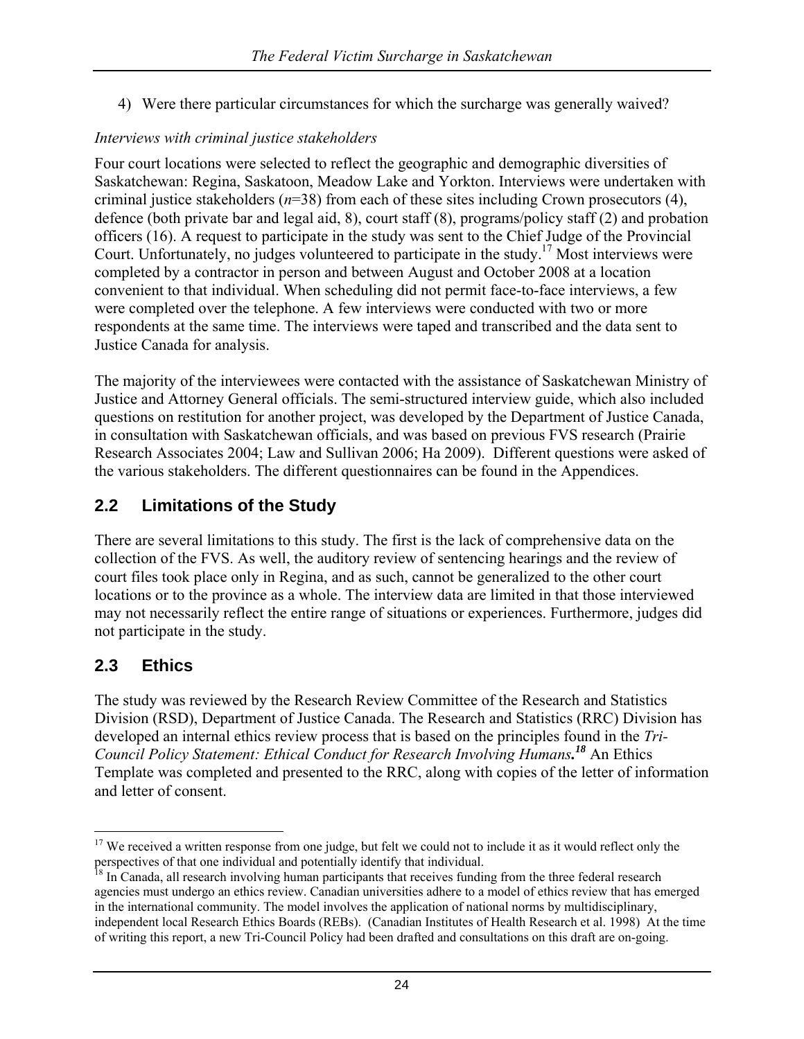4) Were there particular circumstances for which the surcharge was generally waived?

### *Interviews with criminal justice stakeholders*

Four court locations were selected to reflect the geographic and demographic diversities of Saskatchewan: Regina, Saskatoon, Meadow Lake and Yorkton. Interviews were undertaken with criminal justice stakeholders  $(n=38)$  from each of these sites including Crown prosecutors (4), defence (both private bar and legal aid, 8), court staff (8), programs/policy staff (2) and probation officers (16). A request to participate in the study was sent to the Chief Judge of the Provincial Court. Unfortunately, no judges volunteered to participate in the study.17 Most interviews were completed by a contractor in person and between August and October 2008 at a location convenient to that individual. When scheduling did not permit face-to-face interviews, a few were completed over the telephone. A few interviews were conducted with two or more respondents at the same time. The interviews were taped and transcribed and the data sent to Justice Canada for analysis.

The majority of the interviewees were contacted with the assistance of Saskatchewan Ministry of Justice and Attorney General officials. The semi-structured interview guide, which also included questions on restitution for another project, was developed by the Department of Justice Canada, in consultation with Saskatchewan officials, and was based on previous FVS research (Prairie Research Associates 2004; Law and Sullivan 2006; Ha 2009). Different questions were asked of the various stakeholders. The different questionnaires can be found in the Appendices.

# **2.2 Limitations of the Study**

There are several limitations to this study. The first is the lack of comprehensive data on the collection of the FVS. As well, the auditory review of sentencing hearings and the review of court files took place only in Regina, and as such, cannot be generalized to the other court locations or to the province as a whole. The interview data are limited in that those interviewed may not necessarily reflect the entire range of situations or experiences. Furthermore, judges did not participate in the study.

# **2.3 Ethics**

The study was reviewed by the Research Review Committee of the Research and Statistics Division (RSD), Department of Justice Canada. The Research and Statistics (RRC) Division has developed an internal ethics review process that is based on the principles found in the *Tri-Council Policy Statement: Ethical Conduct for Research Involving Humans. <sup>18</sup>* An Ethics Template was completed and presented to the RRC, along with copies of the letter of information and letter of consent.

 $\overline{a}$  $17$  We received a written response from one judge, but felt we could not to include it as it would reflect only the perspectives of that one individual and potentially identify that individual.

<sup>&</sup>lt;sup>18</sup> In Canada, all research involving human participants that receives funding from the three federal research agencies must undergo an ethics review. Canadian universities adhere to a model of ethics review that has emerged in the international community. The model involves the application of national norms by multidisciplinary, independent local Research Ethics Boards (REBs). (Canadian Institutes of Health Research et al. 1998) At the time of writing this report, a new Tri-Council Policy had been drafted and consultations on this draft are on-going.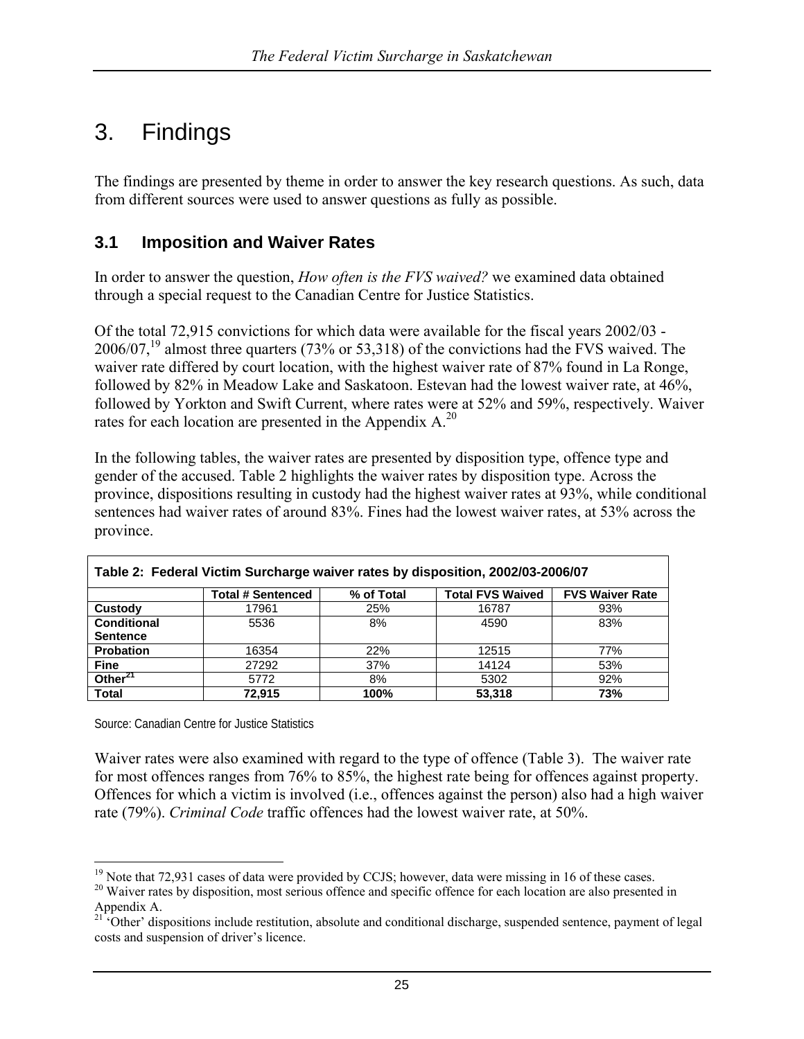# 3. Findings

The findings are presented by theme in order to answer the key research questions. As such, data from different sources were used to answer questions as fully as possible.

### **3.1 Imposition and Waiver Rates**

In order to answer the question, *How often is the FVS waived?* we examined data obtained through a special request to the Canadian Centre for Justice Statistics.

Of the total 72,915 convictions for which data were available for the fiscal years 2002/03 -  $2006/07$ ,<sup>19</sup> almost three quarters (73% or 53,318) of the convictions had the FVS waived. The waiver rate differed by court location, with the highest waiver rate of 87% found in La Ronge, followed by 82% in Meadow Lake and Saskatoon. Estevan had the lowest waiver rate, at 46%, followed by Yorkton and Swift Current, where rates were at 52% and 59%, respectively. Waiver rates for each location are presented in the Appendix  $A<sup>20</sup>$ 

In the following tables, the waiver rates are presented by disposition type, offence type and gender of the accused. Table 2 highlights the waiver rates by disposition type. Across the province, dispositions resulting in custody had the highest waiver rates at 93%, while conditional sentences had waiver rates of around 83%. Fines had the lowest waiver rates, at 53% across the province.

| Table 2: Federal Victim Surcharge waiver rates by disposition, 2002/03-2006/07 |                          |            |                         |                        |  |  |
|--------------------------------------------------------------------------------|--------------------------|------------|-------------------------|------------------------|--|--|
|                                                                                | <b>Total # Sentenced</b> | % of Total | <b>Total FVS Waived</b> | <b>FVS Waiver Rate</b> |  |  |
| Custody                                                                        | 17961                    | 25%        | 16787                   | 93%                    |  |  |
| <b>Conditional</b>                                                             | 5536                     | 8%         | 4590                    | 83%                    |  |  |
| <b>Sentence</b>                                                                |                          |            |                         |                        |  |  |
| <b>Probation</b>                                                               | 16354                    | 22%        | 12515                   | 77%                    |  |  |
| <b>Fine</b>                                                                    | 27292                    | 37%        | 14124                   | 53%                    |  |  |
| Other $^{21}$                                                                  | 5772                     | 8%         | 5302                    | 92%                    |  |  |
| <b>Total</b>                                                                   | 72.915                   | 100%       | 53,318                  | 73%                    |  |  |

Source: Canadian Centre for Justice Statistics

Waiver rates were also examined with regard to the type of offence (Table 3). The waiver rate for most offences ranges from 76% to 85%, the highest rate being for offences against property. Offences for which a victim is involved (i.e., offences against the person) also had a high waiver rate (79%). *Criminal Code* traffic offences had the lowest waiver rate, at 50%.

 $\overline{a}$  $19$  Note that 72,931 cases of data were provided by CCJS; however, data were missing in 16 of these cases.

<sup>&</sup>lt;sup>20</sup> Waiver rates by disposition, most serious offence and specific offence for each location are also presented in Appendix A.

<sup>&</sup>lt;sup>21</sup> 'Other' dispositions include restitution, absolute and conditional discharge, suspended sentence, payment of legal costs and suspension of driver's licence.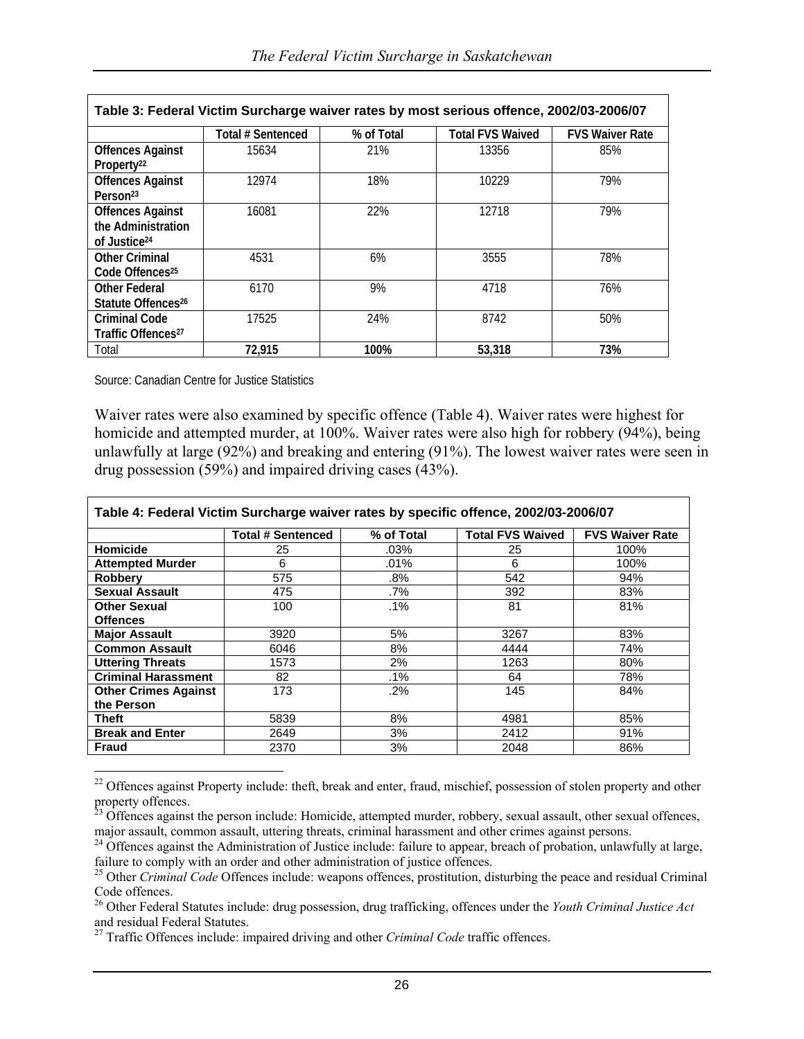| Table 3: Federal Victim Surcharge waiver rates by most serious offence, 2002/03-2006/07 |                   |            |                         |                        |  |  |
|-----------------------------------------------------------------------------------------|-------------------|------------|-------------------------|------------------------|--|--|
|                                                                                         | Total # Sentenced | % of Total | <b>Total FVS Waived</b> | <b>FVS Waiver Rate</b> |  |  |
| <b>Offences Against</b>                                                                 | 15634             | 21%        | 13356                   | 85%                    |  |  |
| Property <sup>22</sup>                                                                  |                   |            |                         |                        |  |  |
| <b>Offences Against</b>                                                                 | 12974             | 18%        | 10229                   | 79%                    |  |  |
| Person <sup>23</sup>                                                                    |                   |            |                         |                        |  |  |
| <b>Offences Against</b>                                                                 | 16081             | 22%        | 12718                   | 79%                    |  |  |
| the Administration                                                                      |                   |            |                         |                        |  |  |
| of Justice <sup>24</sup>                                                                |                   |            |                         |                        |  |  |
| <b>Other Criminal</b>                                                                   | 4531              | 6%         | 3555                    | 78%                    |  |  |
| Code Offences <sup>25</sup>                                                             |                   |            |                         |                        |  |  |
| Other Federal                                                                           | 6170              | 9%         | 4718                    | 76%                    |  |  |
| Statute Offences <sup>26</sup>                                                          |                   |            |                         |                        |  |  |
| <b>Criminal Code</b>                                                                    | 17525             | 24%        | 8742                    | 50%                    |  |  |
| Traffic Offences <sup>27</sup>                                                          |                   |            |                         |                        |  |  |
| Total                                                                                   | 72,915            | 100%       | 53,318                  | 73%                    |  |  |

Source: Canadian Centre for Justice Statistics

 $\overline{a}$ 

Waiver rates were also examined by specific offence (Table 4). Waiver rates were highest for homicide and attempted murder, at 100%. Waiver rates were also high for robbery (94%), being unlawfully at large (92%) and breaking and entering (91%). The lowest waiver rates were seen in drug possession (59%) and impaired driving cases (43%).

| Table 4: Federal Victim Surcharge waiver rates by specific offence, 2002/03-2006/07 |                          |            |                         |                        |  |  |
|-------------------------------------------------------------------------------------|--------------------------|------------|-------------------------|------------------------|--|--|
|                                                                                     | <b>Total # Sentenced</b> | % of Total | <b>Total FVS Waived</b> | <b>FVS Waiver Rate</b> |  |  |
| Homicide                                                                            | 25                       | .03%       | 25                      | 100%                   |  |  |
| <b>Attempted Murder</b>                                                             | 6                        | .01%       | 6                       | 100%                   |  |  |
| <b>Robberv</b>                                                                      | 575                      | .8%        | 542                     | 94%                    |  |  |
| <b>Sexual Assault</b>                                                               | 475                      | $.7\%$     | 392                     | 83%                    |  |  |
| <b>Other Sexual</b>                                                                 | 100                      | .1%        | 81                      | 81%                    |  |  |
| <b>Offences</b>                                                                     |                          |            |                         |                        |  |  |
| <b>Major Assault</b>                                                                | 3920                     | 5%         | 3267                    | 83%                    |  |  |
| <b>Common Assault</b>                                                               | 6046                     | 8%         | 4444                    | 74%                    |  |  |
| <b>Uttering Threats</b>                                                             | 1573                     | 2%         | 1263                    | 80%                    |  |  |
| <b>Criminal Harassment</b>                                                          | 82                       | $.1\%$     | 64                      | 78%                    |  |  |
| <b>Other Crimes Against</b>                                                         | 173                      | .2%        | 145                     | 84%                    |  |  |
| the Person                                                                          |                          |            |                         |                        |  |  |
| Theft                                                                               | 5839                     | 8%         | 4981                    | 85%                    |  |  |
| <b>Break and Enter</b>                                                              | 2649                     | 3%         | 2412                    | 91%                    |  |  |
| Fraud                                                                               | 2370                     | 3%         | 2048                    | 86%                    |  |  |

<sup>&</sup>lt;sup>22</sup> Offences against Property include: theft, break and enter, fraud, mischief, possession of stolen property and other property offences.

<sup>&</sup>lt;sup>23</sup> Offences against the person include: Homicide, attempted murder, robbery, sexual assault, other sexual offences, major assault, common assault, uttering threats, criminal harassment and other crimes against persons. 24 Offences against the Administration of Justice include: failure to appear, breach of probation, unlawfully at large,

failure to comply with an order and other administration of justice offences.

<sup>&</sup>lt;sup>25</sup> Other *Criminal Code* Offences include: weapons offences, prostitution, disturbing the peace and residual Criminal Code offences.

<sup>26</sup> Other Federal Statutes include: drug possession, drug trafficking, offences under the *Youth Criminal Justice Act* and residual Federal Statutes.

<sup>27</sup> Traffic Offences include: impaired driving and other *Criminal Code* traffic offences.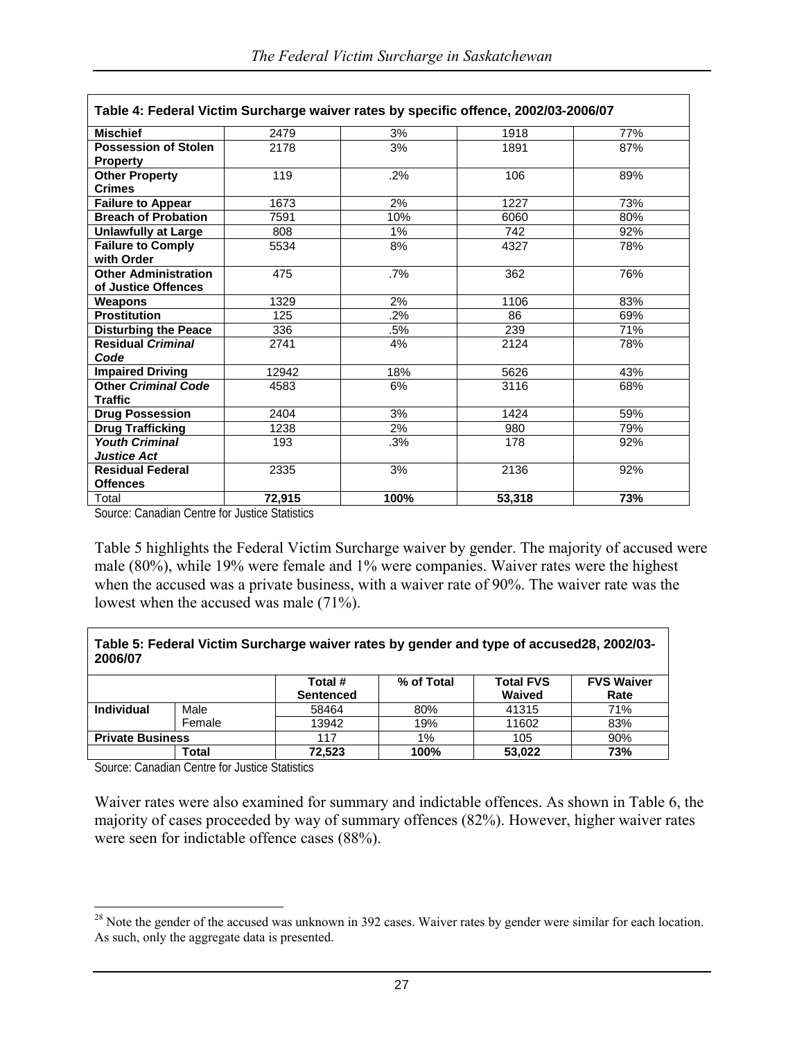| Table 4: Federal Victim Surcharge waiver rates by specific offence, 2002/03-2006/07 |        |      |        |     |  |  |
|-------------------------------------------------------------------------------------|--------|------|--------|-----|--|--|
| <b>Mischief</b>                                                                     | 2479   | 3%   | 1918   | 77% |  |  |
| <b>Possession of Stolen</b>                                                         | 2178   | 3%   | 1891   | 87% |  |  |
| <b>Property</b>                                                                     |        |      |        |     |  |  |
| <b>Other Property</b>                                                               | 119    | .2%  | 106    | 89% |  |  |
| <b>Crimes</b>                                                                       |        |      |        |     |  |  |
| <b>Failure to Appear</b>                                                            | 1673   | 2%   | 1227   | 73% |  |  |
| <b>Breach of Probation</b>                                                          | 7591   | 10%  | 6060   | 80% |  |  |
| <b>Unlawfully at Large</b>                                                          | 808    | 1%   | 742    | 92% |  |  |
| <b>Failure to Comply</b>                                                            | 5534   | 8%   | 4327   | 78% |  |  |
| with Order                                                                          |        |      |        |     |  |  |
| <b>Other Administration</b>                                                         | 475    | .7%  | 362    | 76% |  |  |
| of Justice Offences                                                                 |        |      |        |     |  |  |
| Weapons                                                                             | 1329   | 2%   | 1106   | 83% |  |  |
| <b>Prostitution</b>                                                                 | 125    | .2%  | 86     | 69% |  |  |
| <b>Disturbing the Peace</b>                                                         | 336    | .5%  | 239    | 71% |  |  |
| <b>Residual Criminal</b>                                                            | 2741   | 4%   | 2124   | 78% |  |  |
| Code                                                                                |        |      |        |     |  |  |
| <b>Impaired Driving</b>                                                             | 12942  | 18%  | 5626   | 43% |  |  |
| <b>Other Criminal Code</b>                                                          | 4583   | 6%   | 3116   | 68% |  |  |
| <b>Traffic</b>                                                                      |        |      |        |     |  |  |
| <b>Drug Possession</b>                                                              | 2404   | 3%   | 1424   | 59% |  |  |
| <b>Drug Trafficking</b>                                                             | 1238   | 2%   | 980    | 79% |  |  |
| <b>Youth Criminal</b>                                                               | 193    | .3%  | 178    | 92% |  |  |
| <b>Justice Act</b>                                                                  |        |      |        |     |  |  |
| <b>Residual Federal</b>                                                             | 2335   | 3%   | 2136   | 92% |  |  |
| <b>Offences</b>                                                                     |        |      |        |     |  |  |
| Total                                                                               | 72,915 | 100% | 53,318 | 73% |  |  |

Source: Canadian Centre for Justice Statistics

Table 5 highlights the Federal Victim Surcharge waiver by gender. The majority of accused were male (80%), while 19% were female and 1% were companies. Waiver rates were the highest when the accused was a private business, with a waiver rate of 90%. The waiver rate was the lowest when the accused was male (71%).

| Table 5: Federal Victim Surcharge waiver rates by gender and type of accused28, 2002/03-<br>2006/07 |        |                             |            |                            |                           |
|-----------------------------------------------------------------------------------------------------|--------|-----------------------------|------------|----------------------------|---------------------------|
|                                                                                                     |        | Total #<br><b>Sentenced</b> | % of Total | <b>Total FVS</b><br>Waived | <b>FVS Waiver</b><br>Rate |
| <b>Individual</b>                                                                                   | Male   | 58464                       | 80%        | 41315                      | 71%                       |
|                                                                                                     | Female | 13942                       | 19%        | 11602                      | 83%                       |
| <b>Private Business</b>                                                                             |        | 117                         | 1%         | 105                        | 90%                       |

Source: Canadian Centre for Justice Statistics

 $\overline{a}$ 

Waiver rates were also examined for summary and indictable offences. As shown in Table 6, the majority of cases proceeded by way of summary offences (82%). However, higher waiver rates were seen for indictable offence cases (88%).

**Total 72,523 100% 53,022 73%** 

 $28$  Note the gender of the accused was unknown in 392 cases. Waiver rates by gender were similar for each location. As such, only the aggregate data is presented.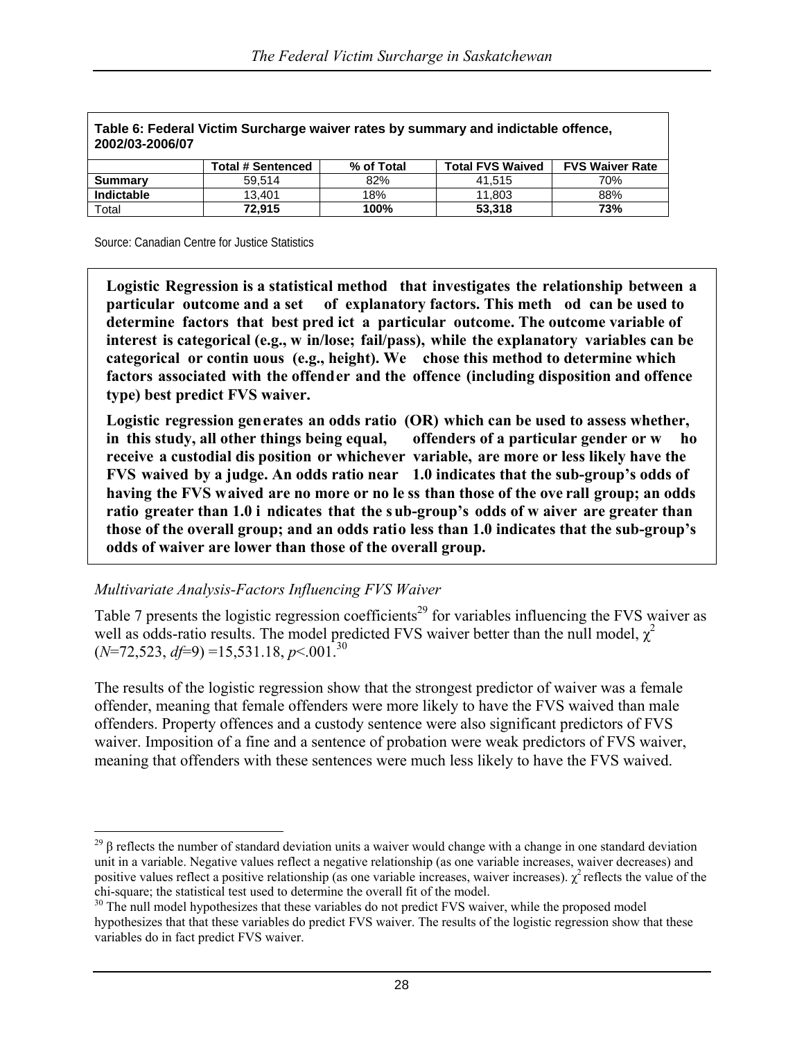| Table 6: Federal Victim Surcharge waiver rates by Summary and indictable offence,<br>2002/03-2006/07 |        |      |        |     |  |  |  |
|------------------------------------------------------------------------------------------------------|--------|------|--------|-----|--|--|--|
| <b>Total FVS Waived</b><br><b>FVS Waiver Rate</b><br>% of Total<br><b>Total # Sentenced</b>          |        |      |        |     |  |  |  |
| Summary                                                                                              | 59.514 | 82%  | 41.515 | 70% |  |  |  |
| Indictable<br>13.401<br>88%<br>18%<br>11.803                                                         |        |      |        |     |  |  |  |
| Total                                                                                                | 72.915 | 100% | 53,318 | 73% |  |  |  |

**Table 6: Federal Victim Surcharge waiver rates by summary and indictable offence,** 

Source: Canadian Centre for Justice Statistics

**Logistic Regression is a statistical method that investigates the relationship between a particular outcome and a set of explanatory factors. This meth od can be used to determine factors that best pred ict a particular outcome. The outcome variable of interest is categorical (e.g., w in/lose; fail/pass), while the explanatory variables can be categorical or contin uous (e.g., height). We chose this method to determine which factors associated with the offender and the offence (including disposition and offence type) best predict FVS waiver.** 

**Logistic regression generates an odds ratio (OR) which can be used to assess whether, in this study, all other things being equal, offenders of a particular gender or w ho receive a custodial dis position or whichever variable, are more or less likely have the FVS waived by a judge. An odds ratio near 1.0 indicates that the sub-group's odds of having the FVS waived are no more or no le ss than those of the ove rall group; an odds ratio greater than 1.0 i ndicates that the sub-group's odds of w aiver are greater than those of the overall group; and an odds ratio less than 1.0 indicates that the sub-group's odds of waiver are lower than those of the overall group.** 

#### *Multivariate Analysis-Factors Influencing FVS Waiver*

Table 7 presents the logistic regression coefficients<sup>29</sup> for variables influencing the FVS waiver as well as odds-ratio results. The model predicted FVS waiver better than the null model,  $\chi^2$  $(N=72,523, df=9) = 15,531.18, p < 0.001^{30}$ 

The results of the logistic regression show that the strongest predictor of waiver was a female offender, meaning that female offenders were more likely to have the FVS waived than male offenders. Property offences and a custody sentence were also significant predictors of FVS waiver. Imposition of a fine and a sentence of probation were weak predictors of FVS waiver, meaning that offenders with these sentences were much less likely to have the FVS waived.

 $\overline{a}$ <sup>29</sup> β reflects the number of standard deviation units a waiver would change with a change in one standard deviation unit in a variable. Negative values reflect a negative relationship (as one variable increases, waiver decreases) and positive values reflect a positive relationship (as one variable increases, waiver increases).  $\chi^2$  reflects the value of the chi-square; the statistical test used to determine the overall fit of the model.

<sup>&</sup>lt;sup>30</sup> The null model hypothesizes that these variables do not predict FVS waiver, while the proposed model hypothesizes that that these variables do predict FVS waiver. The results of the logistic regression show that these variables do in fact predict FVS waiver.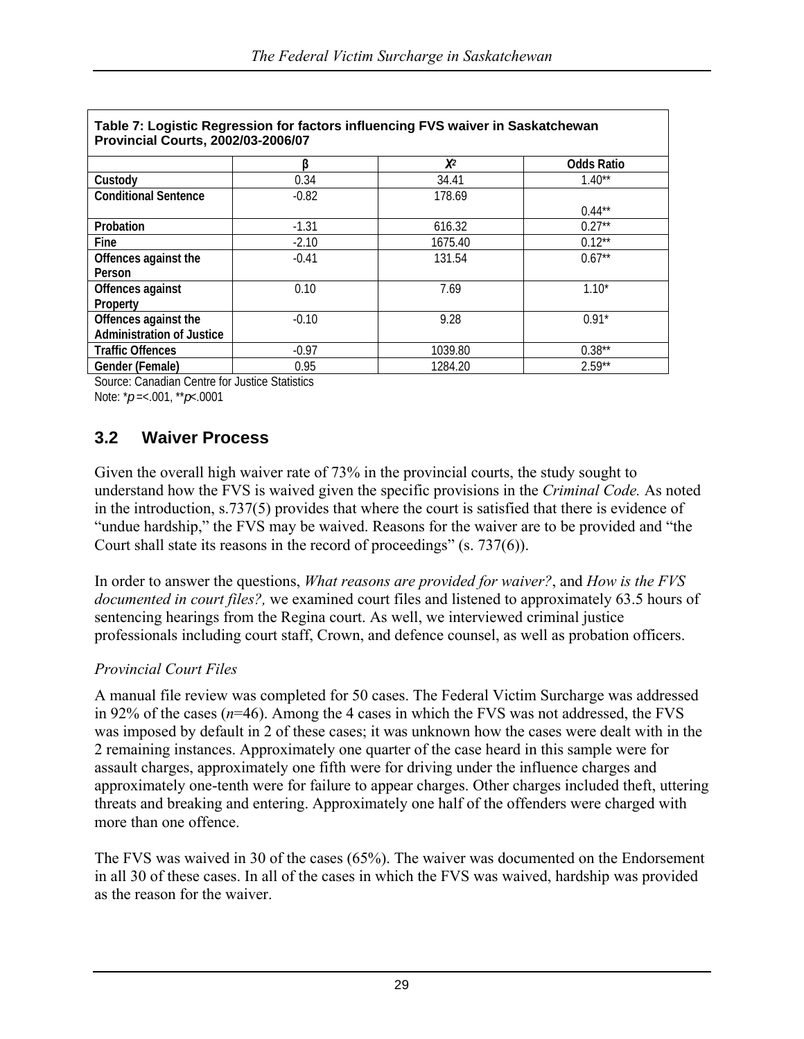| Table 7: Logistic Regression for factors influencing FVS waiver in Saskatchewan<br><b>Provincial Courts, 2002/03-2006/07</b> |         |                |                   |  |  |  |
|------------------------------------------------------------------------------------------------------------------------------|---------|----------------|-------------------|--|--|--|
|                                                                                                                              | ß       | $\mathbf{X}^2$ | <b>Odds Ratio</b> |  |  |  |
| Custody                                                                                                                      | 0.34    | 34.41          | $1.40**$          |  |  |  |
| <b>Conditional Sentence</b>                                                                                                  | $-0.82$ | 178.69         |                   |  |  |  |
|                                                                                                                              |         |                | $0.44**$          |  |  |  |
| Probation                                                                                                                    | $-1.31$ | 616.32         | $0.27**$          |  |  |  |
| Fine                                                                                                                         | $-2.10$ | 1675.40        | $0.12**$          |  |  |  |
| Offences against the                                                                                                         | $-0.41$ | 131.54         | $0.67**$          |  |  |  |
| Person                                                                                                                       |         |                |                   |  |  |  |
| Offences against                                                                                                             | 0.10    | 7.69           | $1.10*$           |  |  |  |
| Property                                                                                                                     |         |                |                   |  |  |  |
| Offences against the                                                                                                         | $-0.10$ | 9.28           | $0.91*$           |  |  |  |
| <b>Administration of Justice</b>                                                                                             |         |                |                   |  |  |  |
| <b>Traffic Offences</b>                                                                                                      | $-0.97$ | 1039.80        | $0.38**$          |  |  |  |
| Gender (Female)                                                                                                              | 0.95    | 1284.20        | $2.59**$          |  |  |  |

Source: Canadian Centre for Justice Statistics

Note: \**p* =<.001, \*\**p*<.0001

### **3.2 Waiver Process**

Given the overall high waiver rate of 73% in the provincial courts, the study sought to understand how the FVS is waived given the specific provisions in the *Criminal Code.* As noted in the introduction, s.737(5) provides that where the court is satisfied that there is evidence of "undue hardship," the FVS may be waived. Reasons for the waiver are to be provided and "the Court shall state its reasons in the record of proceedings" (s. 737(6)).

In order to answer the questions, *What reasons are provided for waiver?*, and *How is the FVS documented in court files?,* we examined court files and listened to approximately 63.5 hours of sentencing hearings from the Regina court. As well, we interviewed criminal justice professionals including court staff, Crown, and defence counsel, as well as probation officers.

### *Provincial Court Files*

A manual file review was completed for 50 cases. The Federal Victim Surcharge was addressed in 92% of the cases (*n*=46). Among the 4 cases in which the FVS was not addressed, the FVS was imposed by default in 2 of these cases; it was unknown how the cases were dealt with in the 2 remaining instances. Approximately one quarter of the case heard in this sample were for assault charges, approximately one fifth were for driving under the influence charges and approximately one-tenth were for failure to appear charges. Other charges included theft, uttering threats and breaking and entering. Approximately one half of the offenders were charged with more than one offence.

The FVS was waived in 30 of the cases (65%). The waiver was documented on the Endorsement in all 30 of these cases. In all of the cases in which the FVS was waived, hardship was provided as the reason for the waiver.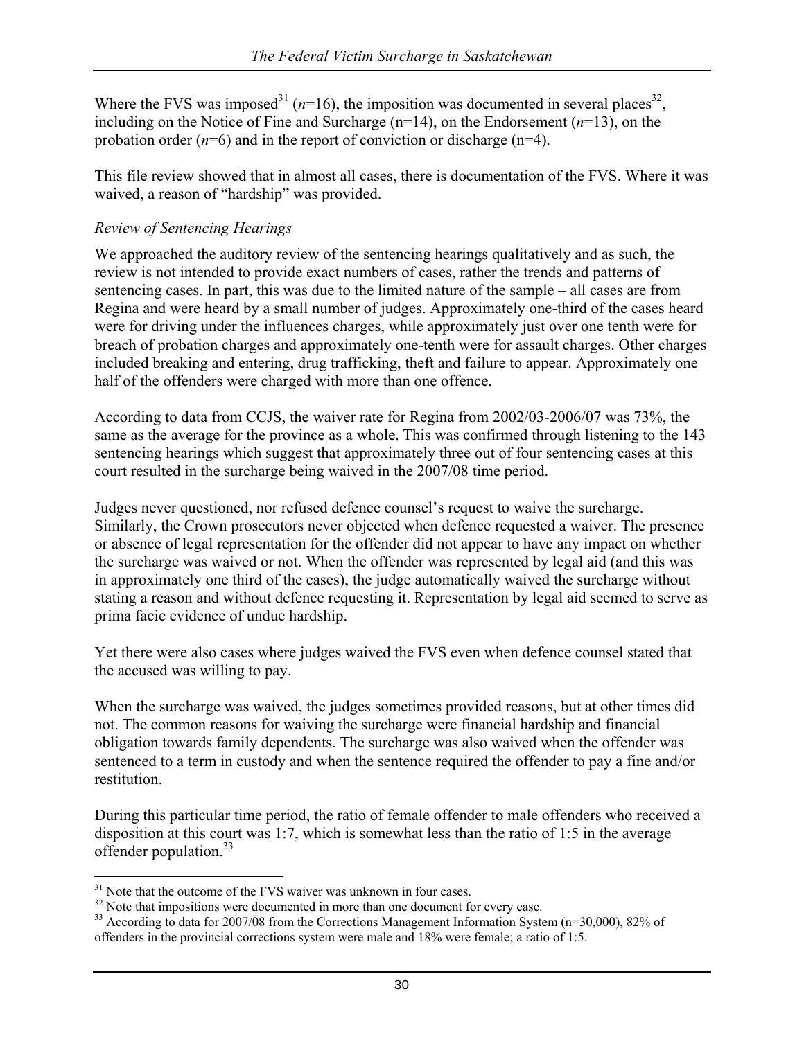Where the FVS was imposed<sup>31</sup> ( $n=16$ ), the imposition was documented in several places<sup>32</sup>, including on the Notice of Fine and Surcharge (n=14), on the Endorsement (*n*=13), on the probation order (*n*=6) and in the report of conviction or discharge (n=4).

This file review showed that in almost all cases, there is documentation of the FVS. Where it was waived, a reason of "hardship" was provided.

#### *Review of Sentencing Hearings*

We approached the auditory review of the sentencing hearings qualitatively and as such, the review is not intended to provide exact numbers of cases, rather the trends and patterns of sentencing cases. In part, this was due to the limited nature of the sample – all cases are from Regina and were heard by a small number of judges. Approximately one-third of the cases heard were for driving under the influences charges, while approximately just over one tenth were for breach of probation charges and approximately one-tenth were for assault charges. Other charges included breaking and entering, drug trafficking, theft and failure to appear. Approximately one half of the offenders were charged with more than one offence.

According to data from CCJS, the waiver rate for Regina from 2002/03-2006/07 was 73%, the same as the average for the province as a whole. This was confirmed through listening to the 143 sentencing hearings which suggest that approximately three out of four sentencing cases at this court resulted in the surcharge being waived in the 2007/08 time period.

Judges never questioned, nor refused defence counsel's request to waive the surcharge. Similarly, the Crown prosecutors never objected when defence requested a waiver. The presence or absence of legal representation for the offender did not appear to have any impact on whether the surcharge was waived or not. When the offender was represented by legal aid (and this was in approximately one third of the cases), the judge automatically waived the surcharge without stating a reason and without defence requesting it. Representation by legal aid seemed to serve as prima facie evidence of undue hardship.

Yet there were also cases where judges waived the FVS even when defence counsel stated that the accused was willing to pay.

When the surcharge was waived, the judges sometimes provided reasons, but at other times did not. The common reasons for waiving the surcharge were financial hardship and financial obligation towards family dependents. The surcharge was also waived when the offender was sentenced to a term in custody and when the sentence required the offender to pay a fine and/or restitution.

During this particular time period, the ratio of female offender to male offenders who received a disposition at this court was 1:7, which is somewhat less than the ratio of 1:5 in the average offender population. $33$ 

<sup>-</sup> $31$  Note that the outcome of the FVS waiver was unknown in four cases.

 $32$  Note that impositions were documented in more than one document for every case.

<sup>&</sup>lt;sup>33</sup> According to data for 2007/08 from the Corrections Management Information System (n=30,000), 82% of offenders in the provincial corrections system were male and 18% were female; a ratio of 1:5.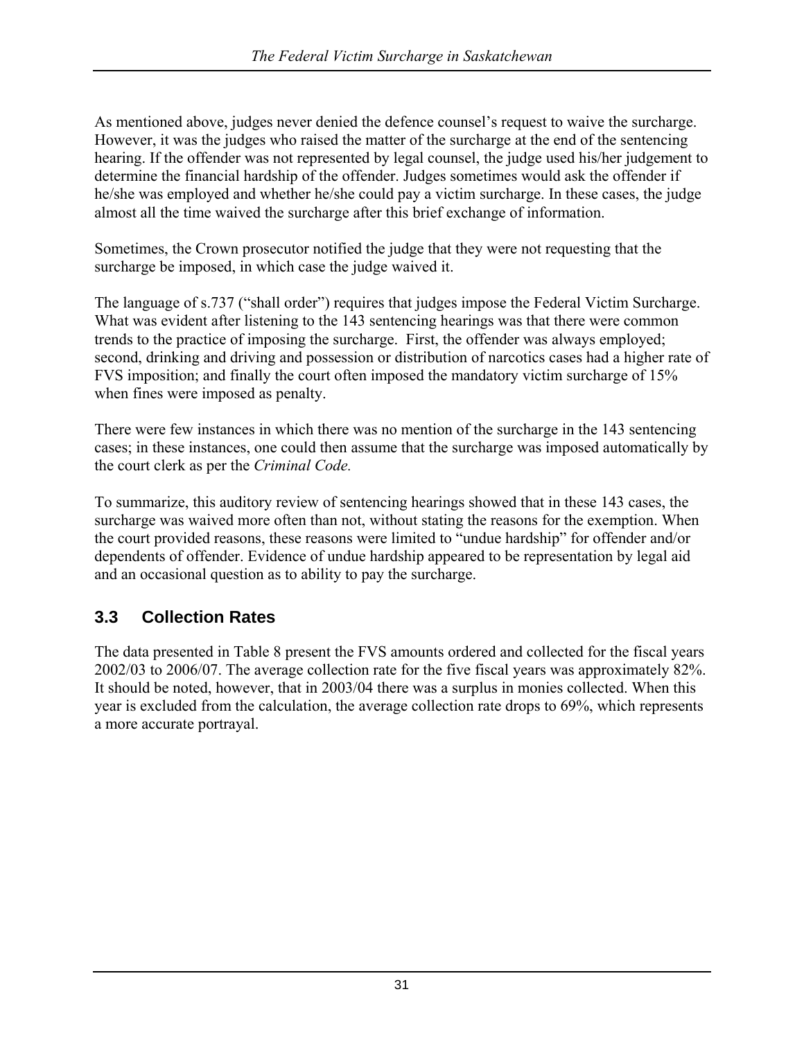As mentioned above, judges never denied the defence counsel's request to waive the surcharge. However, it was the judges who raised the matter of the surcharge at the end of the sentencing hearing. If the offender was not represented by legal counsel, the judge used his/her judgement to determine the financial hardship of the offender. Judges sometimes would ask the offender if he/she was employed and whether he/she could pay a victim surcharge. In these cases, the judge almost all the time waived the surcharge after this brief exchange of information.

Sometimes, the Crown prosecutor notified the judge that they were not requesting that the surcharge be imposed, in which case the judge waived it.

The language of s.737 ("shall order") requires that judges impose the Federal Victim Surcharge. What was evident after listening to the 143 sentencing hearings was that there were common trends to the practice of imposing the surcharge. First, the offender was always employed; second, drinking and driving and possession or distribution of narcotics cases had a higher rate of FVS imposition; and finally the court often imposed the mandatory victim surcharge of 15% when fines were imposed as penalty.

There were few instances in which there was no mention of the surcharge in the 143 sentencing cases; in these instances, one could then assume that the surcharge was imposed automatically by the court clerk as per the *Criminal Code.*

To summarize, this auditory review of sentencing hearings showed that in these 143 cases, the surcharge was waived more often than not, without stating the reasons for the exemption. When the court provided reasons, these reasons were limited to "undue hardship" for offender and/or dependents of offender. Evidence of undue hardship appeared to be representation by legal aid and an occasional question as to ability to pay the surcharge.

# **3.3 Collection Rates**

The data presented in Table 8 present the FVS amounts ordered and collected for the fiscal years 2002/03 to 2006/07. The average collection rate for the five fiscal years was approximately 82%. It should be noted, however, that in 2003/04 there was a surplus in monies collected. When this year is excluded from the calculation, the average collection rate drops to 69%, which represents a more accurate portrayal.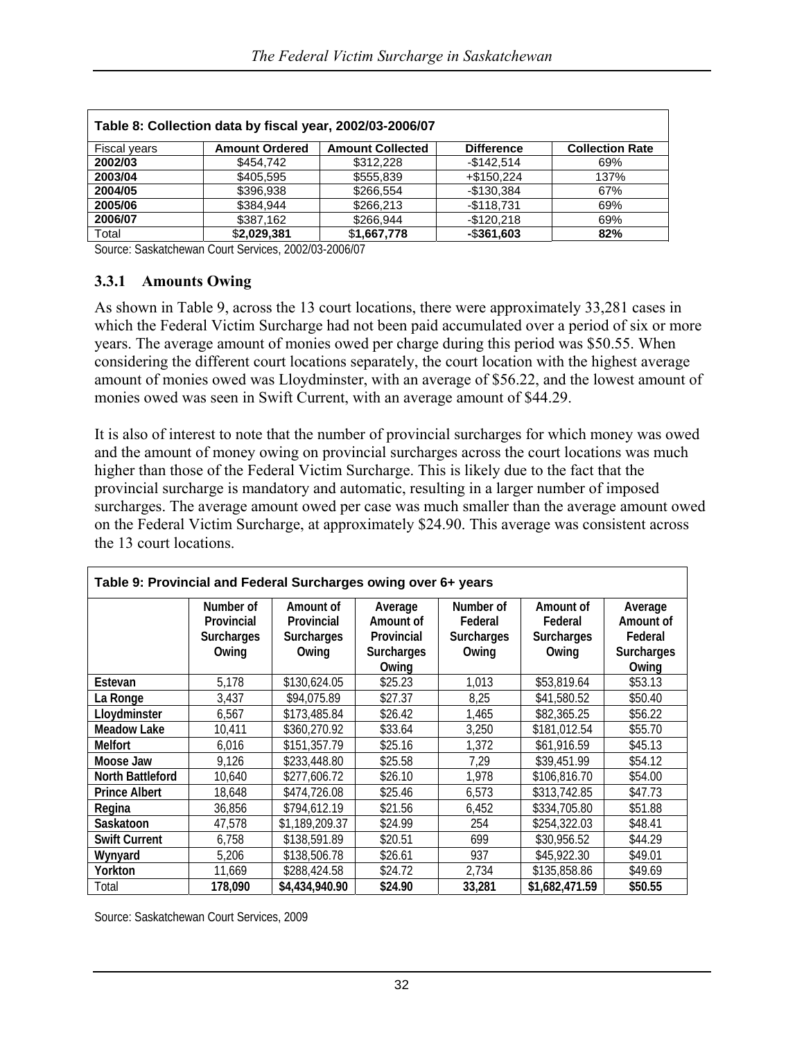| Table 8: Collection data by fiscal year, 2002/03-2006/07 |                       |                         |                   |                        |  |  |
|----------------------------------------------------------|-----------------------|-------------------------|-------------------|------------------------|--|--|
| Fiscal years                                             | <b>Amount Ordered</b> | <b>Amount Collected</b> | <b>Difference</b> | <b>Collection Rate</b> |  |  |
| 2002/03                                                  | \$454.742             | \$312,228               | $-$142.514$       | 69%                    |  |  |
| 2003/04                                                  | \$405.595             | \$555.839               | $+ $150.224$      | 137%                   |  |  |
| 2004/05                                                  | \$396,938             | \$266.554               | $-$130.384$       | 67%                    |  |  |
| 2005/06                                                  | \$384,944             | \$266,213               | $-$118,731$       | 69%                    |  |  |
| 2006/07                                                  | \$387,162             | \$266.944               | $-$120,218$       | 69%                    |  |  |
| Total                                                    | \$2,029,381           | \$1,667,778             | $-$ \$361.603     | 82%                    |  |  |

Source: Saskatchewan Court Services, 2002/03-2006/07

#### **3.3.1 Amounts Owing**

As shown in Table 9, across the 13 court locations, there were approximately 33,281 cases in which the Federal Victim Surcharge had not been paid accumulated over a period of six or more years. The average amount of monies owed per charge during this period was \$50.55. When considering the different court locations separately, the court location with the highest average amount of monies owed was Lloydminster, with an average of \$56.22, and the lowest amount of monies owed was seen in Swift Current, with an average amount of \$44.29.

It is also of interest to note that the number of provincial surcharges for which money was owed and the amount of money owing on provincial surcharges across the court locations was much higher than those of the Federal Victim Surcharge. This is likely due to the fact that the provincial surcharge is mandatory and automatic, resulting in a larger number of imposed surcharges. The average amount owed per case was much smaller than the average amount owed on the Federal Victim Surcharge, at approximately \$24.90. This average was consistent across the 13 court locations.

| Table 9: Provincial and Federal Surcharges owing over 6+ years |                                                       |                                                       |                                                                  |                                                    |                                                    |                                                               |  |  |
|----------------------------------------------------------------|-------------------------------------------------------|-------------------------------------------------------|------------------------------------------------------------------|----------------------------------------------------|----------------------------------------------------|---------------------------------------------------------------|--|--|
|                                                                | Number of<br>Provincial<br><b>Surcharges</b><br>Owing | Amount of<br>Provincial<br><b>Surcharges</b><br>Owing | Average<br>Amount of<br>Provincial<br><b>Surcharges</b><br>Owing | Number of<br>Federal<br><b>Surcharges</b><br>Owing | Amount of<br>Federal<br><b>Surcharges</b><br>Owing | Average<br>Amount of<br>Federal<br><b>Surcharges</b><br>Owing |  |  |
| Estevan                                                        | 5,178                                                 | \$130,624.05                                          | \$25.23                                                          | 1,013                                              | \$53,819.64                                        | \$53.13                                                       |  |  |
| La Ronge                                                       | 3,437                                                 | \$94,075.89                                           | \$27.37                                                          | 8,25                                               | \$41,580.52                                        | \$50.40                                                       |  |  |
| Lloydminster                                                   | 6,567                                                 | \$173,485.84                                          | \$26.42                                                          | 1,465                                              | \$82,365.25                                        | \$56.22                                                       |  |  |
| Meadow Lake                                                    | 10,411                                                | \$360,270.92                                          | \$33.64                                                          | 3,250                                              | \$181,012.54                                       | \$55.70                                                       |  |  |
| <b>Melfort</b>                                                 | 6,016                                                 | \$151,357.79                                          | \$25.16                                                          | 1.372                                              | \$61,916.59                                        | \$45.13                                                       |  |  |
| Moose Jaw                                                      | 9,126                                                 | \$233,448.80                                          | \$25.58                                                          | 7,29                                               | \$39,451.99                                        | \$54.12                                                       |  |  |
| North Battleford                                               | 10,640                                                | \$277,606.72                                          | \$26.10                                                          | 1,978                                              | \$106,816.70                                       | \$54.00                                                       |  |  |
| <b>Prince Albert</b>                                           | 18,648                                                | \$474,726.08                                          | \$25.46                                                          | 6,573                                              | \$313,742.85                                       | \$47.73                                                       |  |  |
| Regina                                                         | 36,856                                                | \$794,612.19                                          | \$21.56                                                          | 6,452                                              | \$334,705.80                                       | \$51.88                                                       |  |  |
| Saskatoon                                                      | 47,578                                                | \$1,189,209.37                                        | \$24.99                                                          | 254                                                | \$254,322.03                                       | \$48.41                                                       |  |  |
| <b>Swift Current</b>                                           | 6,758                                                 | \$138,591.89                                          | \$20.51                                                          | 699                                                | \$30,956.52                                        | \$44.29                                                       |  |  |
| Wynyard                                                        | 5,206                                                 | \$138,506.78                                          | \$26.61                                                          | 937                                                | \$45,922.30                                        | \$49.01                                                       |  |  |
| Yorkton                                                        | 11,669                                                | \$288,424.58                                          | \$24.72                                                          | 2,734                                              | \$135,858.86                                       | \$49.69                                                       |  |  |
| Total                                                          | 178,090                                               | \$4,434,940.90                                        | \$24.90                                                          | 33,281                                             | \$1,682,471.59                                     | \$50.55                                                       |  |  |

Source: Saskatchewan Court Services, 2009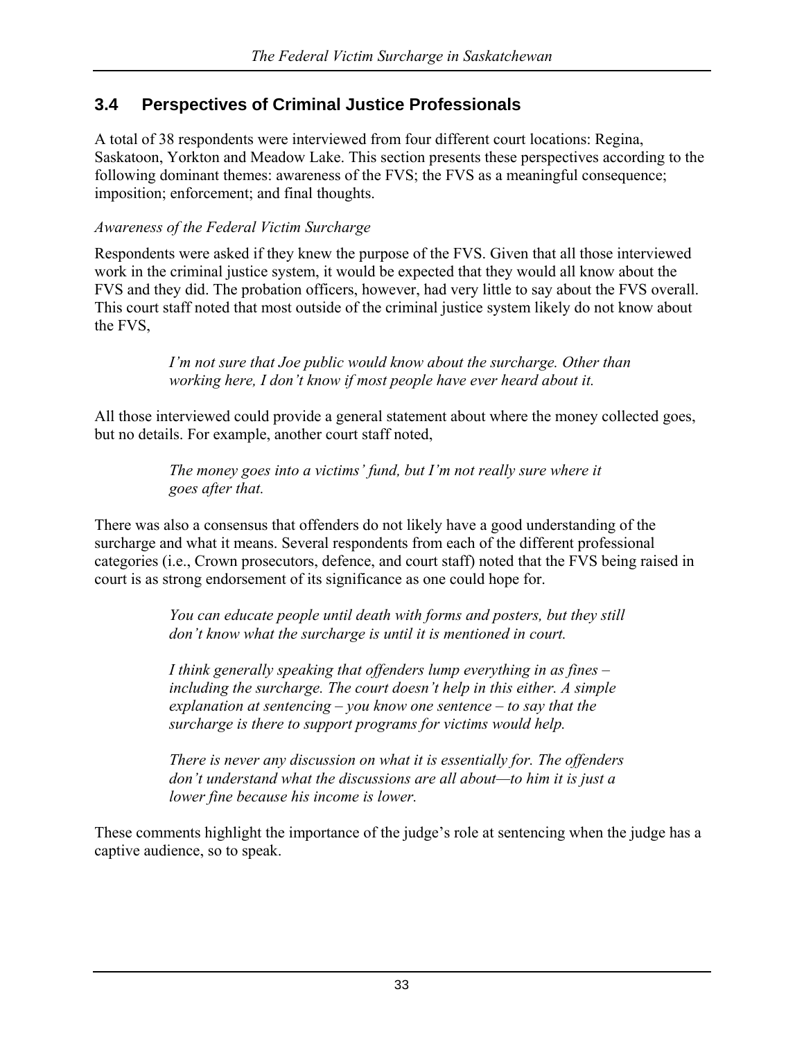### **3.4 Perspectives of Criminal Justice Professionals**

A total of 38 respondents were interviewed from four different court locations: Regina, Saskatoon, Yorkton and Meadow Lake. This section presents these perspectives according to the following dominant themes: awareness of the FVS; the FVS as a meaningful consequence; imposition; enforcement; and final thoughts.

### *Awareness of the Federal Victim Surcharge*

Respondents were asked if they knew the purpose of the FVS. Given that all those interviewed work in the criminal justice system, it would be expected that they would all know about the FVS and they did. The probation officers, however, had very little to say about the FVS overall. This court staff noted that most outside of the criminal justice system likely do not know about the FVS,

> *I'm not sure that Joe public would know about the surcharge. Other than working here, I don't know if most people have ever heard about it.*

All those interviewed could provide a general statement about where the money collected goes, but no details. For example, another court staff noted,

> *The money goes into a victims' fund, but I'm not really sure where it goes after that.*

There was also a consensus that offenders do not likely have a good understanding of the surcharge and what it means. Several respondents from each of the different professional categories (i.e., Crown prosecutors, defence, and court staff) noted that the FVS being raised in court is as strong endorsement of its significance as one could hope for.

> *You can educate people until death with forms and posters, but they still don't know what the surcharge is until it is mentioned in court.*

*I think generally speaking that offenders lump everything in as fines – including the surcharge. The court doesn't help in this either. A simple explanation at sentencing – you know one sentence – to say that the surcharge is there to support programs for victims would help.* 

*There is never any discussion on what it is essentially for. The offenders don't understand what the discussions are all about—to him it is just a lower fine because his income is lower.* 

These comments highlight the importance of the judge's role at sentencing when the judge has a captive audience, so to speak.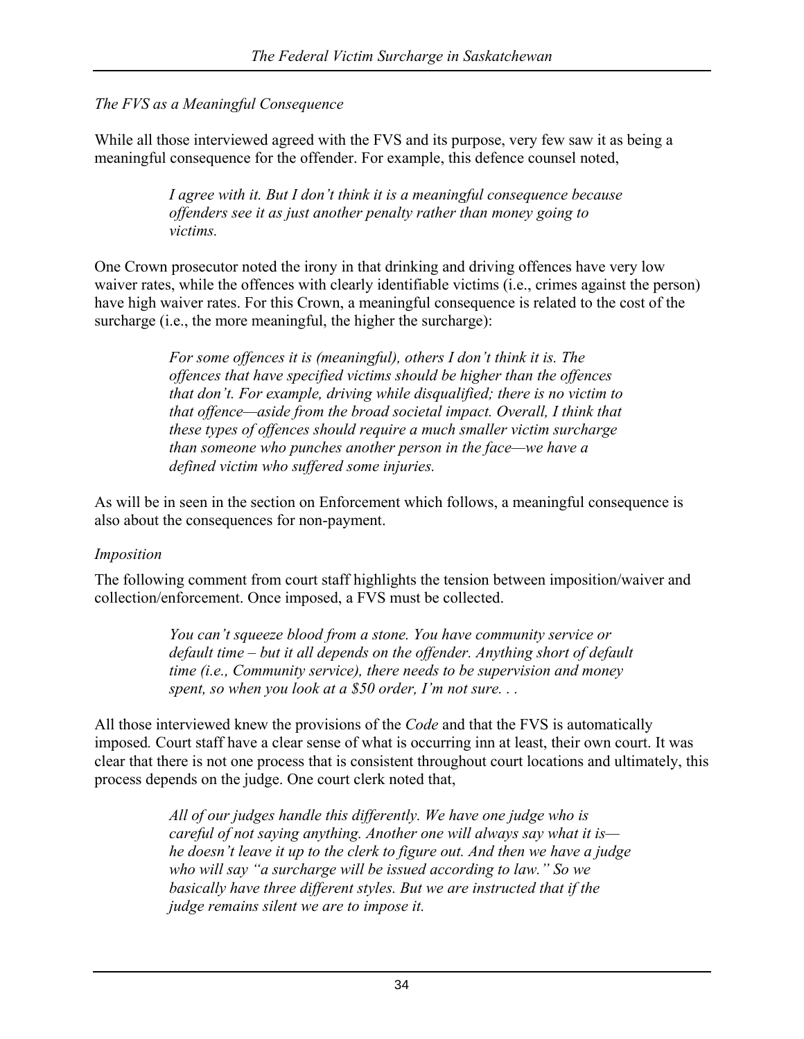#### *The FVS as a Meaningful Consequence*

While all those interviewed agreed with the FVS and its purpose, very few saw it as being a meaningful consequence for the offender. For example, this defence counsel noted,

> *I agree with it. But I don't think it is a meaningful consequence because offenders see it as just another penalty rather than money going to victims.*

One Crown prosecutor noted the irony in that drinking and driving offences have very low waiver rates, while the offences with clearly identifiable victims (i.e., crimes against the person) have high waiver rates. For this Crown, a meaningful consequence is related to the cost of the surcharge (i.e., the more meaningful, the higher the surcharge):

> *For some offences it is (meaningful), others I don't think it is. The offences that have specified victims should be higher than the offences that don't. For example, driving while disqualified; there is no victim to that offence—aside from the broad societal impact. Overall, I think that these types of offences should require a much smaller victim surcharge than someone who punches another person in the face—we have a defined victim who suffered some injuries.*

As will be in seen in the section on Enforcement which follows, a meaningful consequence is also about the consequences for non-payment.

#### *Imposition*

The following comment from court staff highlights the tension between imposition/waiver and collection/enforcement. Once imposed, a FVS must be collected.

> *You can't squeeze blood from a stone. You have community service or default time – but it all depends on the offender. Anything short of default time (i.e., Community service), there needs to be supervision and money spent, so when you look at a \$50 order, I'm not sure. . .*

All those interviewed knew the provisions of the *Code* and that the FVS is automatically imposed*.* Court staff have a clear sense of what is occurring inn at least, their own court. It was clear that there is not one process that is consistent throughout court locations and ultimately, this process depends on the judge. One court clerk noted that,

> *All of our judges handle this differently. We have one judge who is careful of not saying anything. Another one will always say what it is he doesn't leave it up to the clerk to figure out. And then we have a judge who will say "a surcharge will be issued according to law." So we basically have three different styles. But we are instructed that if the judge remains silent we are to impose it.*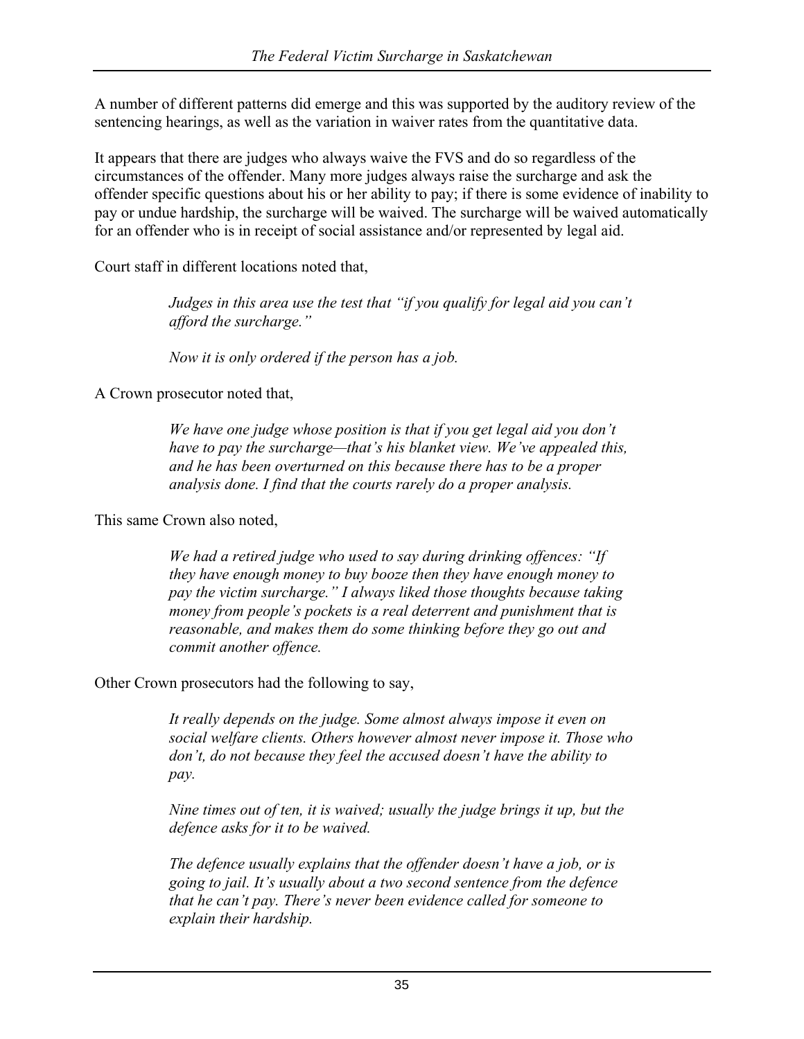A number of different patterns did emerge and this was supported by the auditory review of the sentencing hearings, as well as the variation in waiver rates from the quantitative data.

It appears that there are judges who always waive the FVS and do so regardless of the circumstances of the offender. Many more judges always raise the surcharge and ask the offender specific questions about his or her ability to pay; if there is some evidence of inability to pay or undue hardship, the surcharge will be waived. The surcharge will be waived automatically for an offender who is in receipt of social assistance and/or represented by legal aid.

Court staff in different locations noted that,

*Judges in this area use the test that "if you qualify for legal aid you can't afford the surcharge."* 

*Now it is only ordered if the person has a job.* 

A Crown prosecutor noted that,

*We have one judge whose position is that if you get legal aid you don't have to pay the surcharge—that's his blanket view. We've appealed this, and he has been overturned on this because there has to be a proper analysis done. I find that the courts rarely do a proper analysis.* 

This same Crown also noted,

*We had a retired judge who used to say during drinking offences: "If they have enough money to buy booze then they have enough money to pay the victim surcharge." I always liked those thoughts because taking money from people's pockets is a real deterrent and punishment that is reasonable, and makes them do some thinking before they go out and commit another offence.* 

Other Crown prosecutors had the following to say,

*It really depends on the judge. Some almost always impose it even on social welfare clients. Others however almost never impose it. Those who don't, do not because they feel the accused doesn't have the ability to pay.* 

*Nine times out of ten, it is waived; usually the judge brings it up, but the defence asks for it to be waived.* 

*The defence usually explains that the offender doesn't have a job, or is going to jail. It's usually about a two second sentence from the defence that he can't pay. There's never been evidence called for someone to explain their hardship.*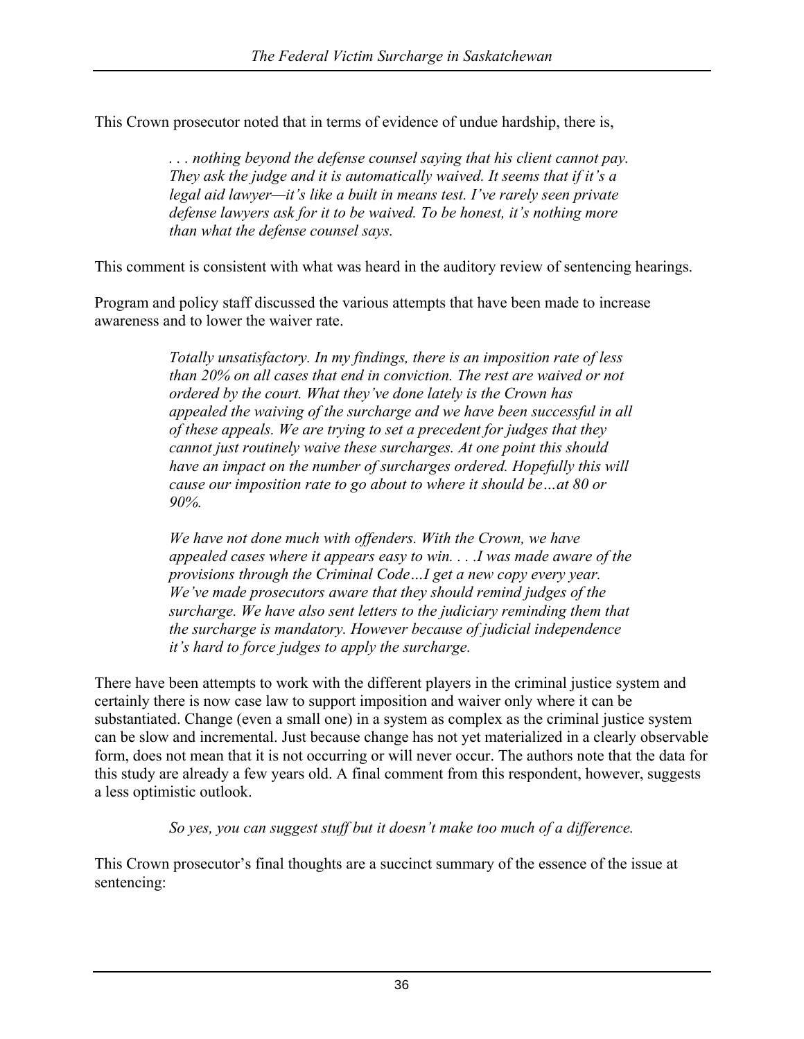This Crown prosecutor noted that in terms of evidence of undue hardship, there is,

*. . . nothing beyond the defense counsel saying that his client cannot pay. They ask the judge and it is automatically waived. It seems that if it's a legal aid lawyer—it's like a built in means test. I've rarely seen private defense lawyers ask for it to be waived. To be honest, it's nothing more than what the defense counsel says.* 

This comment is consistent with what was heard in the auditory review of sentencing hearings.

Program and policy staff discussed the various attempts that have been made to increase awareness and to lower the waiver rate.

> *Totally unsatisfactory. In my findings, there is an imposition rate of less than 20% on all cases that end in conviction. The rest are waived or not ordered by the court. What they've done lately is the Crown has appealed the waiving of the surcharge and we have been successful in all of these appeals. We are trying to set a precedent for judges that they cannot just routinely waive these surcharges. At one point this should have an impact on the number of surcharges ordered. Hopefully this will cause our imposition rate to go about to where it should be…at 80 or 90%.*

> *We have not done much with offenders. With the Crown, we have appealed cases where it appears easy to win. . . .I was made aware of the provisions through the Criminal Code…I get a new copy every year. We've made prosecutors aware that they should remind judges of the surcharge. We have also sent letters to the judiciary reminding them that the surcharge is mandatory. However because of judicial independence it's hard to force judges to apply the surcharge.*

There have been attempts to work with the different players in the criminal justice system and certainly there is now case law to support imposition and waiver only where it can be substantiated. Change (even a small one) in a system as complex as the criminal justice system can be slow and incremental. Just because change has not yet materialized in a clearly observable form, does not mean that it is not occurring or will never occur. The authors note that the data for this study are already a few years old. A final comment from this respondent, however, suggests a less optimistic outlook.

*So yes, you can suggest stuff but it doesn't make too much of a difference.* 

This Crown prosecutor's final thoughts are a succinct summary of the essence of the issue at sentencing: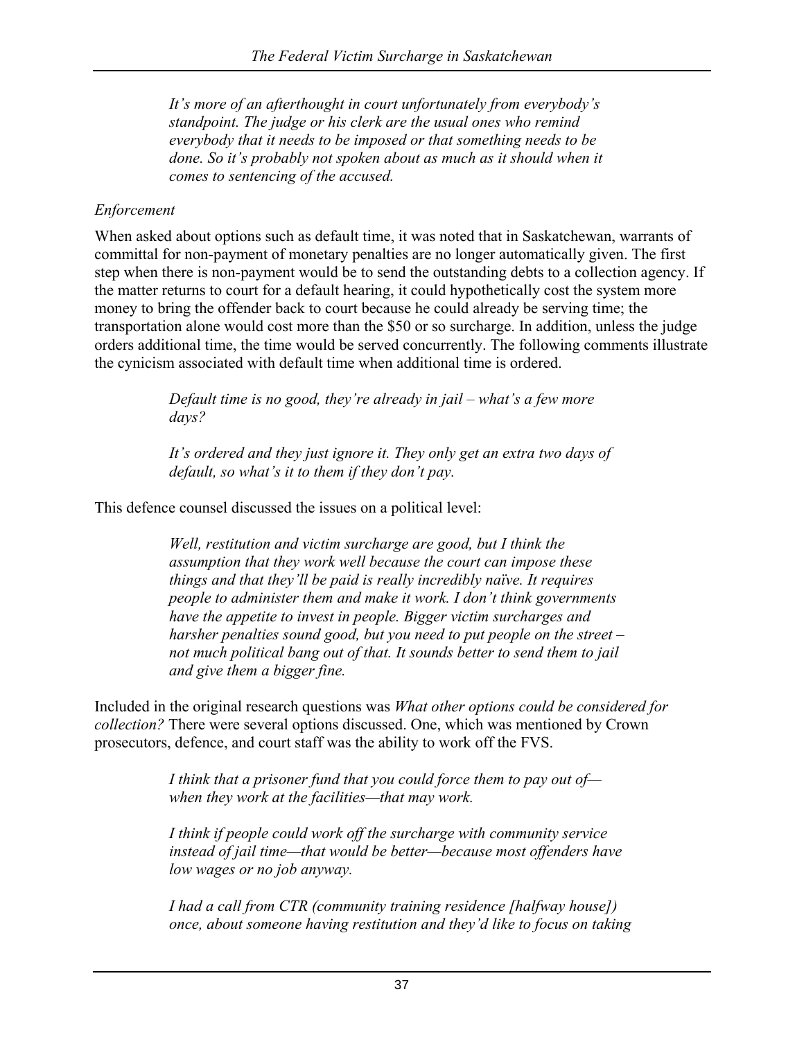*It's more of an afterthought in court unfortunately from everybody's standpoint. The judge or his clerk are the usual ones who remind everybody that it needs to be imposed or that something needs to be done. So it's probably not spoken about as much as it should when it comes to sentencing of the accused.* 

#### *Enforcement*

When asked about options such as default time, it was noted that in Saskatchewan, warrants of committal for non-payment of monetary penalties are no longer automatically given. The first step when there is non-payment would be to send the outstanding debts to a collection agency. If the matter returns to court for a default hearing, it could hypothetically cost the system more money to bring the offender back to court because he could already be serving time; the transportation alone would cost more than the \$50 or so surcharge. In addition, unless the judge orders additional time, the time would be served concurrently. The following comments illustrate the cynicism associated with default time when additional time is ordered.

> *Default time is no good, they're already in jail – what's a few more days?*

*It's ordered and they just ignore it. They only get an extra two days of default, so what's it to them if they don't pay.* 

This defence counsel discussed the issues on a political level:

*Well, restitution and victim surcharge are good, but I think the assumption that they work well because the court can impose these things and that they'll be paid is really incredibly naïve. It requires people to administer them and make it work. I don't think governments have the appetite to invest in people. Bigger victim surcharges and harsher penalties sound good, but you need to put people on the street – not much political bang out of that. It sounds better to send them to jail and give them a bigger fine.* 

Included in the original research questions was *What other options could be considered for collection?* There were several options discussed. One, which was mentioned by Crown prosecutors, defence, and court staff was the ability to work off the FVS.

> *I think that a prisoner fund that you could force them to pay out of when they work at the facilities—that may work.*

*I think if people could work off the surcharge with community service instead of jail time—that would be better—because most offenders have low wages or no job anyway.* 

*I had a call from CTR (community training residence [halfway house]) once, about someone having restitution and they'd like to focus on taking*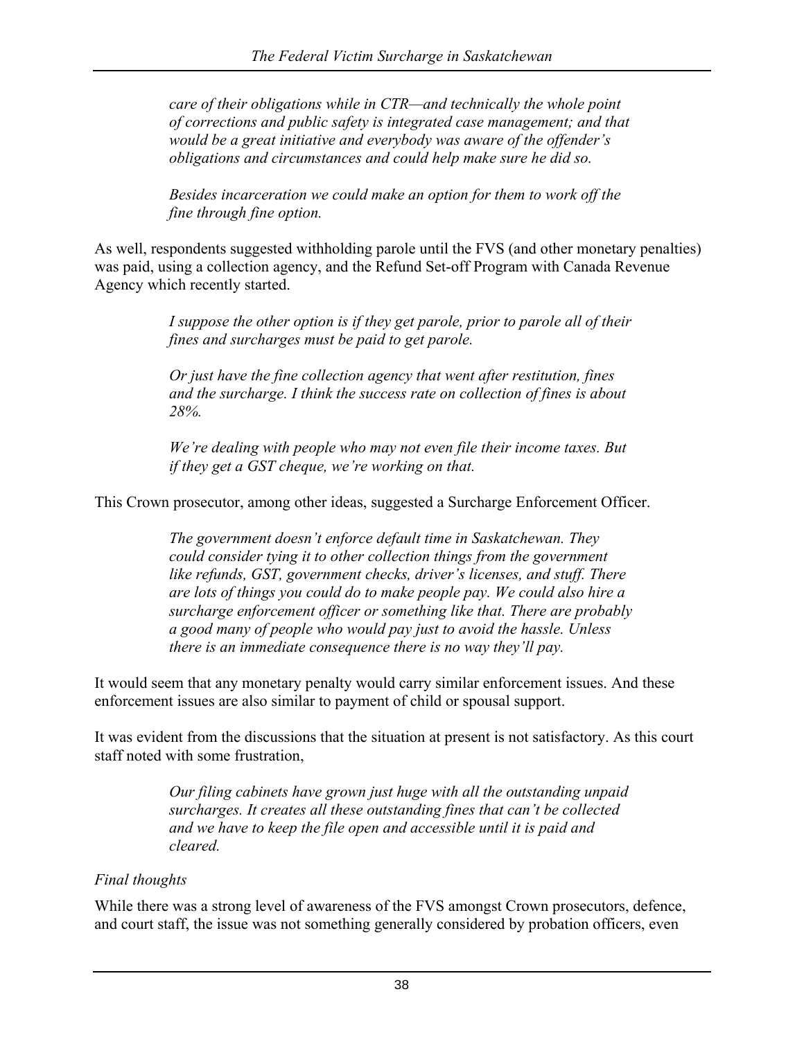*care of their obligations while in CTR—and technically the whole point of corrections and public safety is integrated case management; and that would be a great initiative and everybody was aware of the offender's obligations and circumstances and could help make sure he did so.* 

*Besides incarceration we could make an option for them to work off the fine through fine option.* 

As well, respondents suggested withholding parole until the FVS (and other monetary penalties) was paid, using a collection agency, and the Refund Set-off Program with Canada Revenue Agency which recently started.

> *I* suppose the other option is if they get parole, prior to parole all of their *fines and surcharges must be paid to get parole.*

*Or just have the fine collection agency that went after restitution, fines and the surcharge. I think the success rate on collection of fines is about 28%.* 

*We're dealing with people who may not even file their income taxes. But if they get a GST cheque, we're working on that.* 

This Crown prosecutor, among other ideas, suggested a Surcharge Enforcement Officer.

*The government doesn't enforce default time in Saskatchewan. They could consider tying it to other collection things from the government like refunds, GST, government checks, driver's licenses, and stuff. There are lots of things you could do to make people pay. We could also hire a surcharge enforcement officer or something like that. There are probably a good many of people who would pay just to avoid the hassle. Unless there is an immediate consequence there is no way they'll pay.* 

It would seem that any monetary penalty would carry similar enforcement issues. And these enforcement issues are also similar to payment of child or spousal support.

It was evident from the discussions that the situation at present is not satisfactory. As this court staff noted with some frustration,

> *Our filing cabinets have grown just huge with all the outstanding unpaid surcharges. It creates all these outstanding fines that can't be collected and we have to keep the file open and accessible until it is paid and cleared.*

## *Final thoughts*

While there was a strong level of awareness of the FVS amongst Crown prosecutors, defence, and court staff, the issue was not something generally considered by probation officers, even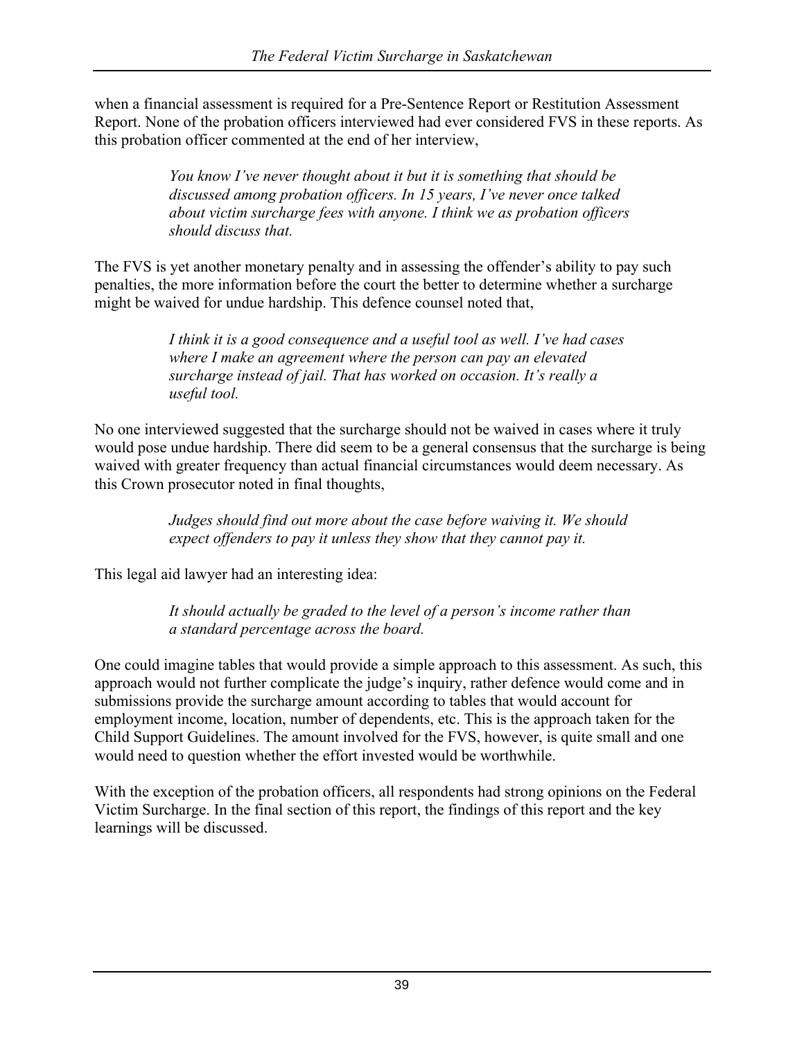when a financial assessment is required for a Pre-Sentence Report or Restitution Assessment Report. None of the probation officers interviewed had ever considered FVS in these reports. As this probation officer commented at the end of her interview,

> *You know I've never thought about it but it is something that should be discussed among probation officers. In 15 years, I've never once talked about victim surcharge fees with anyone. I think we as probation officers should discuss that.*

The FVS is yet another monetary penalty and in assessing the offender's ability to pay such penalties, the more information before the court the better to determine whether a surcharge might be waived for undue hardship. This defence counsel noted that,

> *I think it is a good consequence and a useful tool as well. I've had cases where I make an agreement where the person can pay an elevated surcharge instead of jail. That has worked on occasion. It's really a useful tool.*

No one interviewed suggested that the surcharge should not be waived in cases where it truly would pose undue hardship. There did seem to be a general consensus that the surcharge is being waived with greater frequency than actual financial circumstances would deem necessary. As this Crown prosecutor noted in final thoughts,

> *Judges should find out more about the case before waiving it. We should expect offenders to pay it unless they show that they cannot pay it.*

This legal aid lawyer had an interesting idea:

*It should actually be graded to the level of a person's income rather than a standard percentage across the board.* 

One could imagine tables that would provide a simple approach to this assessment. As such, this approach would not further complicate the judge's inquiry, rather defence would come and in submissions provide the surcharge amount according to tables that would account for employment income, location, number of dependents, etc. This is the approach taken for the Child Support Guidelines. The amount involved for the FVS, however, is quite small and one would need to question whether the effort invested would be worthwhile.

With the exception of the probation officers, all respondents had strong opinions on the Federal Victim Surcharge. In the final section of this report, the findings of this report and the key learnings will be discussed.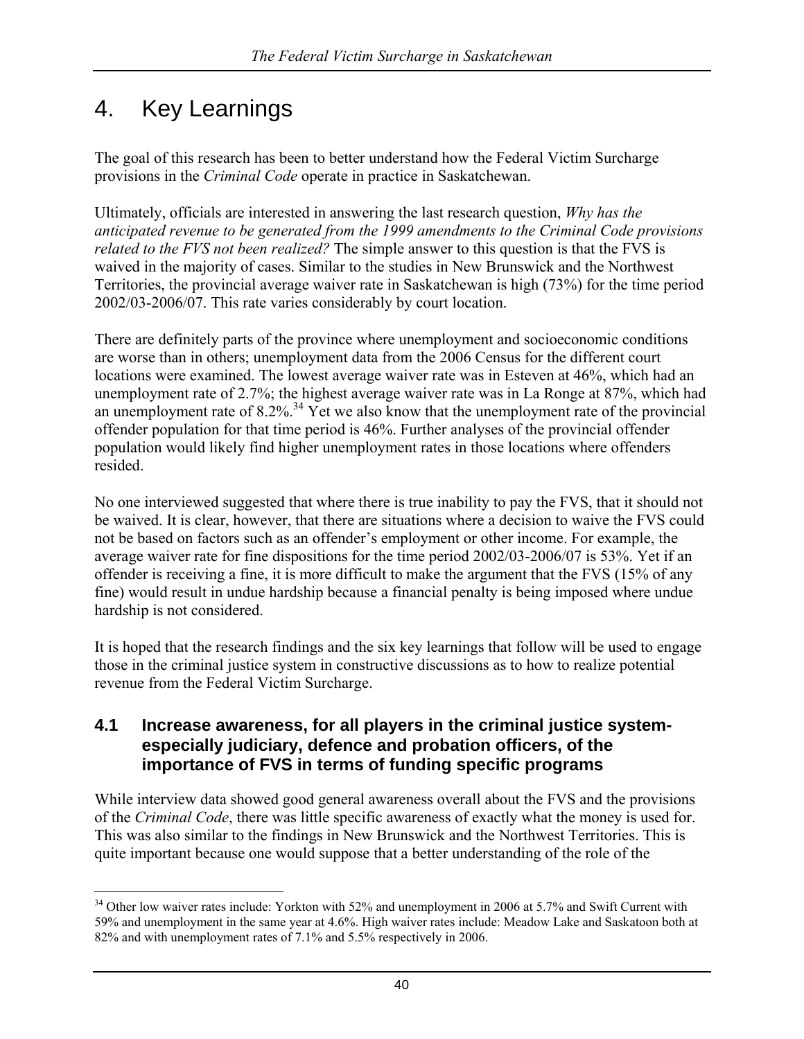# 4. Key Learnings

The goal of this research has been to better understand how the Federal Victim Surcharge provisions in the *Criminal Code* operate in practice in Saskatchewan.

Ultimately, officials are interested in answering the last research question, *Why has the anticipated revenue to be generated from the 1999 amendments to the Criminal Code provisions related to the FVS not been realized?* The simple answer to this question is that the FVS is waived in the majority of cases. Similar to the studies in New Brunswick and the Northwest Territories, the provincial average waiver rate in Saskatchewan is high (73%) for the time period 2002/03-2006/07. This rate varies considerably by court location.

There are definitely parts of the province where unemployment and socioeconomic conditions are worse than in others; unemployment data from the 2006 Census for the different court locations were examined. The lowest average waiver rate was in Esteven at 46%, which had an unemployment rate of 2.7%; the highest average waiver rate was in La Ronge at 87%, which had an unemployment rate of  $8.2\%$ <sup>34</sup> Yet we also know that the unemployment rate of the provincial offender population for that time period is 46%. Further analyses of the provincial offender population would likely find higher unemployment rates in those locations where offenders resided.

No one interviewed suggested that where there is true inability to pay the FVS, that it should not be waived. It is clear, however, that there are situations where a decision to waive the FVS could not be based on factors such as an offender's employment or other income. For example, the average waiver rate for fine dispositions for the time period 2002/03-2006/07 is 53%. Yet if an offender is receiving a fine, it is more difficult to make the argument that the FVS (15% of any fine) would result in undue hardship because a financial penalty is being imposed where undue hardship is not considered.

It is hoped that the research findings and the six key learnings that follow will be used to engage those in the criminal justice system in constructive discussions as to how to realize potential revenue from the Federal Victim Surcharge.

## **4.1 Increase awareness, for all players in the criminal justice systemespecially judiciary, defence and probation officers, of the importance of FVS in terms of funding specific programs**

While interview data showed good general awareness overall about the FVS and the provisions of the *Criminal Code*, there was little specific awareness of exactly what the money is used for. This was also similar to the findings in New Brunswick and the Northwest Territories. This is quite important because one would suppose that a better understanding of the role of the

 $\overline{a}$ <sup>34</sup> Other low waiver rates include: Yorkton with 52% and unemployment in 2006 at 5.7% and Swift Current with 59% and unemployment in the same year at 4.6%. High waiver rates include: Meadow Lake and Saskatoon both at 82% and with unemployment rates of 7.1% and 5.5% respectively in 2006.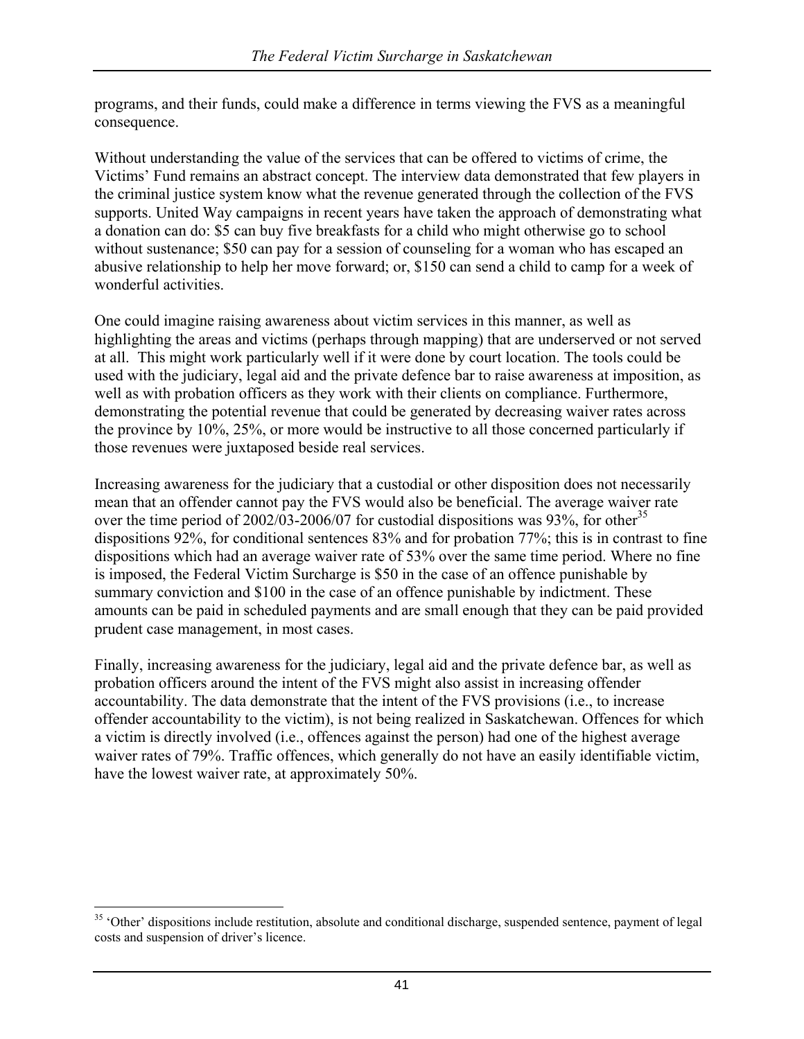programs, and their funds, could make a difference in terms viewing the FVS as a meaningful consequence.

Without understanding the value of the services that can be offered to victims of crime, the Victims' Fund remains an abstract concept. The interview data demonstrated that few players in the criminal justice system know what the revenue generated through the collection of the FVS supports. United Way campaigns in recent years have taken the approach of demonstrating what a donation can do: \$5 can buy five breakfasts for a child who might otherwise go to school without sustenance; \$50 can pay for a session of counseling for a woman who has escaped an abusive relationship to help her move forward; or, \$150 can send a child to camp for a week of wonderful activities.

One could imagine raising awareness about victim services in this manner, as well as highlighting the areas and victims (perhaps through mapping) that are underserved or not served at all. This might work particularly well if it were done by court location. The tools could be used with the judiciary, legal aid and the private defence bar to raise awareness at imposition, as well as with probation officers as they work with their clients on compliance. Furthermore, demonstrating the potential revenue that could be generated by decreasing waiver rates across the province by 10%, 25%, or more would be instructive to all those concerned particularly if those revenues were juxtaposed beside real services.

Increasing awareness for the judiciary that a custodial or other disposition does not necessarily mean that an offender cannot pay the FVS would also be beneficial. The average waiver rate over the time period of  $2002/03-2006/07$  for custodial dispositions was 93%, for other<sup>35</sup> dispositions 92%, for conditional sentences 83% and for probation 77%; this is in contrast to fine dispositions which had an average waiver rate of 53% over the same time period. Where no fine is imposed, the Federal Victim Surcharge is \$50 in the case of an offence punishable by summary conviction and \$100 in the case of an offence punishable by indictment. These amounts can be paid in scheduled payments and are small enough that they can be paid provided prudent case management, in most cases.

Finally, increasing awareness for the judiciary, legal aid and the private defence bar, as well as probation officers around the intent of the FVS might also assist in increasing offender accountability. The data demonstrate that the intent of the FVS provisions (i.e., to increase offender accountability to the victim), is not being realized in Saskatchewan. Offences for which a victim is directly involved (i.e., offences against the person) had one of the highest average waiver rates of 79%. Traffic offences, which generally do not have an easily identifiable victim, have the lowest waiver rate, at approximately 50%.

<u>.</u>

<sup>&</sup>lt;sup>35</sup> 'Other' dispositions include restitution, absolute and conditional discharge, suspended sentence, payment of legal costs and suspension of driver's licence.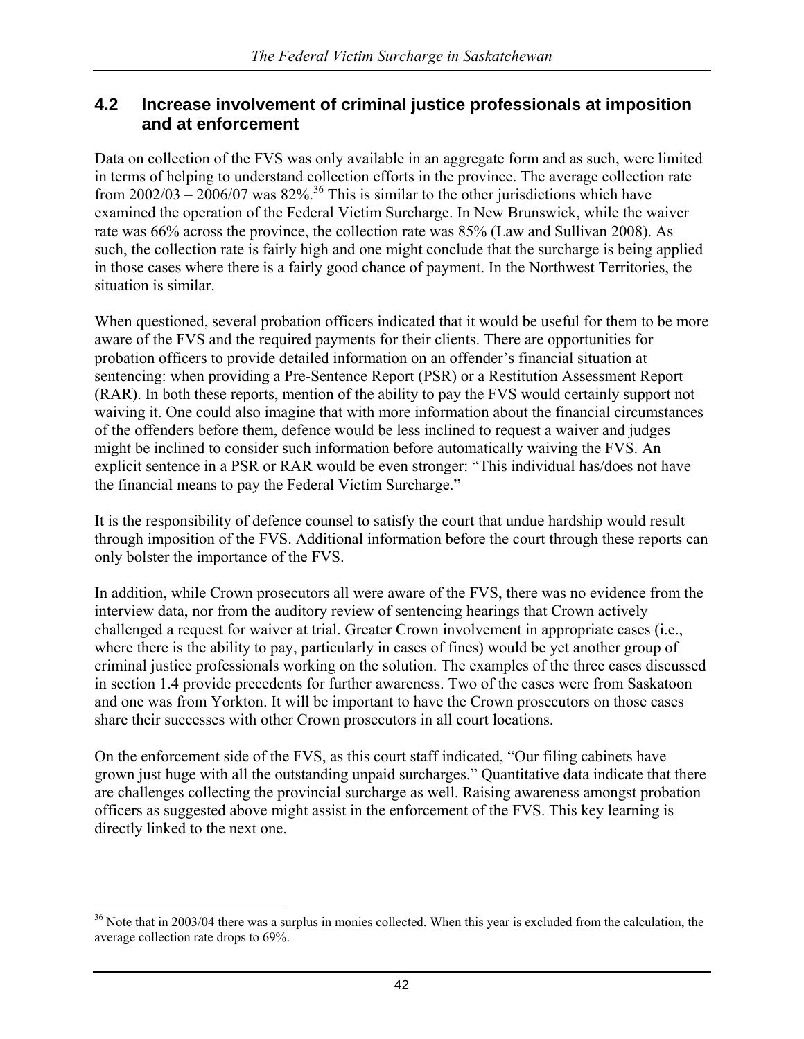## **4.2 Increase involvement of criminal justice professionals at imposition and at enforcement**

Data on collection of the FVS was only available in an aggregate form and as such, were limited in terms of helping to understand collection efforts in the province. The average collection rate from  $2002/03 - 2006/07$  was  $82\%$ .<sup>36</sup> This is similar to the other jurisdictions which have examined the operation of the Federal Victim Surcharge. In New Brunswick, while the waiver rate was 66% across the province, the collection rate was 85% (Law and Sullivan 2008). As such, the collection rate is fairly high and one might conclude that the surcharge is being applied in those cases where there is a fairly good chance of payment. In the Northwest Territories, the situation is similar.

When questioned, several probation officers indicated that it would be useful for them to be more aware of the FVS and the required payments for their clients. There are opportunities for probation officers to provide detailed information on an offender's financial situation at sentencing: when providing a Pre-Sentence Report (PSR) or a Restitution Assessment Report (RAR). In both these reports, mention of the ability to pay the FVS would certainly support not waiving it. One could also imagine that with more information about the financial circumstances of the offenders before them, defence would be less inclined to request a waiver and judges might be inclined to consider such information before automatically waiving the FVS. An explicit sentence in a PSR or RAR would be even stronger: "This individual has/does not have the financial means to pay the Federal Victim Surcharge."

It is the responsibility of defence counsel to satisfy the court that undue hardship would result through imposition of the FVS. Additional information before the court through these reports can only bolster the importance of the FVS.

In addition, while Crown prosecutors all were aware of the FVS, there was no evidence from the interview data, nor from the auditory review of sentencing hearings that Crown actively challenged a request for waiver at trial. Greater Crown involvement in appropriate cases (i.e., where there is the ability to pay, particularly in cases of fines) would be yet another group of criminal justice professionals working on the solution. The examples of the three cases discussed in section 1.4 provide precedents for further awareness. Two of the cases were from Saskatoon and one was from Yorkton. It will be important to have the Crown prosecutors on those cases share their successes with other Crown prosecutors in all court locations.

On the enforcement side of the FVS, as this court staff indicated, "Our filing cabinets have grown just huge with all the outstanding unpaid surcharges." Quantitative data indicate that there are challenges collecting the provincial surcharge as well. Raising awareness amongst probation officers as suggested above might assist in the enforcement of the FVS. This key learning is directly linked to the next one.

 $\overline{a}$ <sup>36</sup> Note that in 2003/04 there was a surplus in monies collected. When this year is excluded from the calculation, the average collection rate drops to 69%.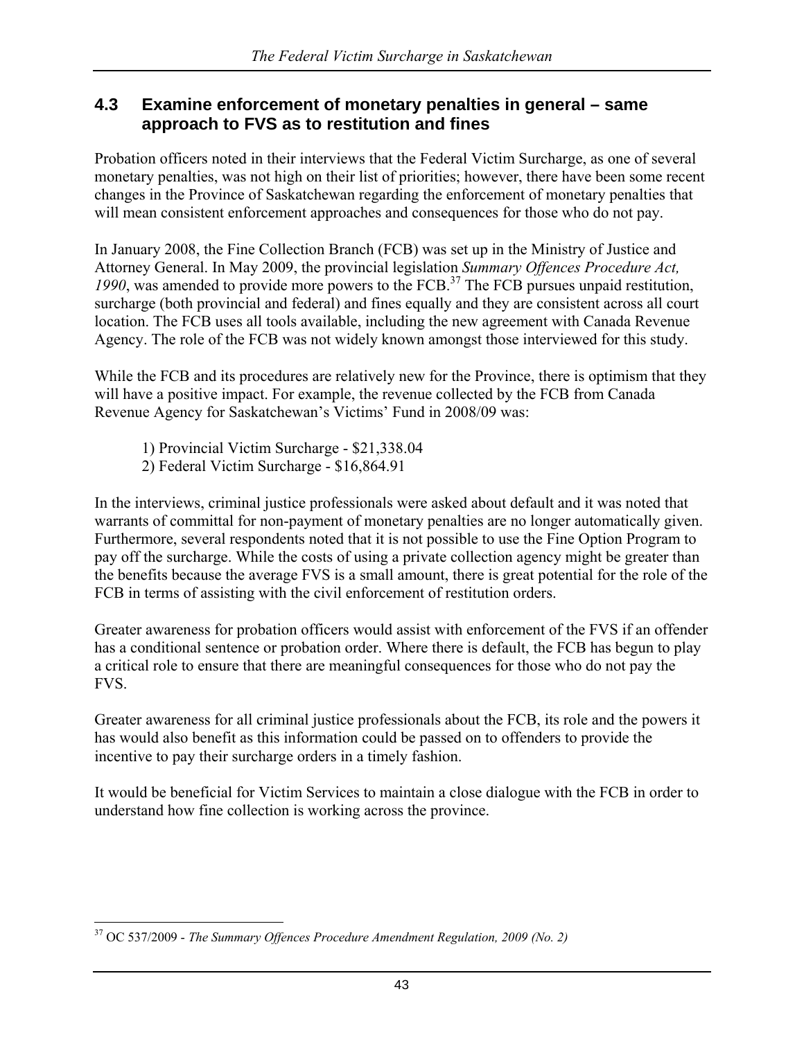## **4.3 Examine enforcement of monetary penalties in general – same approach to FVS as to restitution and fines**

Probation officers noted in their interviews that the Federal Victim Surcharge, as one of several monetary penalties, was not high on their list of priorities; however, there have been some recent changes in the Province of Saskatchewan regarding the enforcement of monetary penalties that will mean consistent enforcement approaches and consequences for those who do not pay.

In January 2008, the Fine Collection Branch (FCB) was set up in the Ministry of Justice and Attorney General. In May 2009, the provincial legislation *Summary Offences Procedure Act,*  1990, was amended to provide more powers to the FCB.<sup>37</sup> The FCB pursues unpaid restitution, surcharge (both provincial and federal) and fines equally and they are consistent across all court location. The FCB uses all tools available, including the new agreement with Canada Revenue Agency. The role of the FCB was not widely known amongst those interviewed for this study.

While the FCB and its procedures are relatively new for the Province, there is optimism that they will have a positive impact. For example, the revenue collected by the FCB from Canada Revenue Agency for Saskatchewan's Victims' Fund in 2008/09 was:

- 1) Provincial Victim Surcharge \$21,338.04
- 2) Federal Victim Surcharge \$16,864.91

In the interviews, criminal justice professionals were asked about default and it was noted that warrants of committal for non-payment of monetary penalties are no longer automatically given. Furthermore, several respondents noted that it is not possible to use the Fine Option Program to pay off the surcharge. While the costs of using a private collection agency might be greater than the benefits because the average FVS is a small amount, there is great potential for the role of the FCB in terms of assisting with the civil enforcement of restitution orders.

Greater awareness for probation officers would assist with enforcement of the FVS if an offender has a conditional sentence or probation order. Where there is default, the FCB has begun to play a critical role to ensure that there are meaningful consequences for those who do not pay the FVS.

Greater awareness for all criminal justice professionals about the FCB, its role and the powers it has would also benefit as this information could be passed on to offenders to provide the incentive to pay their surcharge orders in a timely fashion.

It would be beneficial for Victim Services to maintain a close dialogue with the FCB in order to understand how fine collection is working across the province.

 $\overline{a}$ 37 OC 537/2009 - *The Summary Offences Procedure Amendment Regulation, 2009 (No. 2)*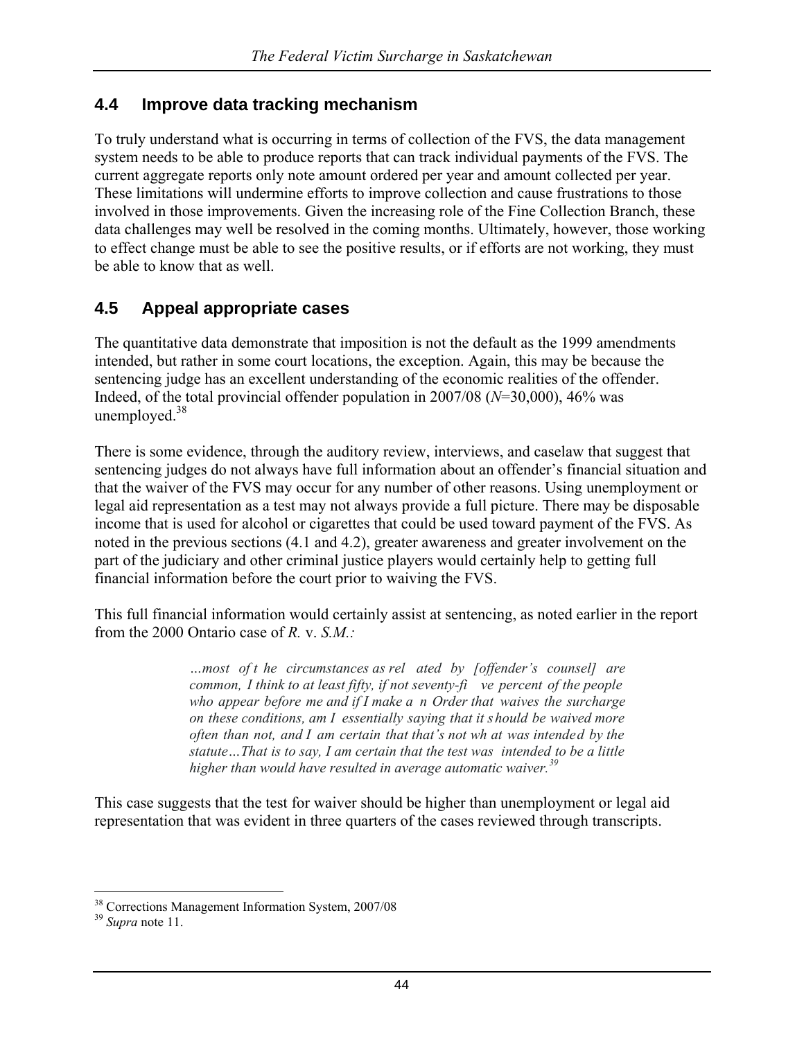## **4.4 Improve data tracking mechanism**

To truly understand what is occurring in terms of collection of the FVS, the data management system needs to be able to produce reports that can track individual payments of the FVS. The current aggregate reports only note amount ordered per year and amount collected per year. These limitations will undermine efforts to improve collection and cause frustrations to those involved in those improvements. Given the increasing role of the Fine Collection Branch, these data challenges may well be resolved in the coming months. Ultimately, however, those working to effect change must be able to see the positive results, or if efforts are not working, they must be able to know that as well.

## **4.5 Appeal appropriate cases**

The quantitative data demonstrate that imposition is not the default as the 1999 amendments intended, but rather in some court locations, the exception. Again, this may be because the sentencing judge has an excellent understanding of the economic realities of the offender. Indeed, of the total provincial offender population in 2007/08 (*N*=30,000), 46% was unemployed. $38$ 

There is some evidence, through the auditory review, interviews, and caselaw that suggest that sentencing judges do not always have full information about an offender's financial situation and that the waiver of the FVS may occur for any number of other reasons. Using unemployment or legal aid representation as a test may not always provide a full picture. There may be disposable income that is used for alcohol or cigarettes that could be used toward payment of the FVS. As noted in the previous sections (4.1 and 4.2), greater awareness and greater involvement on the part of the judiciary and other criminal justice players would certainly help to getting full financial information before the court prior to waiving the FVS.

This full financial information would certainly assist at sentencing, as noted earlier in the report from the 2000 Ontario case of *R.* v. *S.M.:*

> *…most of t he circumstances as rel ated by [offender's counsel] are common, I think to at least fifty, if not seventy-fi ve percent of the people who appear before me and if I make a n Order that waives the surcharge on these conditions, am I essentially saying that it should be waived more often than not, and I am certain that that's not wh at was intended by the statute…That is to say, I am certain that the test was intended to be a little higher than would have resulted in average automatic waiver.<sup>39</sup>*

This case suggests that the test for waiver should be higher than unemployment or legal aid representation that was evident in three quarters of the cases reviewed through transcripts.

 $\overline{a}$ <sup>38</sup> Corrections Management Information System, 2007/08

<sup>39</sup> *Supra* note 11.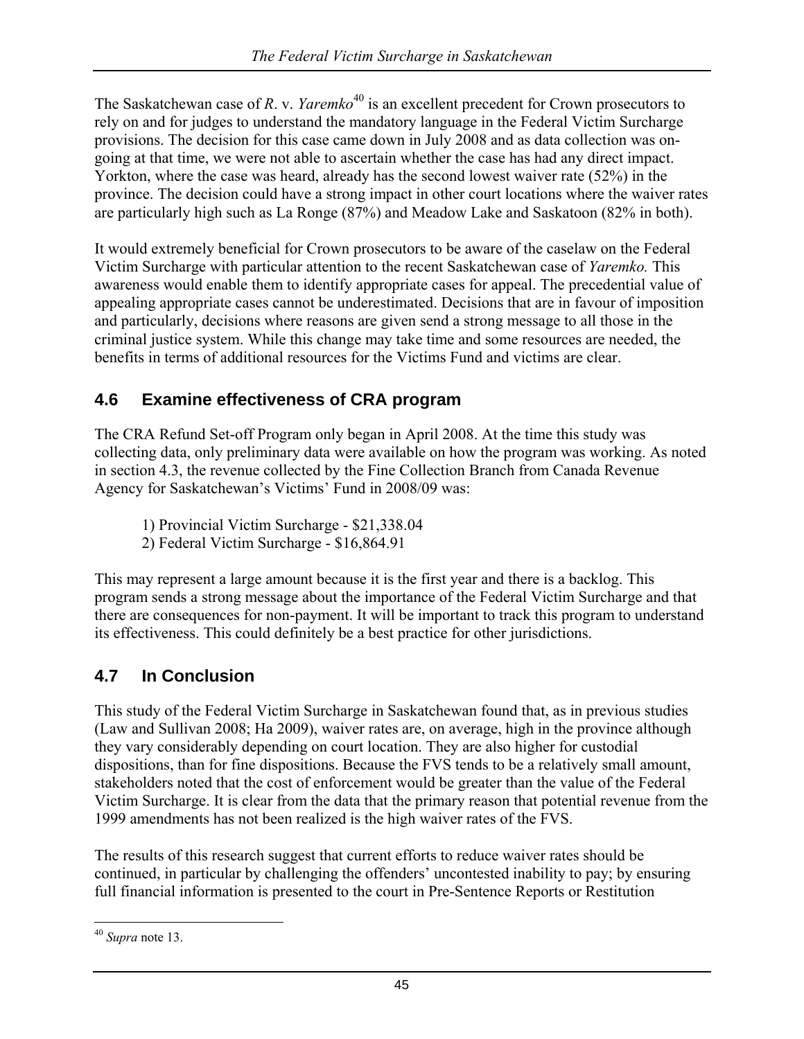The Saskatchewan case of *R*. v. *Yaremko*<sup>40</sup> is an excellent precedent for Crown prosecutors to rely on and for judges to understand the mandatory language in the Federal Victim Surcharge provisions. The decision for this case came down in July 2008 and as data collection was ongoing at that time, we were not able to ascertain whether the case has had any direct impact. Yorkton, where the case was heard, already has the second lowest waiver rate (52%) in the province. The decision could have a strong impact in other court locations where the waiver rates are particularly high such as La Ronge (87%) and Meadow Lake and Saskatoon (82% in both).

It would extremely beneficial for Crown prosecutors to be aware of the caselaw on the Federal Victim Surcharge with particular attention to the recent Saskatchewan case of *Yaremko.* This awareness would enable them to identify appropriate cases for appeal. The precedential value of appealing appropriate cases cannot be underestimated. Decisions that are in favour of imposition and particularly, decisions where reasons are given send a strong message to all those in the criminal justice system. While this change may take time and some resources are needed, the benefits in terms of additional resources for the Victims Fund and victims are clear.

## **4.6 Examine effectiveness of CRA program**

The CRA Refund Set-off Program only began in April 2008. At the time this study was collecting data, only preliminary data were available on how the program was working. As noted in section 4.3, the revenue collected by the Fine Collection Branch from Canada Revenue Agency for Saskatchewan's Victims' Fund in 2008/09 was:

- 1) Provincial Victim Surcharge \$21,338.04
- 2) Federal Victim Surcharge \$16,864.91

This may represent a large amount because it is the first year and there is a backlog. This program sends a strong message about the importance of the Federal Victim Surcharge and that there are consequences for non-payment. It will be important to track this program to understand its effectiveness. This could definitely be a best practice for other jurisdictions.

## **4.7 In Conclusion**

This study of the Federal Victim Surcharge in Saskatchewan found that, as in previous studies (Law and Sullivan 2008; Ha 2009), waiver rates are, on average, high in the province although they vary considerably depending on court location. They are also higher for custodial dispositions, than for fine dispositions. Because the FVS tends to be a relatively small amount, stakeholders noted that the cost of enforcement would be greater than the value of the Federal Victim Surcharge. It is clear from the data that the primary reason that potential revenue from the 1999 amendments has not been realized is the high waiver rates of the FVS.

The results of this research suggest that current efforts to reduce waiver rates should be continued, in particular by challenging the offenders' uncontested inability to pay; by ensuring full financial information is presented to the court in Pre-Sentence Reports or Restitution

 $\overline{a}$ <sup>40</sup> *Supra* note 13.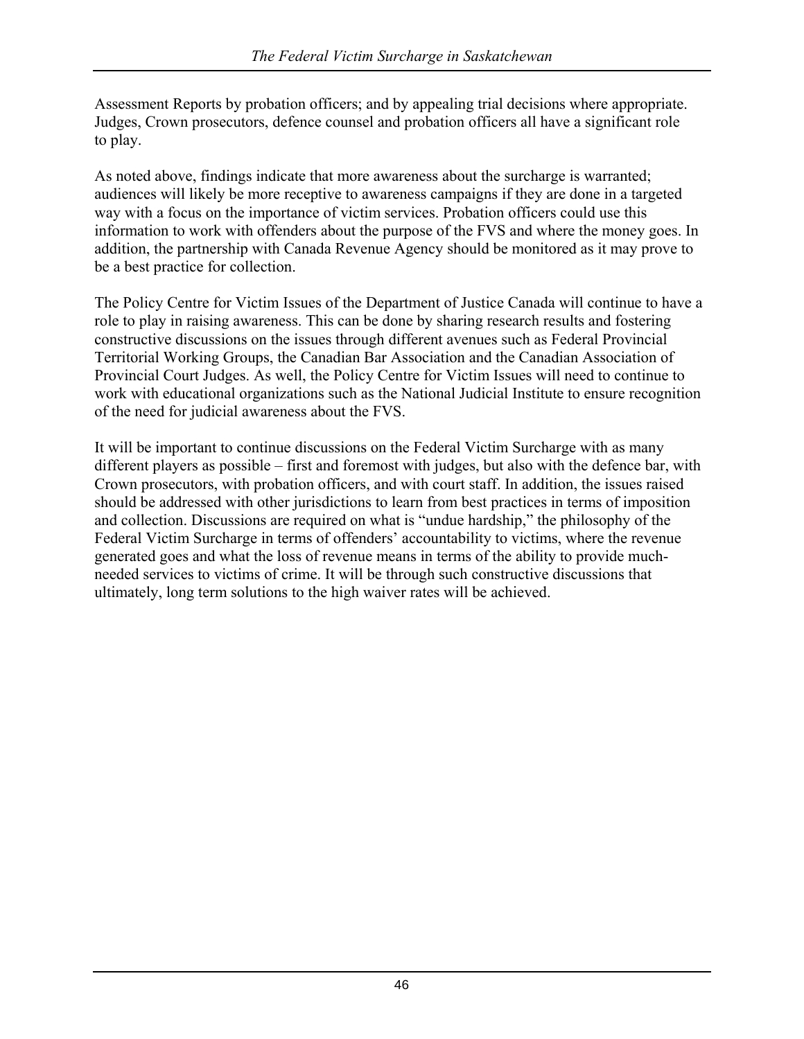Assessment Reports by probation officers; and by appealing trial decisions where appropriate. Judges, Crown prosecutors, defence counsel and probation officers all have a significant role to play.

As noted above, findings indicate that more awareness about the surcharge is warranted; audiences will likely be more receptive to awareness campaigns if they are done in a targeted way with a focus on the importance of victim services. Probation officers could use this information to work with offenders about the purpose of the FVS and where the money goes. In addition, the partnership with Canada Revenue Agency should be monitored as it may prove to be a best practice for collection.

The Policy Centre for Victim Issues of the Department of Justice Canada will continue to have a role to play in raising awareness. This can be done by sharing research results and fostering constructive discussions on the issues through different avenues such as Federal Provincial Territorial Working Groups, the Canadian Bar Association and the Canadian Association of Provincial Court Judges. As well, the Policy Centre for Victim Issues will need to continue to work with educational organizations such as the National Judicial Institute to ensure recognition of the need for judicial awareness about the FVS.

It will be important to continue discussions on the Federal Victim Surcharge with as many different players as possible – first and foremost with judges, but also with the defence bar, with Crown prosecutors, with probation officers, and with court staff. In addition, the issues raised should be addressed with other jurisdictions to learn from best practices in terms of imposition and collection. Discussions are required on what is "undue hardship," the philosophy of the Federal Victim Surcharge in terms of offenders' accountability to victims, where the revenue generated goes and what the loss of revenue means in terms of the ability to provide muchneeded services to victims of crime. It will be through such constructive discussions that ultimately, long term solutions to the high waiver rates will be achieved.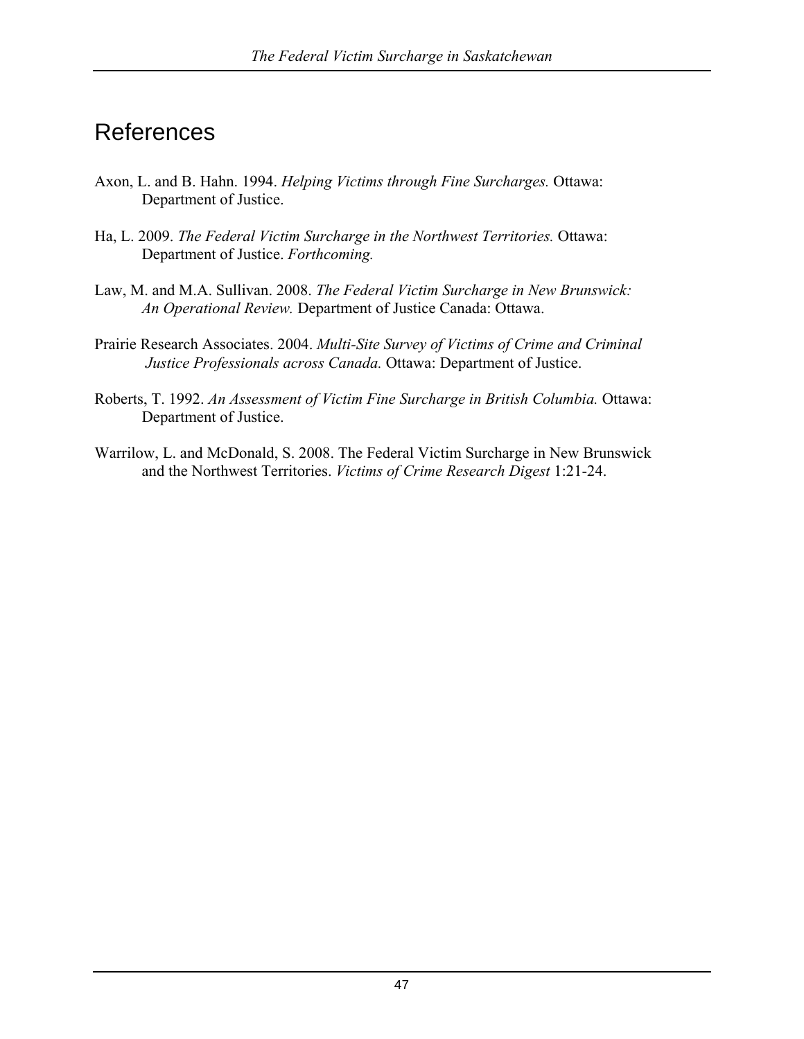## References

- Axon, L. and B. Hahn. 1994. *Helping Victims through Fine Surcharges.* Ottawa: Department of Justice.
- Ha, L. 2009. *The Federal Victim Surcharge in the Northwest Territories.* Ottawa: Department of Justice. *Forthcoming.*
- Law, M. and M.A. Sullivan. 2008. *The Federal Victim Surcharge in New Brunswick: An Operational Review.* Department of Justice Canada: Ottawa.
- Prairie Research Associates. 2004. *Multi-Site Survey of Victims of Crime and Criminal Justice Professionals across Canada.* Ottawa: Department of Justice.
- Roberts, T. 1992. *An Assessment of Victim Fine Surcharge in British Columbia.* Ottawa: Department of Justice.
- Warrilow, L. and McDonald, S. 2008. The Federal Victim Surcharge in New Brunswick and the Northwest Territories. *Victims of Crime Research Digest* 1:21-24.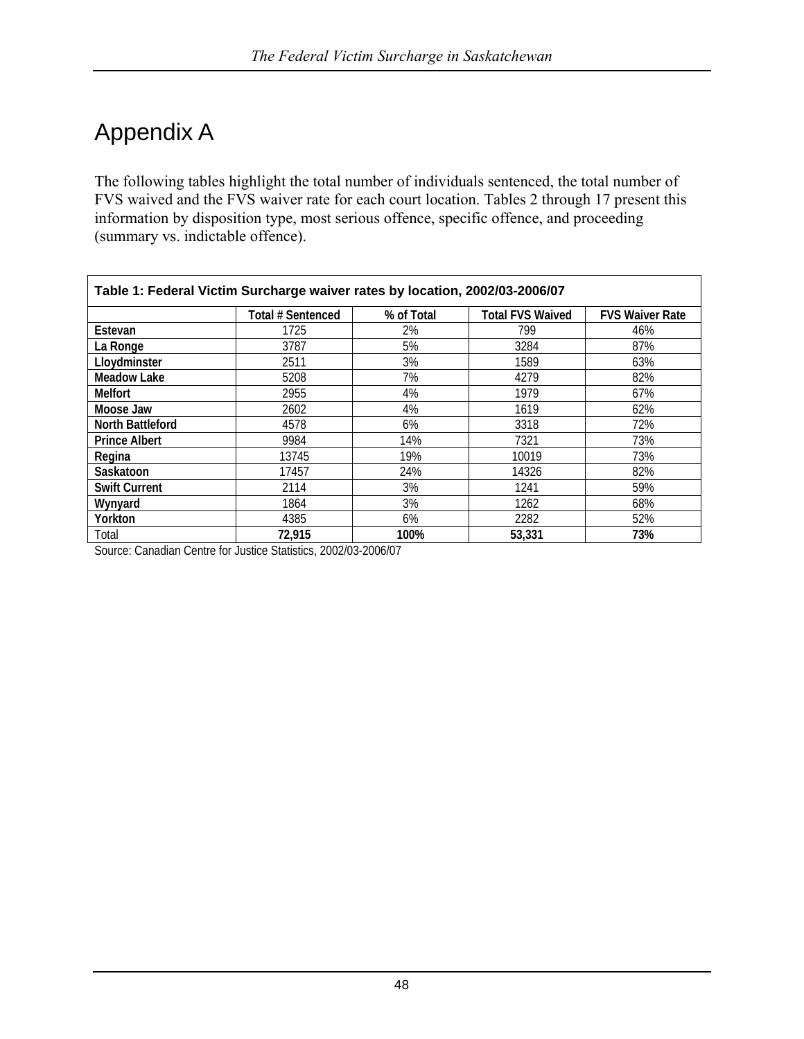# Appendix A

The following tables highlight the total number of individuals sentenced, the total number of FVS waived and the FVS waiver rate for each court location. Tables 2 through 17 present this information by disposition type, most serious offence, specific offence, and proceeding (summary vs. indictable offence).

| Table 1: Federal Victim Surcharge waiver rates by location, 2002/03-2006/07 |                   |            |                         |                        |  |
|-----------------------------------------------------------------------------|-------------------|------------|-------------------------|------------------------|--|
|                                                                             | Total # Sentenced | % of Total | <b>Total FVS Waived</b> | <b>FVS Waiver Rate</b> |  |
| Estevan                                                                     | 1725              | 2%         | 799                     | 46%                    |  |
| La Ronge                                                                    | 3787              | 5%         | 3284                    | 87%                    |  |
| Lloydminster                                                                | 2511              | 3%         | 1589                    | 63%                    |  |
| <b>Meadow Lake</b>                                                          | 5208              | 7%         | 4279                    | 82%                    |  |
| <b>Melfort</b>                                                              | 2955              | 4%         | 1979                    | 67%                    |  |
| Moose Jaw                                                                   | 2602              | 4%         | 1619                    | 62%                    |  |
| <b>North Battleford</b>                                                     | 4578              | 6%         | 3318                    | 72%                    |  |
| <b>Prince Albert</b>                                                        | 9984              | 14%        | 7321                    | 73%                    |  |
| Regina                                                                      | 13745             | 19%        | 10019                   | 73%                    |  |
| Saskatoon                                                                   | 17457             | 24%        | 14326                   | 82%                    |  |
| <b>Swift Current</b>                                                        | 2114              | 3%         | 1241                    | 59%                    |  |
| Wynyard                                                                     | 1864              | 3%         | 1262                    | 68%                    |  |
| Yorkton                                                                     | 4385              | 6%         | 2282                    | 52%                    |  |
| Total                                                                       | 72,915            | 100%       | 53,331                  | 73%                    |  |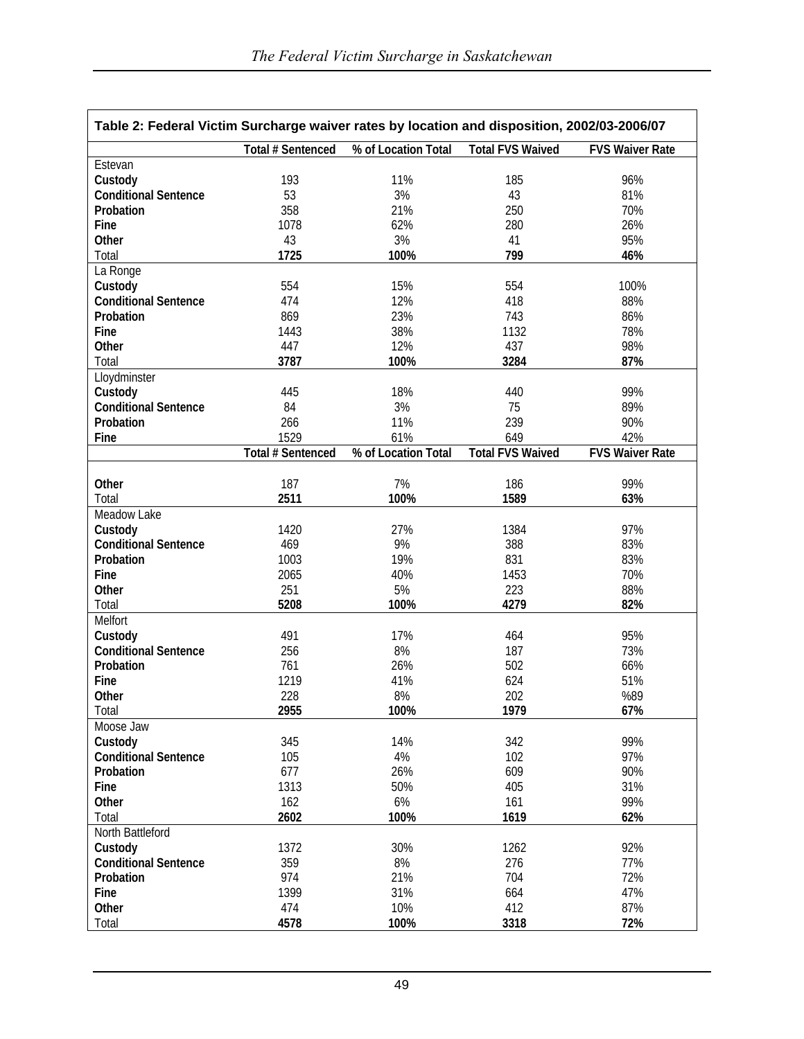| Table 2: Federal Victim Surcharge waiver rates by location and disposition, 2002/03-2006/07 |                          |                     |                         |                        |
|---------------------------------------------------------------------------------------------|--------------------------|---------------------|-------------------------|------------------------|
|                                                                                             | <b>Total # Sentenced</b> | % of Location Total | <b>Total FVS Waived</b> | <b>FVS Waiver Rate</b> |
| Estevan                                                                                     |                          |                     |                         |                        |
| Custody                                                                                     | 193                      | 11%                 | 185                     | 96%                    |
| <b>Conditional Sentence</b>                                                                 | 53                       | 3%                  | 43                      | 81%                    |
| Probation                                                                                   | 358                      | 21%                 | 250                     | 70%                    |
| Fine                                                                                        | 1078                     | 62%                 | 280                     | 26%                    |
| Other                                                                                       | 43                       | 3%                  | 41                      | 95%                    |
| Total                                                                                       | 1725                     | 100%                | 799                     | 46%                    |
| La Ronge                                                                                    |                          |                     |                         |                        |
| Custody                                                                                     | 554                      | 15%                 | 554                     | 100%                   |
| <b>Conditional Sentence</b>                                                                 | 474                      | 12%                 | 418                     | 88%                    |
| Probation                                                                                   | 869                      | 23%                 | 743                     | 86%                    |
| Fine                                                                                        | 1443                     | 38%                 | 1132                    | 78%                    |
| Other                                                                                       | 447                      | 12%                 | 437                     | 98%                    |
| Total                                                                                       | 3787                     | 100%                | 3284                    | 87%                    |
| Lloydminster                                                                                |                          |                     |                         |                        |
| Custody                                                                                     | 445                      | 18%                 | 440                     | 99%                    |
| <b>Conditional Sentence</b>                                                                 | 84                       | 3%                  | 75                      | 89%                    |
| Probation                                                                                   | 266                      | 11%                 | 239                     | 90%                    |
| Fine                                                                                        | 1529                     | 61%                 | 649                     | 42%                    |
|                                                                                             | <b>Total # Sentenced</b> | % of Location Total | <b>Total FVS Waived</b> | <b>FVS Waiver Rate</b> |
|                                                                                             |                          |                     |                         |                        |
| Other                                                                                       | 187                      | 7%                  | 186                     | 99%                    |
| Total                                                                                       | 2511                     | 100%                | 1589                    | 63%                    |
| Meadow Lake                                                                                 |                          |                     |                         |                        |
| Custody                                                                                     | 1420                     | 27%                 | 1384                    | 97%                    |
| <b>Conditional Sentence</b>                                                                 | 469                      | 9%                  | 388                     | 83%                    |
| Probation                                                                                   | 1003                     | 19%                 | 831                     | 83%                    |
| Fine                                                                                        | 2065                     | 40%                 | 1453                    | 70%                    |
| Other                                                                                       | 251                      | 5%                  | 223                     | 88%                    |
| Total                                                                                       | 5208                     | 100%                | 4279                    | 82%                    |
| Melfort                                                                                     |                          |                     |                         |                        |
|                                                                                             | 491                      | 17%                 | 464                     | 95%                    |
| Custody<br><b>Conditional Sentence</b>                                                      |                          | 8%                  |                         |                        |
|                                                                                             | 256                      |                     | 187                     | 73%                    |
| Probation                                                                                   | 761<br>1219              | 26%<br>41%          | 502<br>624              | 66%<br>51%             |
| Fine                                                                                        |                          | 8%                  | 202                     |                        |
| Other                                                                                       | 228                      |                     | 1979                    | %89                    |
| Total                                                                                       | 2955                     | 100%                |                         | 67%                    |
| Moose Jaw                                                                                   |                          |                     |                         |                        |
| Custody                                                                                     | 345                      | 14%                 | 342                     | 99%                    |
| <b>Conditional Sentence</b>                                                                 | 105                      | 4%                  | 102                     | 97%                    |
| Probation                                                                                   | 677                      | 26%                 | 609                     | 90%                    |
| Fine                                                                                        | 1313                     | 50%                 | 405                     | 31%                    |
| Other                                                                                       | 162                      | 6%                  | 161                     | 99%                    |
| Total                                                                                       | 2602                     | 100%                | 1619                    | 62%                    |
| North Battleford                                                                            |                          |                     |                         |                        |
| Custody                                                                                     | 1372                     | 30%                 | 1262                    | 92%                    |
| <b>Conditional Sentence</b>                                                                 | 359                      | 8%                  | 276                     | 77%                    |
| Probation                                                                                   | 974                      | 21%                 | 704                     | 72%                    |
| Fine                                                                                        | 1399                     | 31%                 | 664                     | 47%                    |
| Other                                                                                       | 474                      | 10%                 | 412                     | 87%                    |
| Total                                                                                       | 4578                     | 100%                | 3318                    | 72%                    |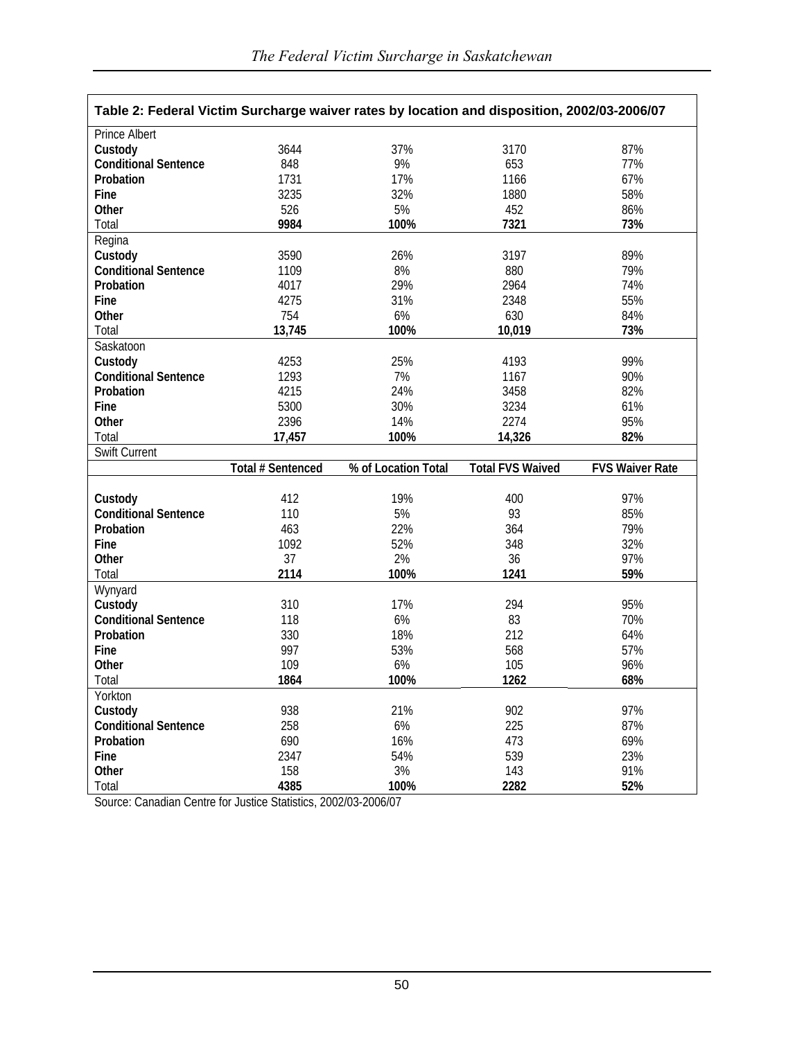| Table 2: Federal Victim Surcharge waiver rates by location and disposition, 2002/03-2006/07 |                          |                     |                         |                        |
|---------------------------------------------------------------------------------------------|--------------------------|---------------------|-------------------------|------------------------|
| <b>Prince Albert</b>                                                                        |                          |                     |                         |                        |
| Custody                                                                                     | 3644                     | 37%                 | 3170                    | 87%                    |
| <b>Conditional Sentence</b>                                                                 | 848                      | 9%                  | 653                     | 77%                    |
| Probation                                                                                   | 1731                     | 17%                 | 1166                    | 67%                    |
| Fine                                                                                        | 3235                     | 32%                 | 1880                    | 58%                    |
| Other                                                                                       | 526                      | 5%                  | 452                     | 86%                    |
| Total                                                                                       | 9984                     | 100%                | 7321                    | 73%                    |
| Regina                                                                                      |                          |                     |                         |                        |
| Custody                                                                                     | 3590                     | 26%                 | 3197                    | 89%                    |
| <b>Conditional Sentence</b>                                                                 | 1109                     | 8%                  | 880                     | 79%                    |
| Probation                                                                                   | 4017                     | 29%                 | 2964                    | 74%                    |
| Fine                                                                                        | 4275                     | 31%                 | 2348                    | 55%                    |
| Other                                                                                       | 754                      | 6%                  | 630                     | 84%                    |
| Total                                                                                       | 13,745                   | 100%                | 10,019                  | 73%                    |
| Saskatoon                                                                                   |                          |                     |                         |                        |
| Custody                                                                                     | 4253                     | 25%                 | 4193                    | 99%                    |
| <b>Conditional Sentence</b>                                                                 | 1293                     | 7%                  | 1167                    | 90%                    |
| Probation                                                                                   | 4215                     | 24%                 | 3458                    | 82%                    |
| Fine                                                                                        | 5300                     | 30%                 | 3234                    | 61%                    |
| Other                                                                                       | 2396                     | 14%                 | 2274                    | 95%                    |
| Total                                                                                       | 17,457                   | 100%                | 14,326                  | 82%                    |
|                                                                                             |                          |                     |                         |                        |
|                                                                                             |                          |                     |                         |                        |
| Swift Current                                                                               | <b>Total # Sentenced</b> | % of Location Total | <b>Total FVS Waived</b> | <b>FVS Waiver Rate</b> |
|                                                                                             |                          |                     |                         |                        |
| Custody                                                                                     | 412                      | 19%                 | 400                     | 97%                    |
| <b>Conditional Sentence</b>                                                                 | 110                      | 5%                  | 93                      | 85%                    |
| Probation                                                                                   | 463                      | 22%                 | 364                     | 79%                    |
| Fine                                                                                        | 1092                     | 52%                 | 348                     | 32%                    |
| Other                                                                                       | 37                       | 2%                  | 36                      | 97%                    |
| Total                                                                                       | 2114                     | 100%                | 1241                    | 59%                    |
| Wynyard                                                                                     |                          |                     |                         |                        |
| Custody                                                                                     | 310                      | 17%                 | 294                     | 95%                    |
| <b>Conditional Sentence</b>                                                                 | 118                      | 6%                  | 83                      | 70%                    |
| Probation                                                                                   | 330                      | 18%                 | 212                     | 64%                    |
| Fine                                                                                        | 997                      | 53%                 | 568                     | 57%                    |
| Other                                                                                       | 109                      | 6%                  | 105                     | 96%                    |
| Total                                                                                       | 1864                     | 100%                | 1262                    | 68%                    |
| Yorkton                                                                                     |                          |                     |                         |                        |
| Custody                                                                                     | 938                      | 21%                 | 902                     | 97%                    |
| <b>Conditional Sentence</b>                                                                 | 258                      | $6\%$               | 225                     | 87%                    |
| Probation                                                                                   | 690                      | 16%                 | 473                     | 69%                    |
| Fine                                                                                        | 2347                     | 54%                 | 539                     | 23%                    |
| Other                                                                                       | 158                      | 3%                  | 143                     | 91%                    |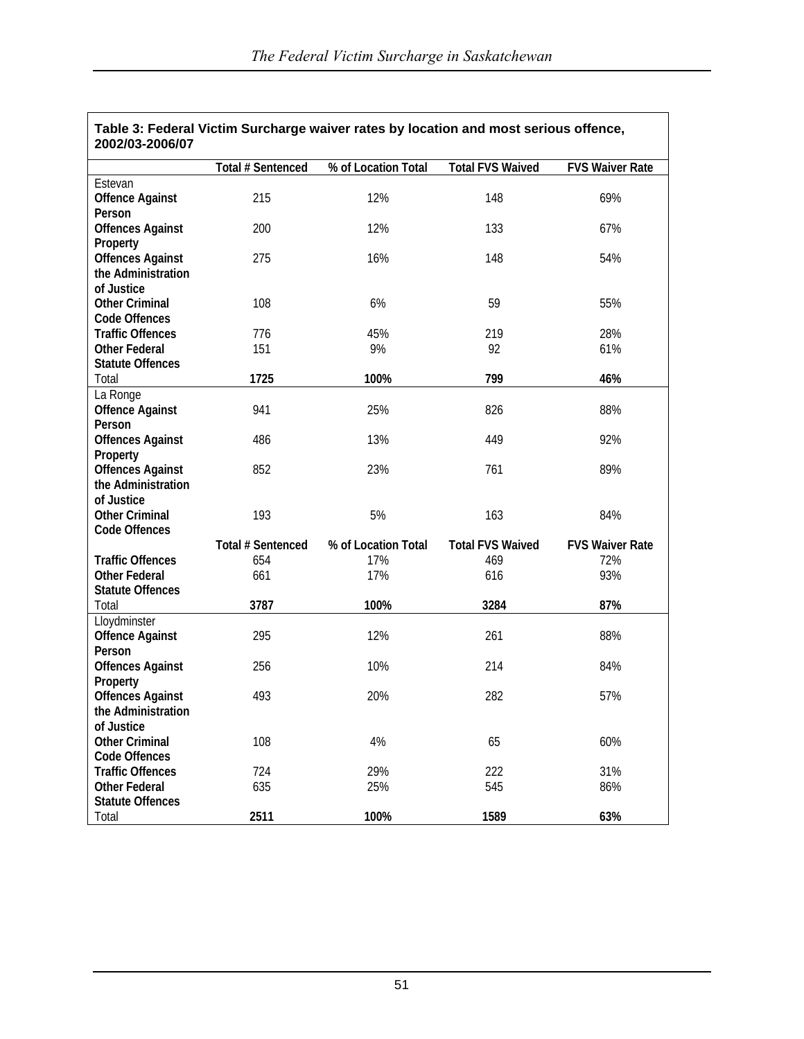$\overline{1}$ 

| Table 3: Federal Victim Surcharge waiver rates by location and most serious offence,<br>2002/03-2006/07 |                          |                     |                         |                        |
|---------------------------------------------------------------------------------------------------------|--------------------------|---------------------|-------------------------|------------------------|
|                                                                                                         | <b>Total # Sentenced</b> | % of Location Total | <b>Total FVS Waived</b> | <b>FVS Waiver Rate</b> |
| Estevan                                                                                                 |                          |                     |                         |                        |
| <b>Offence Against</b>                                                                                  | 215                      | 12%                 | 148                     | 69%                    |
| Person                                                                                                  |                          |                     |                         |                        |
| <b>Offences Against</b>                                                                                 | 200                      | 12%                 | 133                     | 67%                    |
| Property                                                                                                |                          |                     |                         |                        |
| <b>Offences Against</b>                                                                                 | 275                      | 16%                 | 148                     | 54%                    |
| the Administration                                                                                      |                          |                     |                         |                        |
| of Justice                                                                                              |                          |                     |                         |                        |
| <b>Other Criminal</b>                                                                                   | 108                      | 6%                  | 59                      | 55%                    |
| <b>Code Offences</b>                                                                                    |                          |                     |                         |                        |
| <b>Traffic Offences</b>                                                                                 | 776                      | 45%                 | 219                     | 28%                    |
| <b>Other Federal</b>                                                                                    | 151                      | 9%                  | 92                      | 61%                    |
| <b>Statute Offences</b>                                                                                 |                          |                     |                         |                        |
| Total                                                                                                   | 1725                     | 100%                | 799                     | 46%                    |
| La Ronge                                                                                                |                          |                     |                         |                        |
| <b>Offence Against</b>                                                                                  | 941                      | 25%                 | 826                     | 88%                    |
| Person                                                                                                  |                          |                     |                         |                        |
| <b>Offences Against</b>                                                                                 | 486                      | 13%                 | 449                     | 92%                    |
| Property<br><b>Offences Against</b>                                                                     | 852                      | 23%                 | 761                     | 89%                    |
| the Administration                                                                                      |                          |                     |                         |                        |
| of Justice                                                                                              |                          |                     |                         |                        |
| <b>Other Criminal</b>                                                                                   | 193                      | 5%                  | 163                     | 84%                    |
| Code Offences                                                                                           |                          |                     |                         |                        |
|                                                                                                         | Total # Sentenced        | % of Location Total | <b>Total FVS Waived</b> | <b>FVS Waiver Rate</b> |
| <b>Traffic Offences</b>                                                                                 | 654                      | 17%                 | 469                     | 72%                    |
| <b>Other Federal</b>                                                                                    | 661                      | 17%                 | 616                     | 93%                    |
| <b>Statute Offences</b>                                                                                 |                          |                     |                         |                        |
| Total                                                                                                   | 3787                     | 100%                | 3284                    | 87%                    |
| Lloydminster                                                                                            |                          |                     |                         |                        |
| <b>Offence Against</b>                                                                                  | 295                      | 12%                 | 261                     | 88%                    |
| Person                                                                                                  |                          |                     |                         |                        |
| <b>Offences Against</b>                                                                                 | 256                      | 10%                 | 214                     | 84%                    |
| Property                                                                                                |                          |                     |                         |                        |
| <b>Offences Against</b>                                                                                 | 493                      | 20%                 | 282                     | 57%                    |
| the Administration                                                                                      |                          |                     |                         |                        |
| of Justice                                                                                              |                          |                     |                         |                        |
| <b>Other Criminal</b>                                                                                   | 108                      | 4%                  | 65                      | 60%                    |
| Code Offences                                                                                           |                          |                     |                         |                        |
| <b>Traffic Offences</b>                                                                                 | 724                      | 29%                 | 222                     | 31%                    |
| <b>Other Federal</b>                                                                                    | 635                      | 25%                 | 545                     | 86%                    |
| <b>Statute Offences</b>                                                                                 |                          |                     |                         |                        |
| Total                                                                                                   | 2511                     | 100%                | 1589                    | 63%                    |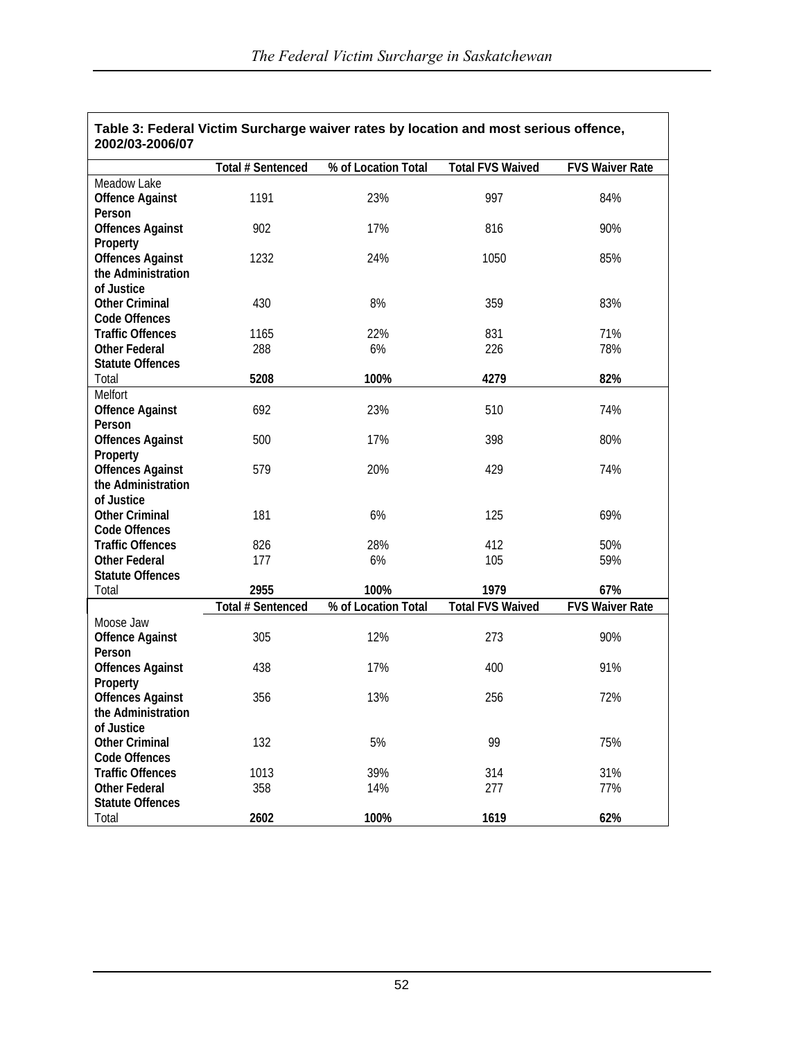| Table 3: Federal Victim Surcharge waiver rates by location and most serious offence,<br>2002/03-2006/07 |                          |                     |                         |                        |
|---------------------------------------------------------------------------------------------------------|--------------------------|---------------------|-------------------------|------------------------|
|                                                                                                         | <b>Total # Sentenced</b> | % of Location Total | <b>Total FVS Waived</b> | <b>FVS Waiver Rate</b> |
| Meadow Lake                                                                                             |                          |                     |                         |                        |
| <b>Offence Against</b>                                                                                  | 1191                     | 23%                 | 997                     | 84%                    |
| Person                                                                                                  |                          |                     |                         |                        |
| <b>Offences Against</b>                                                                                 | 902                      | 17%                 | 816                     | 90%                    |
| Property                                                                                                |                          |                     |                         |                        |
| <b>Offences Against</b>                                                                                 | 1232                     | 24%                 | 1050                    | 85%                    |
| the Administration                                                                                      |                          |                     |                         |                        |
| of Justice                                                                                              |                          |                     |                         |                        |
| <b>Other Criminal</b>                                                                                   | 430                      | 8%                  | 359                     | 83%                    |
| <b>Code Offences</b>                                                                                    |                          |                     |                         |                        |
| <b>Traffic Offences</b>                                                                                 | 1165                     | 22%                 | 831                     | 71%                    |
| <b>Other Federal</b>                                                                                    | 288                      | 6%                  | 226                     | 78%                    |
| <b>Statute Offences</b>                                                                                 |                          |                     |                         |                        |
| Total                                                                                                   | 5208                     | 100%                | 4279                    | 82%                    |
| Melfort                                                                                                 |                          |                     |                         |                        |
| <b>Offence Against</b>                                                                                  | 692                      | 23%                 | 510                     | 74%                    |
| Person                                                                                                  |                          |                     |                         |                        |
| <b>Offences Against</b>                                                                                 | 500                      | 17%                 | 398                     | 80%                    |
| Property                                                                                                |                          |                     |                         |                        |
| <b>Offences Against</b>                                                                                 | 579                      | 20%                 | 429                     | 74%                    |
| the Administration                                                                                      |                          |                     |                         |                        |
| of Justice                                                                                              |                          |                     |                         |                        |
| <b>Other Criminal</b>                                                                                   | 181                      | 6%                  | 125                     | 69%                    |
| Code Offences                                                                                           |                          |                     |                         |                        |
| <b>Traffic Offences</b>                                                                                 | 826                      | 28%                 | 412                     | 50%                    |
| <b>Other Federal</b>                                                                                    | 177                      | 6%                  | 105                     | 59%                    |
| <b>Statute Offences</b>                                                                                 |                          |                     |                         |                        |
| Total                                                                                                   | 2955                     | 100%                | 1979                    | 67%                    |
|                                                                                                         |                          |                     |                         |                        |
|                                                                                                         | <b>Total # Sentenced</b> | % of Location Total | <b>Total FVS Waived</b> | <b>FVS Waiver Rate</b> |
| Moose Jaw                                                                                               |                          |                     |                         |                        |
| <b>Offence Against</b>                                                                                  | 305                      | 12%                 | 273                     | 90%                    |
| Person                                                                                                  |                          |                     |                         |                        |
| <b>Offences Against</b>                                                                                 | 438                      | 17%                 | 400                     | 91%                    |
| Property                                                                                                |                          |                     |                         |                        |
| <b>Offences Against</b>                                                                                 | 356                      | 13%                 | 256                     | 72%                    |
| the Administration                                                                                      |                          |                     |                         |                        |
| of Justice                                                                                              |                          |                     |                         |                        |
| <b>Other Criminal</b>                                                                                   | 132                      | 5%                  | 99                      | 75%                    |
| Code Offences                                                                                           |                          |                     |                         |                        |
| <b>Traffic Offences</b>                                                                                 | 1013                     | 39%                 | 314                     | 31%                    |
| <b>Other Federal</b>                                                                                    | 358                      | 14%                 | 277                     | 77%                    |
| <b>Statute Offences</b>                                                                                 |                          |                     |                         |                        |
| Total                                                                                                   | 2602                     | 100%                | 1619                    | 62%                    |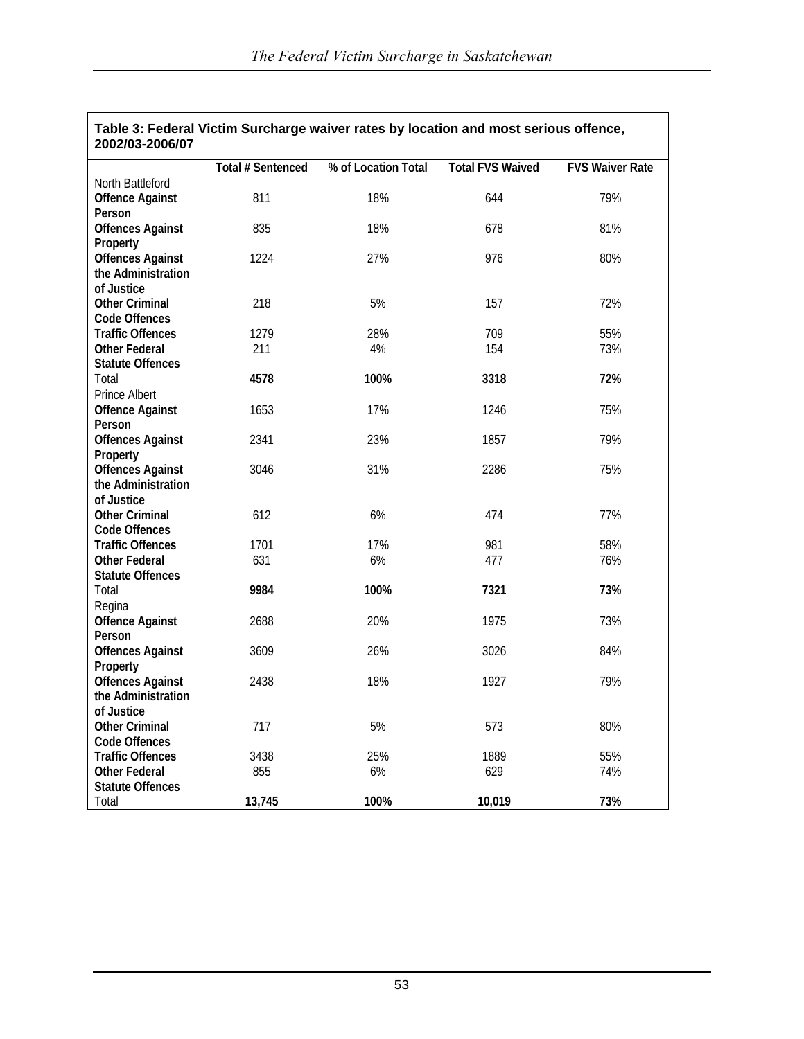| Table 3: Federal Victim Surcharge waiver rates by location and most serious offence,<br>2002/03-2006/07 |                          |                     |                         |                        |
|---------------------------------------------------------------------------------------------------------|--------------------------|---------------------|-------------------------|------------------------|
|                                                                                                         | <b>Total # Sentenced</b> | % of Location Total | <b>Total FVS Waived</b> | <b>FVS Waiver Rate</b> |
| North Battleford                                                                                        |                          |                     |                         |                        |
| <b>Offence Against</b>                                                                                  | 811                      | 18%                 | 644                     | 79%                    |
| Person                                                                                                  |                          |                     |                         |                        |
| <b>Offences Against</b>                                                                                 | 835                      | 18%                 | 678                     | 81%                    |
| Property                                                                                                |                          |                     |                         |                        |
| <b>Offences Against</b>                                                                                 | 1224                     | 27%                 | 976                     | 80%                    |
| the Administration                                                                                      |                          |                     |                         |                        |
| of Justice                                                                                              |                          |                     |                         |                        |
| <b>Other Criminal</b>                                                                                   | 218                      | 5%                  | 157                     | 72%                    |
| <b>Code Offences</b>                                                                                    |                          |                     |                         |                        |
| <b>Traffic Offences</b>                                                                                 | 1279                     | 28%                 | 709                     | 55%                    |
| <b>Other Federal</b>                                                                                    | 211                      | 4%                  | 154                     | 73%                    |
| <b>Statute Offences</b>                                                                                 |                          |                     |                         |                        |
| Total                                                                                                   | 4578                     | 100%                | 3318                    | 72%                    |
| Prince Albert                                                                                           |                          |                     |                         |                        |
| <b>Offence Against</b>                                                                                  | 1653                     | 17%                 | 1246                    | 75%                    |
| Person                                                                                                  |                          |                     |                         |                        |
| <b>Offences Against</b>                                                                                 | 2341                     | 23%                 | 1857                    | 79%                    |
| Property                                                                                                |                          |                     |                         |                        |
| <b>Offences Against</b>                                                                                 | 3046                     | 31%                 | 2286                    | 75%                    |
| the Administration                                                                                      |                          |                     |                         |                        |
| of Justice                                                                                              |                          |                     |                         |                        |
| <b>Other Criminal</b>                                                                                   | 612                      | 6%                  | 474                     | 77%                    |
| Code Offences                                                                                           |                          |                     |                         |                        |
| <b>Traffic Offences</b>                                                                                 | 1701                     | 17%                 | 981                     | 58%                    |
| <b>Other Federal</b>                                                                                    | 631                      | 6%                  | 477                     | 76%                    |
| <b>Statute Offences</b>                                                                                 |                          |                     |                         |                        |
| Total                                                                                                   | 9984                     | 100%                | 7321                    | 73%                    |
| Regina                                                                                                  |                          |                     |                         |                        |
| <b>Offence Against</b>                                                                                  | 2688                     | 20%                 | 1975                    | 73%                    |
| Person                                                                                                  |                          |                     |                         |                        |
| <b>Offences Against</b>                                                                                 | 3609                     | 26%                 | 3026                    | 84%                    |
| Property                                                                                                |                          |                     |                         |                        |
| <b>Offences Against</b>                                                                                 | 2438                     | 18%                 | 1927                    | 79%                    |
| the Administration                                                                                      |                          |                     |                         |                        |
| of Justice                                                                                              |                          |                     |                         |                        |
| <b>Other Criminal</b>                                                                                   | 717                      | 5%                  | 573                     | 80%                    |
| Code Offences                                                                                           |                          |                     |                         |                        |
| <b>Traffic Offences</b>                                                                                 | 3438                     | 25%                 | 1889                    | 55%                    |
| <b>Other Federal</b>                                                                                    | 855                      | 6%                  | 629                     | 74%                    |
| <b>Statute Offences</b>                                                                                 |                          |                     |                         |                        |
| Total                                                                                                   | 13,745                   | 100%                | 10,019                  | 73%                    |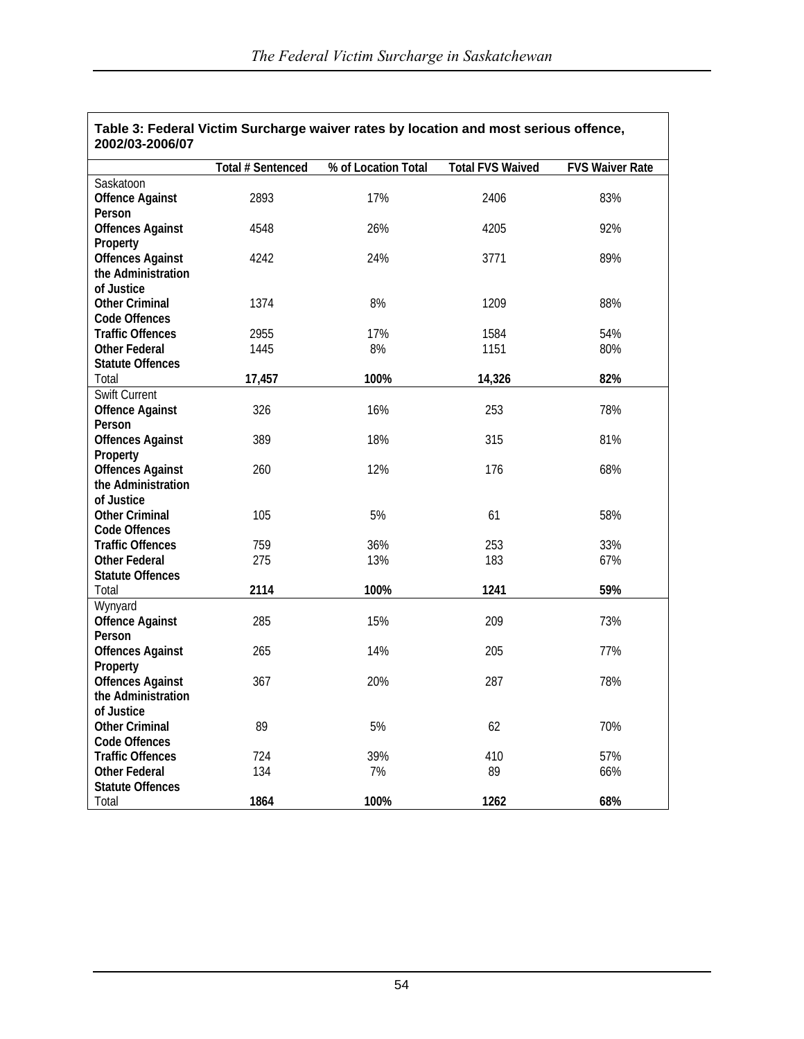$\overline{1}$ 

| Table 3: Federal Victim Surcharge waiver rates by location and most serious offence,<br>2002/03-2006/07 |                          |                     |                         |                        |
|---------------------------------------------------------------------------------------------------------|--------------------------|---------------------|-------------------------|------------------------|
|                                                                                                         | <b>Total # Sentenced</b> | % of Location Total | <b>Total FVS Waived</b> | <b>FVS Waiver Rate</b> |
| Saskatoon                                                                                               |                          |                     |                         |                        |
| <b>Offence Against</b>                                                                                  | 2893                     | 17%                 | 2406                    | 83%                    |
| Person                                                                                                  |                          |                     |                         |                        |
| <b>Offences Against</b>                                                                                 | 4548                     | 26%                 | 4205                    | 92%                    |
| Property                                                                                                |                          |                     |                         |                        |
| <b>Offences Against</b><br>the Administration                                                           | 4242                     | 24%                 | 3771                    | 89%                    |
| of Justice                                                                                              |                          |                     |                         |                        |
| <b>Other Criminal</b>                                                                                   | 1374                     | 8%                  | 1209                    | 88%                    |
| <b>Code Offences</b>                                                                                    |                          |                     |                         |                        |
| <b>Traffic Offences</b>                                                                                 | 2955                     | 17%                 | 1584                    | 54%                    |
| <b>Other Federal</b>                                                                                    | 1445                     | 8%                  | 1151                    | 80%                    |
| <b>Statute Offences</b>                                                                                 |                          |                     |                         |                        |
| Total                                                                                                   | 17,457                   | 100%                | 14,326                  | 82%                    |
| Swift Current                                                                                           |                          |                     |                         |                        |
| <b>Offence Against</b>                                                                                  | 326                      | 16%                 | 253                     | 78%                    |
| Person                                                                                                  |                          |                     |                         |                        |
| <b>Offences Against</b>                                                                                 | 389                      | 18%                 | 315                     | 81%                    |
| Property                                                                                                |                          |                     |                         |                        |
| <b>Offences Against</b>                                                                                 | 260                      | 12%                 | 176                     | 68%                    |
| the Administration                                                                                      |                          |                     |                         |                        |
| of Justice                                                                                              |                          |                     |                         |                        |
| <b>Other Criminal</b>                                                                                   | 105                      | 5%                  | 61                      | 58%                    |
| <b>Code Offences</b>                                                                                    |                          |                     |                         |                        |
| <b>Traffic Offences</b>                                                                                 | 759                      | 36%                 | 253                     | 33%                    |
| <b>Other Federal</b><br><b>Statute Offences</b>                                                         | 275                      | 13%                 | 183                     | 67%                    |
| Total                                                                                                   | 2114                     | 100%                | 1241                    | 59%                    |
| Wynyard                                                                                                 |                          |                     |                         |                        |
| <b>Offence Against</b>                                                                                  | 285                      | 15%                 | 209                     | 73%                    |
| Person                                                                                                  |                          |                     |                         |                        |
| <b>Offences Against</b>                                                                                 | 265                      | 14%                 | 205                     | 77%                    |
| Property                                                                                                |                          |                     |                         |                        |
| <b>Offences Against</b>                                                                                 | 367                      | 20%                 | 287                     | 78%                    |
| the Administration                                                                                      |                          |                     |                         |                        |
| of Justice                                                                                              |                          |                     |                         |                        |
| <b>Other Criminal</b>                                                                                   | 89                       | 5%                  | 62                      | 70%                    |
| Code Offences                                                                                           |                          |                     |                         |                        |
| <b>Traffic Offences</b>                                                                                 | 724                      | 39%                 | 410                     | 57%                    |
| <b>Other Federal</b>                                                                                    | 134                      | 7%                  | 89                      | 66%                    |
| <b>Statute Offences</b>                                                                                 |                          |                     |                         |                        |
| Total                                                                                                   | 1864                     | 100%                | 1262                    | 68%                    |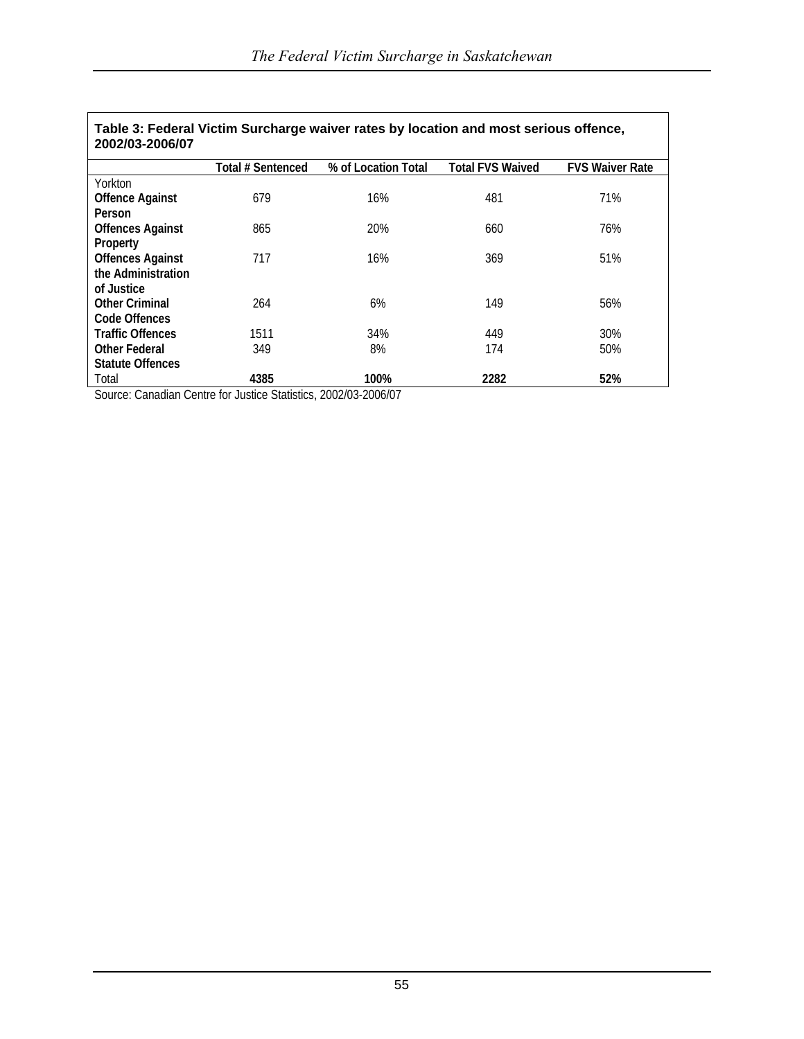| Table 3: Federal Victim Surcharge waiver rates by location and most serious offence,<br>2002/03-2006/07 |                   |                     |                         |                        |
|---------------------------------------------------------------------------------------------------------|-------------------|---------------------|-------------------------|------------------------|
|                                                                                                         | Total # Sentenced | % of Location Total | <b>Total FVS Waived</b> | <b>FVS Waiver Rate</b> |
| Yorkton                                                                                                 |                   |                     |                         |                        |
| <b>Offence Against</b>                                                                                  | 679               | 16%                 | 481                     | 71%                    |
| Person                                                                                                  |                   |                     |                         |                        |
| <b>Offences Against</b>                                                                                 | 865               | 20%                 | 660                     | 76%                    |
| <b>Property</b>                                                                                         |                   |                     |                         |                        |
| <b>Offences Against</b>                                                                                 | 717               | 16%                 | 369                     | 51%                    |
| the Administration                                                                                      |                   |                     |                         |                        |
| of Justice                                                                                              |                   |                     |                         |                        |
| <b>Other Criminal</b>                                                                                   | 264               | 6%                  | 149                     | 56%                    |
| Code Offences                                                                                           |                   |                     |                         |                        |
| <b>Traffic Offences</b>                                                                                 | 1511              | 34%                 | 449                     | 30%                    |
| Other Federal                                                                                           | 349               | 8%                  | 174                     | 50%                    |
| <b>Statute Offences</b>                                                                                 |                   |                     |                         |                        |
| Total                                                                                                   | 4385              | 100%                | 2282                    | 52%                    |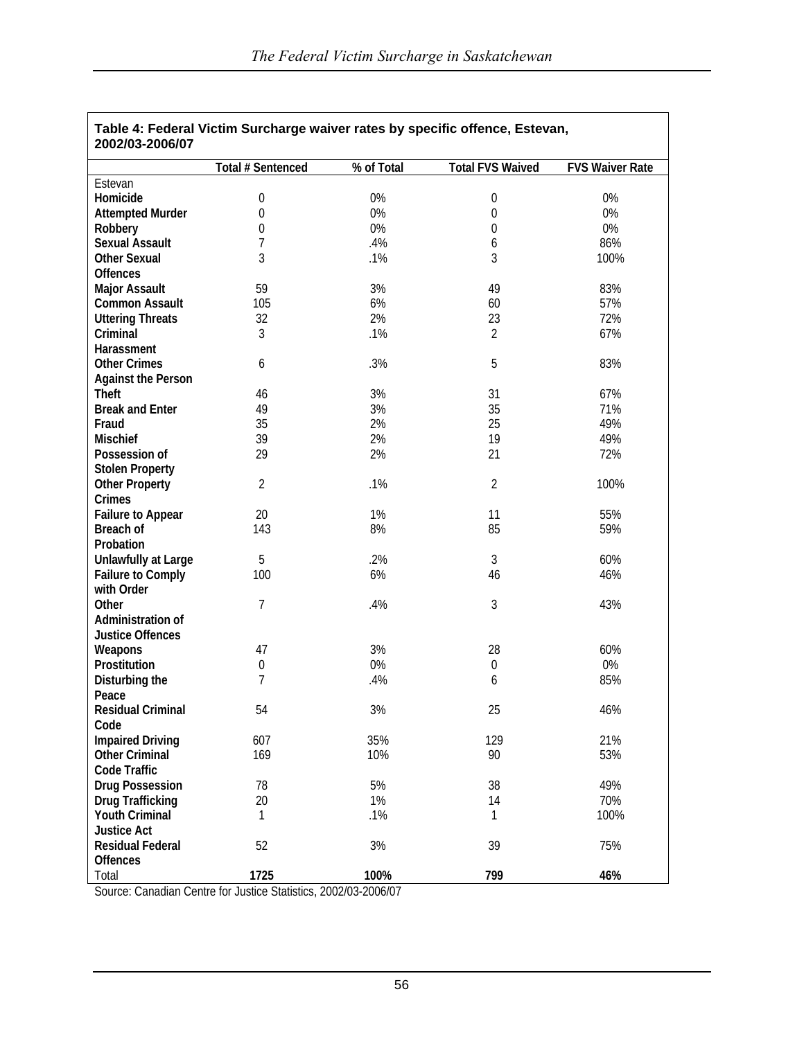| Table 4: Federal Victim Surcharge waiver rates by specific offence, Estevan,<br>2002/03-2006/07 |                          |            |                         |                        |
|-------------------------------------------------------------------------------------------------|--------------------------|------------|-------------------------|------------------------|
|                                                                                                 | <b>Total # Sentenced</b> | % of Total | <b>Total FVS Waived</b> | <b>FVS Waiver Rate</b> |
| Estevan                                                                                         |                          |            |                         |                        |
| Homicide                                                                                        | $\boldsymbol{0}$         | 0%         | $\boldsymbol{0}$        | 0%                     |
| <b>Attempted Murder</b>                                                                         | $\mathbf 0$              | 0%         | $\mathbf 0$             | 0%                     |
| Robbery                                                                                         | 0                        | 0%         | $\mathbf 0$             | 0%                     |
| <b>Sexual Assault</b>                                                                           | $\overline{7}$           | .4%        | 6                       | 86%                    |
| <b>Other Sexual</b>                                                                             | 3                        | .1%        | 3                       | 100%                   |
| <b>Offences</b>                                                                                 |                          |            |                         |                        |
| <b>Major Assault</b>                                                                            | 59                       | 3%         | 49                      | 83%                    |
| <b>Common Assault</b>                                                                           | 105                      | 6%         | 60                      | 57%                    |
| <b>Uttering Threats</b>                                                                         | 32                       | 2%         | 23                      | 72%                    |
| Criminal                                                                                        | 3                        | .1%        | $\overline{2}$          | 67%                    |
| Harassment                                                                                      |                          |            |                         |                        |
| <b>Other Crimes</b>                                                                             | 6                        | .3%        | 5                       | 83%                    |
| <b>Against the Person</b>                                                                       |                          |            |                         |                        |
| <b>Theft</b>                                                                                    | 46                       | 3%         | 31                      | 67%                    |
| <b>Break and Enter</b>                                                                          | 49                       | 3%         | 35                      | 71%                    |
|                                                                                                 | 35                       |            | 25                      | 49%                    |
| Fraud                                                                                           |                          | 2%         |                         |                        |
| <b>Mischief</b>                                                                                 | 39                       | 2%         | 19                      | 49%                    |
| Possession of                                                                                   | 29                       | 2%         | 21                      | 72%                    |
| <b>Stolen Property</b>                                                                          |                          |            |                         |                        |
| <b>Other Property</b>                                                                           | $\overline{2}$           | .1%        | $\overline{2}$          | 100%                   |
| Crimes                                                                                          |                          |            |                         |                        |
| <b>Failure to Appear</b>                                                                        | 20                       | 1%         | 11                      | 55%                    |
| Breach of                                                                                       | 143                      | 8%         | 85                      | 59%                    |
| Probation                                                                                       |                          |            |                         |                        |
| Unlawfully at Large                                                                             | 5                        | .2%        | 3                       | 60%                    |
| <b>Failure to Comply</b>                                                                        | 100                      | 6%         | 46                      | 46%                    |
| with Order                                                                                      |                          |            |                         |                        |
| Other                                                                                           | $\overline{7}$           | .4%        | 3                       | 43%                    |
| Administration of                                                                               |                          |            |                         |                        |
| <b>Justice Offences</b>                                                                         |                          |            |                         |                        |
| Weapons                                                                                         | 47                       | 3%         | 28                      | 60%                    |
| Prostitution                                                                                    | $\boldsymbol{0}$         | 0%         | $\boldsymbol{0}$        | 0%                     |
| Disturbing the                                                                                  | 7                        | .4%        | 6                       | 85%                    |
| Peace                                                                                           |                          |            |                         |                        |
| Residual Criminal                                                                               | 54                       | 3%         | 25                      | 46%                    |
| Code                                                                                            |                          |            |                         |                        |
| <b>Impaired Driving</b>                                                                         | 607                      | 35%        | 129                     | 21%                    |
| <b>Other Criminal</b>                                                                           | 169                      | 10%        | 90                      | 53%                    |
|                                                                                                 |                          |            |                         |                        |
| <b>Code Traffic</b>                                                                             |                          |            |                         |                        |
| <b>Drug Possession</b>                                                                          | 78                       | 5%         | 38                      | 49%                    |
| Drug Trafficking                                                                                | 20                       | $1\%$      | 14                      | 70%                    |
| <b>Youth Criminal</b>                                                                           | 1                        | .1%        | 1                       | 100%                   |
| <b>Justice Act</b>                                                                              |                          |            |                         |                        |
| <b>Residual Federal</b>                                                                         | 52                       | 3%         | 39                      | 75%                    |
| Offences                                                                                        |                          |            |                         |                        |
| Total                                                                                           | 1725                     | 100%       | 799                     | 46%                    |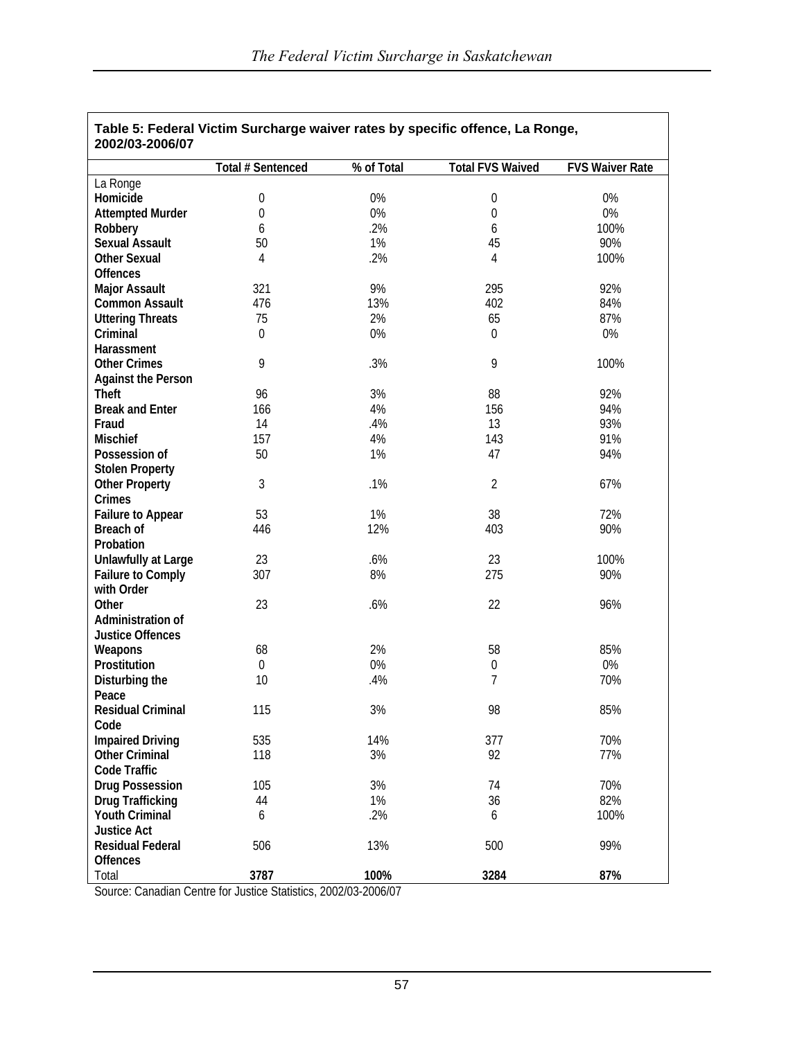| Table 5: Federal Victim Surcharge waiver rates by specific offence, La Ronge,<br>2002/03-2006/07 |                   |            |                         |                        |  |
|--------------------------------------------------------------------------------------------------|-------------------|------------|-------------------------|------------------------|--|
|                                                                                                  | Total # Sentenced | % of Total | <b>Total FVS Waived</b> | <b>FVS Waiver Rate</b> |  |
| La Ronge                                                                                         |                   |            |                         |                        |  |
| Homicide                                                                                         | 0                 | 0%         | $\boldsymbol{0}$        | 0%                     |  |
| <b>Attempted Murder</b>                                                                          | $\mathbf 0$       | 0%         | $\mathbf 0$             | 0%                     |  |
| Robbery                                                                                          | 6                 | .2%        | 6                       | 100%                   |  |
| <b>Sexual Assault</b>                                                                            | 50                | 1%         | 45                      | 90%                    |  |
| <b>Other Sexual</b>                                                                              | 4                 | .2%        | 4                       | 100%                   |  |
| <b>Offences</b>                                                                                  |                   |            |                         |                        |  |
| <b>Major Assault</b>                                                                             | 321               | 9%         | 295                     | 92%                    |  |
| <b>Common Assault</b>                                                                            | 476               | 13%        | 402                     | 84%                    |  |
| <b>Uttering Threats</b>                                                                          | 75                | 2%         | 65                      | 87%                    |  |
| Criminal                                                                                         | 0                 | 0%         | 0                       | 0%                     |  |
| Harassment                                                                                       |                   |            |                         |                        |  |
| <b>Other Crimes</b>                                                                              | 9                 | .3%        | 9                       | 100%                   |  |
| <b>Against the Person</b>                                                                        |                   |            |                         |                        |  |
| <b>Theft</b>                                                                                     | 96                | 3%         | 88                      | 92%                    |  |
| <b>Break and Enter</b>                                                                           | 166               | 4%         | 156                     | 94%                    |  |
| Fraud                                                                                            | 14                | .4%        | 13                      | 93%                    |  |
| <b>Mischief</b>                                                                                  | 157               | 4%         | 143                     | 91%                    |  |
|                                                                                                  | 50                | 1%         | 47                      | 94%                    |  |
| Possession of                                                                                    |                   |            |                         |                        |  |
| <b>Stolen Property</b>                                                                           |                   |            |                         |                        |  |
| <b>Other Property</b>                                                                            | 3                 | .1%        | $\overline{2}$          | 67%                    |  |
| Crimes                                                                                           |                   |            |                         |                        |  |
| <b>Failure to Appear</b>                                                                         | 53                | 1%         | 38                      | 72%                    |  |
| Breach of                                                                                        | 446               | 12%        | 403                     | 90%                    |  |
| Probation                                                                                        |                   |            |                         |                        |  |
| Unlawfully at Large                                                                              | 23                | .6%        | 23                      | 100%                   |  |
| <b>Failure to Comply</b>                                                                         | 307               | 8%         | 275                     | 90%                    |  |
| with Order                                                                                       |                   |            |                         |                        |  |
| Other                                                                                            | 23                | .6%        | 22                      | 96%                    |  |
| Administration of                                                                                |                   |            |                         |                        |  |
| <b>Justice Offences</b>                                                                          |                   |            |                         |                        |  |
| Weapons                                                                                          | 68                | 2%         | 58                      | 85%                    |  |
| Prostitution                                                                                     | $\mathbf 0$       | 0%         | $\boldsymbol{0}$        | 0%                     |  |
| Disturbing the                                                                                   | 10                | .4%        | 7                       | 70%                    |  |
| Peace                                                                                            |                   |            |                         |                        |  |
| Residual Criminal                                                                                | 115               | 3%         | 98                      | 85%                    |  |
| Code                                                                                             |                   |            |                         |                        |  |
| <b>Impaired Driving</b>                                                                          | 535               | 14%        | 377                     | 70%                    |  |
| <b>Other Criminal</b>                                                                            | 118               | 3%         | 92                      | 77%                    |  |
| <b>Code Traffic</b>                                                                              |                   |            |                         |                        |  |
| <b>Drug Possession</b>                                                                           | 105               | 3%         | 74                      | 70%                    |  |
| <b>Drug Trafficking</b>                                                                          | 44                | $1\%$      | 36                      | 82%                    |  |
| <b>Youth Criminal</b>                                                                            | 6                 | .2%        | 6                       | 100%                   |  |
| <b>Justice Act</b>                                                                               |                   |            |                         |                        |  |
| <b>Residual Federal</b>                                                                          | 506               | 13%        | 500                     | 99%                    |  |
| <b>Offences</b>                                                                                  |                   |            |                         |                        |  |
|                                                                                                  |                   |            |                         |                        |  |
| Total                                                                                            | 3787              | 100%       | 3284                    | 87%                    |  |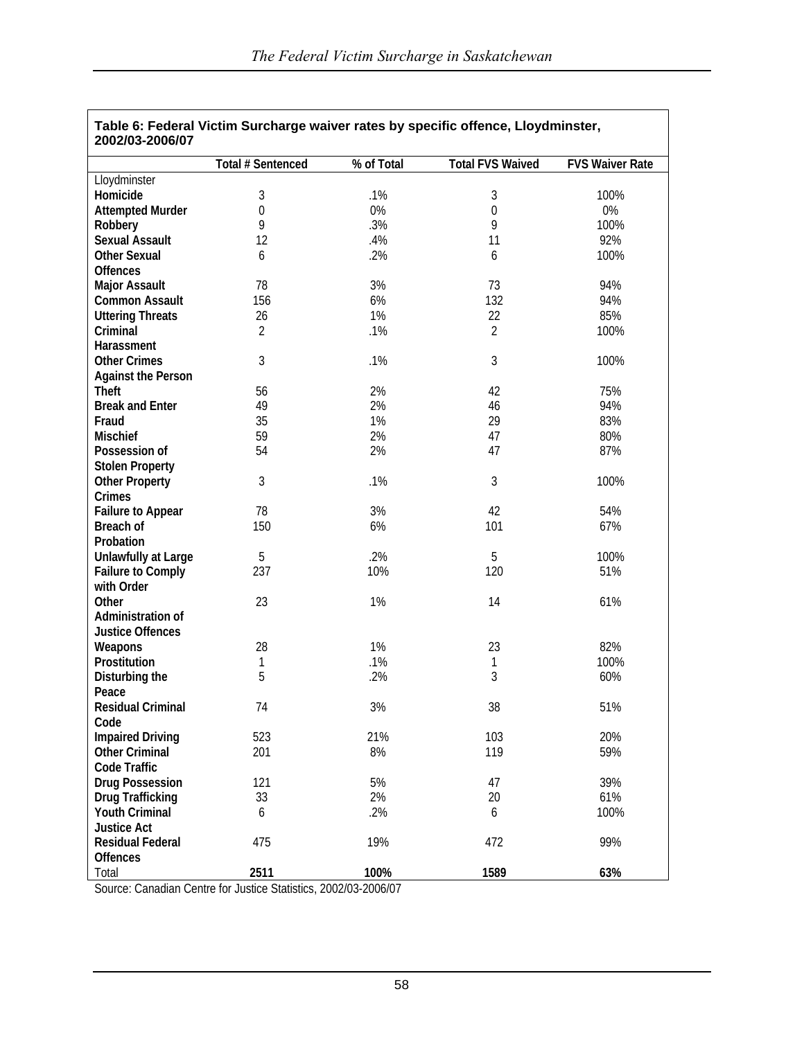| Table 6: Federal Victim Surcharge waiver rates by specific offence, Lloydminster,<br>2002/03-2006/07 |                          |            |                         |                        |
|------------------------------------------------------------------------------------------------------|--------------------------|------------|-------------------------|------------------------|
|                                                                                                      | <b>Total # Sentenced</b> | % of Total | <b>Total FVS Waived</b> | <b>FVS Waiver Rate</b> |
| Lloydminster                                                                                         |                          |            |                         |                        |
| Homicide                                                                                             | 3                        | .1%        | 3                       | 100%                   |
| <b>Attempted Murder</b>                                                                              | $\mathbf 0$              | 0%         | $\mathbf 0$             | 0%                     |
| Robbery                                                                                              | 9                        | .3%        | 9                       | 100%                   |
| <b>Sexual Assault</b>                                                                                | 12                       | .4%        | 11                      | 92%                    |
| <b>Other Sexual</b>                                                                                  | 6                        | .2%        | 6                       | 100%                   |
| Offences                                                                                             |                          |            |                         |                        |
| <b>Major Assault</b>                                                                                 | 78                       | 3%         | 73                      | 94%                    |
| <b>Common Assault</b>                                                                                | 156                      | 6%         | 132                     | 94%                    |
| <b>Uttering Threats</b>                                                                              | 26                       | 1%         | 22                      | 85%                    |
| Criminal                                                                                             | $\overline{2}$           | .1%        | $\overline{2}$          | 100%                   |
| Harassment                                                                                           |                          |            |                         |                        |
| <b>Other Crimes</b>                                                                                  | 3                        | .1%        | 3                       | 100%                   |
| <b>Against the Person</b>                                                                            |                          |            |                         |                        |
| <b>Theft</b>                                                                                         | 56                       | 2%         | 42                      | 75%                    |
| <b>Break and Enter</b>                                                                               | 49                       |            |                         | 94%                    |
|                                                                                                      |                          | 2%         | 46                      |                        |
| Fraud                                                                                                | 35                       | 1%         | 29                      | 83%                    |
| <b>Mischief</b>                                                                                      | 59                       | 2%         | 47                      | 80%                    |
| Possession of                                                                                        | 54                       | 2%         | 47                      | 87%                    |
| <b>Stolen Property</b>                                                                               |                          |            |                         |                        |
| <b>Other Property</b>                                                                                | 3                        | .1%        | 3                       | 100%                   |
| Crimes                                                                                               |                          |            |                         |                        |
| <b>Failure to Appear</b>                                                                             | 78                       | 3%         | 42                      | 54%                    |
| Breach of                                                                                            | 150                      | 6%         | 101                     | 67%                    |
| Probation                                                                                            |                          |            |                         |                        |
| <b>Unlawfully at Large</b>                                                                           | 5                        | .2%        | 5                       | 100%                   |
| <b>Failure to Comply</b>                                                                             | 237                      | 10%        | 120                     | 51%                    |
| with Order                                                                                           |                          |            |                         |                        |
| Other                                                                                                | 23                       | 1%         | 14                      | 61%                    |
| Administration of                                                                                    |                          |            |                         |                        |
| <b>Justice Offences</b>                                                                              |                          |            |                         |                        |
| Weapons                                                                                              | 28                       | 1%         | 23                      | 82%                    |
| Prostitution                                                                                         | 1                        | .1%        | 1                       | 100%                   |
| Disturbing the                                                                                       | 5                        | .2%        | 3                       | 60%                    |
| Peace                                                                                                |                          |            |                         |                        |
| Residual Criminal                                                                                    | 74                       | 3%         | 38                      | 51%                    |
| Code                                                                                                 |                          |            |                         |                        |
|                                                                                                      | 523                      | 21%        | 103                     | 20%                    |
| <b>Impaired Driving</b><br><b>Other Criminal</b>                                                     | 201                      | 8%         | 119                     | 59%                    |
| <b>Code Traffic</b>                                                                                  |                          |            |                         |                        |
|                                                                                                      |                          |            |                         |                        |
| <b>Drug Possession</b>                                                                               | 121                      | 5%         | 47                      | 39%                    |
| <b>Drug Trafficking</b>                                                                              | 33                       | 2%         | 20                      | 61%                    |
| <b>Youth Criminal</b>                                                                                | 6                        | .2%        | 6                       | 100%                   |
| <b>Justice Act</b>                                                                                   |                          |            |                         |                        |
| <b>Residual Federal</b>                                                                              | 475                      | 19%        | 472                     | 99%                    |
| <b>Offences</b>                                                                                      |                          |            |                         |                        |
| Total                                                                                                | 2511                     | 100%       | 1589                    | 63%                    |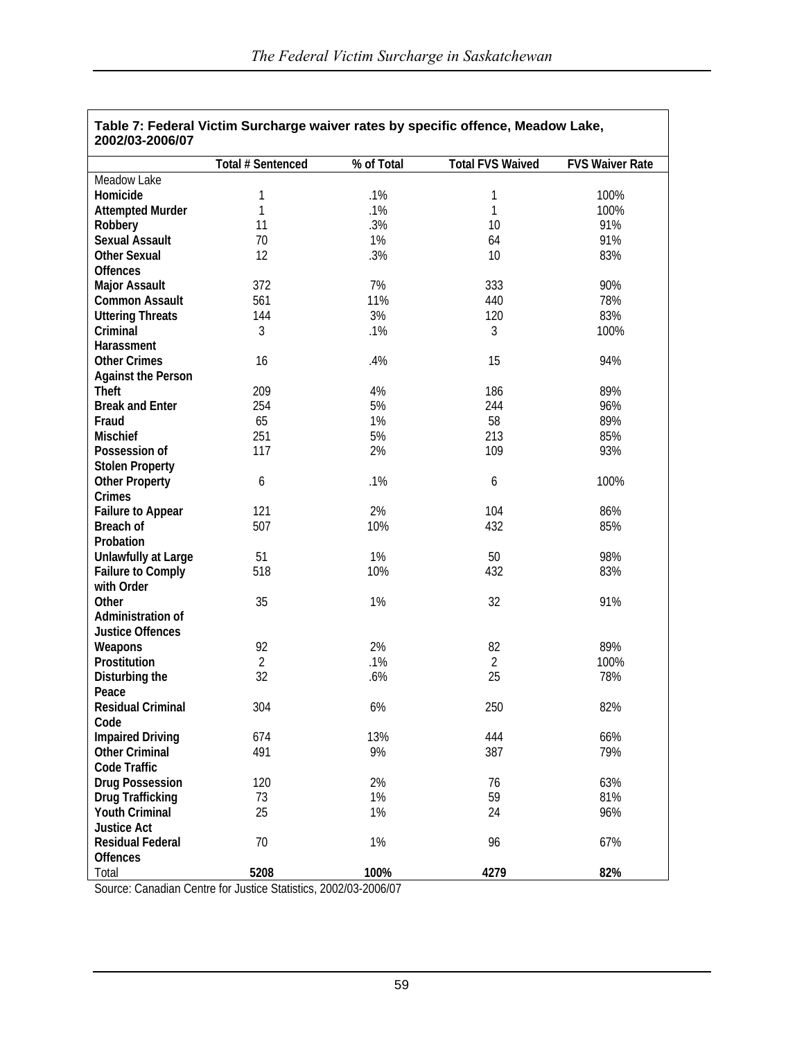| Table 7: Federal Victim Surcharge waiver rates by specific offence, Meadow Lake,<br>2002/03-2006/07 |                          |            |                         |                        |
|-----------------------------------------------------------------------------------------------------|--------------------------|------------|-------------------------|------------------------|
|                                                                                                     | <b>Total # Sentenced</b> | % of Total | <b>Total FVS Waived</b> | <b>FVS Waiver Rate</b> |
| Meadow Lake                                                                                         |                          |            |                         |                        |
| Homicide                                                                                            | 1                        | .1%        | 1                       | 100%                   |
| <b>Attempted Murder</b>                                                                             | 1                        | .1%        | $\mathbf{1}$            | 100%                   |
| Robbery                                                                                             | 11                       | .3%        | 10                      | 91%                    |
| <b>Sexual Assault</b>                                                                               | 70                       | 1%         | 64                      | 91%                    |
| <b>Other Sexual</b>                                                                                 | 12                       | .3%        | 10                      | 83%                    |
| <b>Offences</b>                                                                                     |                          |            |                         |                        |
| <b>Major Assault</b>                                                                                | 372                      | 7%         | 333                     | 90%                    |
| <b>Common Assault</b>                                                                               | 561                      | 11%        | 440                     | 78%                    |
| <b>Uttering Threats</b>                                                                             | 144                      | 3%         | 120                     | 83%                    |
| Criminal                                                                                            | 3                        | .1%        | 3                       | 100%                   |
| Harassment                                                                                          |                          |            |                         |                        |
| <b>Other Crimes</b>                                                                                 | 16                       | .4%        | 15                      | 94%                    |
| <b>Against the Person</b>                                                                           |                          |            |                         |                        |
| <b>Theft</b>                                                                                        | 209                      | 4%         | 186                     | 89%                    |
| <b>Break and Enter</b>                                                                              | 254                      | 5%         | 244                     | 96%                    |
| Fraud                                                                                               | 65                       | 1%         | 58                      | 89%                    |
| <b>Mischief</b>                                                                                     | 251                      | 5%         | 213                     | 85%                    |
|                                                                                                     |                          | 2%         |                         |                        |
| Possession of                                                                                       | 117                      |            | 109                     | 93%                    |
| <b>Stolen Property</b>                                                                              |                          |            |                         |                        |
| <b>Other Property</b>                                                                               | 6                        | .1%        | 6                       | 100%                   |
| Crimes                                                                                              |                          |            |                         |                        |
| <b>Failure to Appear</b>                                                                            | 121                      | 2%         | 104                     | 86%                    |
| Breach of                                                                                           | 507                      | 10%        | 432                     | 85%                    |
| Probation                                                                                           |                          |            |                         |                        |
| <b>Unlawfully at Large</b>                                                                          | 51                       | 1%         | 50                      | 98%                    |
| <b>Failure to Comply</b>                                                                            | 518                      | 10%        | 432                     | 83%                    |
| with Order                                                                                          |                          |            |                         |                        |
| Other                                                                                               | 35                       | 1%         | 32                      | 91%                    |
| Administration of                                                                                   |                          |            |                         |                        |
| <b>Justice Offences</b>                                                                             |                          |            |                         |                        |
| Weapons                                                                                             | 92                       | 2%         | 82                      | 89%                    |
| Prostitution                                                                                        | $\overline{2}$           | .1%        | $\overline{2}$          | 100%                   |
| Disturbing the                                                                                      | 32                       | .6%        | 25                      | 78%                    |
| Peace                                                                                               |                          |            |                         |                        |
| <b>Residual Criminal</b>                                                                            | 304                      | 6%         | 250                     | 82%                    |
| Code                                                                                                |                          |            |                         |                        |
| <b>Impaired Driving</b>                                                                             | 674                      | 13%        | 444                     | 66%                    |
| <b>Other Criminal</b>                                                                               | 491                      | 9%         | 387                     | 79%                    |
| <b>Code Traffic</b>                                                                                 |                          |            |                         |                        |
| <b>Drug Possession</b>                                                                              | 120                      | 2%         | 76                      | 63%                    |
| Drug Trafficking                                                                                    | 73                       | $1\%$      | 59                      | 81%                    |
| <b>Youth Criminal</b>                                                                               |                          |            |                         |                        |
|                                                                                                     | 25                       | 1%         | 24                      | 96%                    |
| <b>Justice Act</b>                                                                                  |                          |            |                         |                        |
| <b>Residual Federal</b>                                                                             | 70                       | 1%         | 96                      | 67%                    |
| Offences                                                                                            |                          |            |                         |                        |
| Total                                                                                               | 5208                     | 100%       | 4279                    | 82%                    |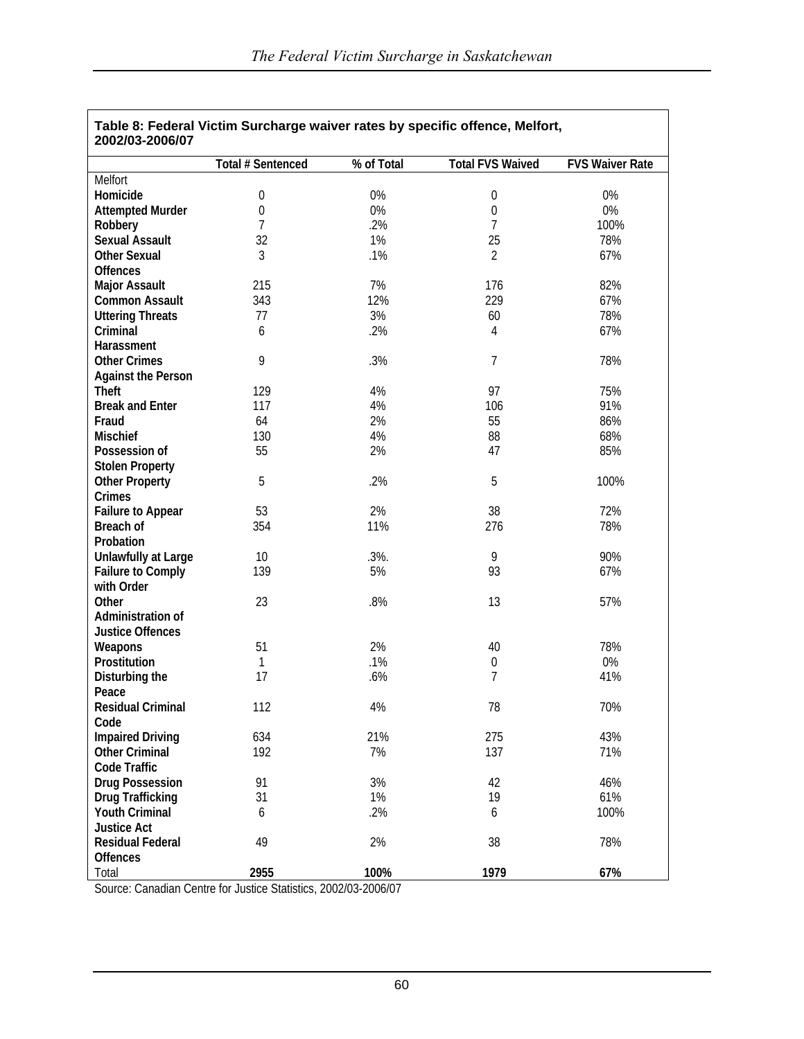| Table 8: Federal Victim Surcharge waiver rates by specific offence, Melfort,<br>2002/03-2006/07 |                          |            |                         |                        |
|-------------------------------------------------------------------------------------------------|--------------------------|------------|-------------------------|------------------------|
|                                                                                                 | <b>Total # Sentenced</b> | % of Total | <b>Total FVS Waived</b> | <b>FVS Waiver Rate</b> |
| Melfort                                                                                         |                          |            |                         |                        |
| Homicide                                                                                        | $\boldsymbol{0}$         | 0%         | $\boldsymbol{0}$        | 0%                     |
| <b>Attempted Murder</b>                                                                         | $\mathbf 0$              | 0%         | $\mathbf 0$             | 0%                     |
| Robbery                                                                                         | 7                        | .2%        | 7                       | 100%                   |
| <b>Sexual Assault</b>                                                                           | 32                       | 1%         | 25                      | 78%                    |
| <b>Other Sexual</b>                                                                             | 3                        | .1%        | $\overline{2}$          | 67%                    |
| <b>Offences</b>                                                                                 |                          |            |                         |                        |
| <b>Major Assault</b>                                                                            | 215                      | 7%         | 176                     | 82%                    |
| <b>Common Assault</b>                                                                           | 343                      | 12%        | 229                     | 67%                    |
| <b>Uttering Threats</b>                                                                         | 77                       | 3%         | 60                      | 78%                    |
| Criminal                                                                                        | 6                        | .2%        | 4                       | 67%                    |
|                                                                                                 |                          |            |                         |                        |
| Harassment                                                                                      |                          |            |                         |                        |
| <b>Other Crimes</b>                                                                             | 9                        | .3%        | $\overline{7}$          | 78%                    |
| <b>Against the Person</b>                                                                       |                          |            |                         |                        |
| <b>Theft</b>                                                                                    | 129                      | 4%         | 97                      | 75%                    |
| <b>Break and Enter</b>                                                                          | 117                      | 4%         | 106                     | 91%                    |
| Fraud                                                                                           | 64                       | 2%         | 55                      | 86%                    |
| <b>Mischief</b>                                                                                 | 130                      | 4%         | 88                      | 68%                    |
| Possession of                                                                                   | 55                       | 2%         | 47                      | 85%                    |
| <b>Stolen Property</b>                                                                          |                          |            |                         |                        |
| <b>Other Property</b>                                                                           | 5                        | .2%        | 5                       | 100%                   |
| Crimes                                                                                          |                          |            |                         |                        |
| <b>Failure to Appear</b>                                                                        | 53                       | 2%         | 38                      | 72%                    |
| Breach of                                                                                       | 354                      | 11%        | 276                     | 78%                    |
| Probation                                                                                       |                          |            |                         |                        |
| Unlawfully at Large                                                                             | 10                       | .3%.       | 9                       | 90%                    |
| <b>Failure to Comply</b>                                                                        | 139                      | 5%         | 93                      | 67%                    |
| with Order                                                                                      |                          |            |                         |                        |
|                                                                                                 |                          |            |                         |                        |
| Other                                                                                           | 23                       | .8%        | 13                      | 57%                    |
| Administration of                                                                               |                          |            |                         |                        |
| <b>Justice Offences</b>                                                                         |                          |            |                         |                        |
| Weapons                                                                                         | 51                       | 2%         | 40                      | 78%                    |
| Prostitution                                                                                    | 1                        | .1%        | $\pmb{0}$               | 0%                     |
| Disturbing the                                                                                  | 17                       | .6%        | $\overline{7}$          | 41%                    |
| Peace                                                                                           |                          |            |                         |                        |
| <b>Residual Criminal</b>                                                                        | 112                      | 4%         | 78                      | 70%                    |
| Code                                                                                            |                          |            |                         |                        |
| <b>Impaired Driving</b>                                                                         | 634                      | 21%        | 275                     | 43%                    |
| <b>Other Criminal</b>                                                                           | 192                      | 7%         | 137                     | 71%                    |
| <b>Code Traffic</b>                                                                             |                          |            |                         |                        |
| <b>Drug Possession</b>                                                                          | 91                       | 3%         | 42                      | 46%                    |
| Drug Trafficking                                                                                | 31                       | 1%         | 19                      | 61%                    |
| <b>Youth Criminal</b>                                                                           |                          | .2%        | 6                       | 100%                   |
|                                                                                                 | 6                        |            |                         |                        |
| <b>Justice Act</b>                                                                              |                          |            |                         |                        |
| <b>Residual Federal</b>                                                                         | 49                       | 2%         | 38                      | 78%                    |
| <b>Offences</b>                                                                                 |                          |            |                         |                        |
| Total                                                                                           | 2955                     | 100%       | 1979                    | 67%                    |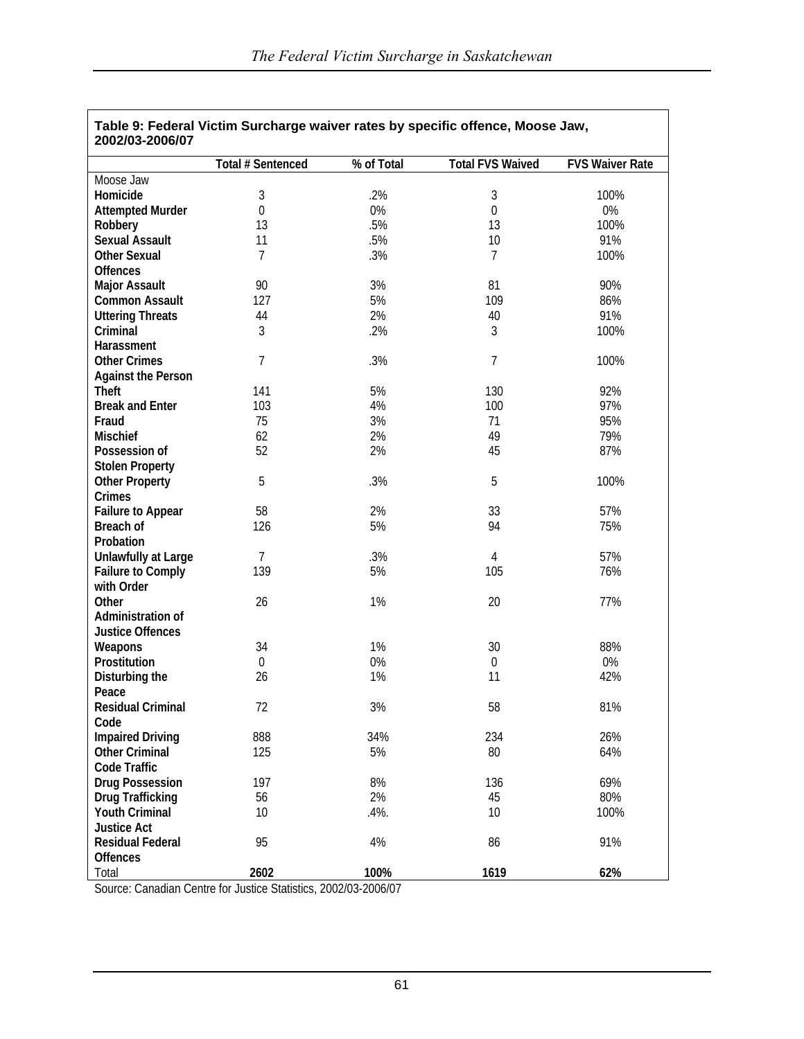| Table 9: Federal Victim Surcharge waiver rates by specific offence, Moose Jaw,<br>2002/03-2006/07 |                          |            |                         |                        |
|---------------------------------------------------------------------------------------------------|--------------------------|------------|-------------------------|------------------------|
|                                                                                                   | <b>Total # Sentenced</b> | % of Total | <b>Total FVS Waived</b> | <b>FVS Waiver Rate</b> |
| Moose Jaw                                                                                         |                          |            |                         |                        |
| Homicide                                                                                          | 3                        | .2%        | 3                       | 100%                   |
| <b>Attempted Murder</b>                                                                           | $\mathbf 0$              | 0%         | $\mathbf 0$             | 0%                     |
| Robbery                                                                                           | 13                       | .5%        | 13                      | 100%                   |
| <b>Sexual Assault</b>                                                                             | 11                       | .5%        | 10                      | 91%                    |
| <b>Other Sexual</b>                                                                               | $\overline{7}$           | .3%        | $\overline{7}$          | 100%                   |
| Offences                                                                                          |                          |            |                         |                        |
| <b>Major Assault</b>                                                                              | 90                       | 3%         | 81                      | 90%                    |
| <b>Common Assault</b>                                                                             | 127                      | 5%         | 109                     | 86%                    |
| <b>Uttering Threats</b>                                                                           | 44                       | 2%         | 40                      | 91%                    |
| Criminal                                                                                          | 3                        | .2%        | 3                       | 100%                   |
| Harassment                                                                                        |                          |            |                         |                        |
| <b>Other Crimes</b>                                                                               | $\overline{7}$           | .3%        | $\overline{7}$          | 100%                   |
| <b>Against the Person</b>                                                                         |                          |            |                         |                        |
| <b>Theft</b>                                                                                      | 141                      | 5%         | 130                     | 92%                    |
| <b>Break and Enter</b>                                                                            | 103                      |            |                         | 97%                    |
|                                                                                                   | 75                       | 4%<br>3%   | 100<br>71               |                        |
| Fraud                                                                                             |                          |            |                         | 95%                    |
| <b>Mischief</b>                                                                                   | 62                       | 2%         | 49                      | 79%                    |
| Possession of                                                                                     | 52                       | 2%         | 45                      | 87%                    |
| <b>Stolen Property</b>                                                                            |                          |            |                         |                        |
| <b>Other Property</b>                                                                             | 5                        | .3%        | 5                       | 100%                   |
| Crimes                                                                                            |                          |            |                         |                        |
| <b>Failure to Appear</b>                                                                          | 58                       | 2%         | 33                      | 57%                    |
| Breach of                                                                                         | 126                      | 5%         | 94                      | 75%                    |
| Probation                                                                                         |                          |            |                         |                        |
| <b>Unlawfully at Large</b>                                                                        | 7                        | .3%        | 4                       | 57%                    |
| <b>Failure to Comply</b>                                                                          | 139                      | 5%         | 105                     | 76%                    |
| with Order                                                                                        |                          |            |                         |                        |
| Other                                                                                             | 26                       | 1%         | 20                      | 77%                    |
| Administration of                                                                                 |                          |            |                         |                        |
| <b>Justice Offences</b>                                                                           |                          |            |                         |                        |
| Weapons                                                                                           | 34                       | 1%         | 30                      | 88%                    |
| Prostitution                                                                                      | $\mathbf 0$              | 0%         | 0                       | 0%                     |
| Disturbing the                                                                                    | 26                       | 1%         | 11                      | 42%                    |
| Peace                                                                                             |                          |            |                         |                        |
| Residual Criminal                                                                                 | 72                       | 3%         | 58                      | 81%                    |
|                                                                                                   |                          |            |                         |                        |
| Code                                                                                              |                          |            |                         |                        |
| <b>Impaired Driving</b>                                                                           | 888                      | 34%        | 234                     | 26%                    |
| <b>Other Criminal</b>                                                                             | 125                      | 5%         | 80                      | 64%                    |
| <b>Code Traffic</b>                                                                               |                          |            |                         |                        |
| <b>Drug Possession</b>                                                                            | 197                      | 8%         | 136                     | 69%                    |
| Drug Trafficking                                                                                  | 56                       | 2%         | 45                      | 80%                    |
| <b>Youth Criminal</b>                                                                             | 10                       | $.4\%$ .   | 10                      | 100%                   |
| <b>Justice Act</b>                                                                                |                          |            |                         |                        |
| <b>Residual Federal</b>                                                                           | 95                       | 4%         | 86                      | 91%                    |
| Offences                                                                                          |                          |            |                         |                        |
| Total                                                                                             | 2602                     | 100%       | 1619                    | 62%                    |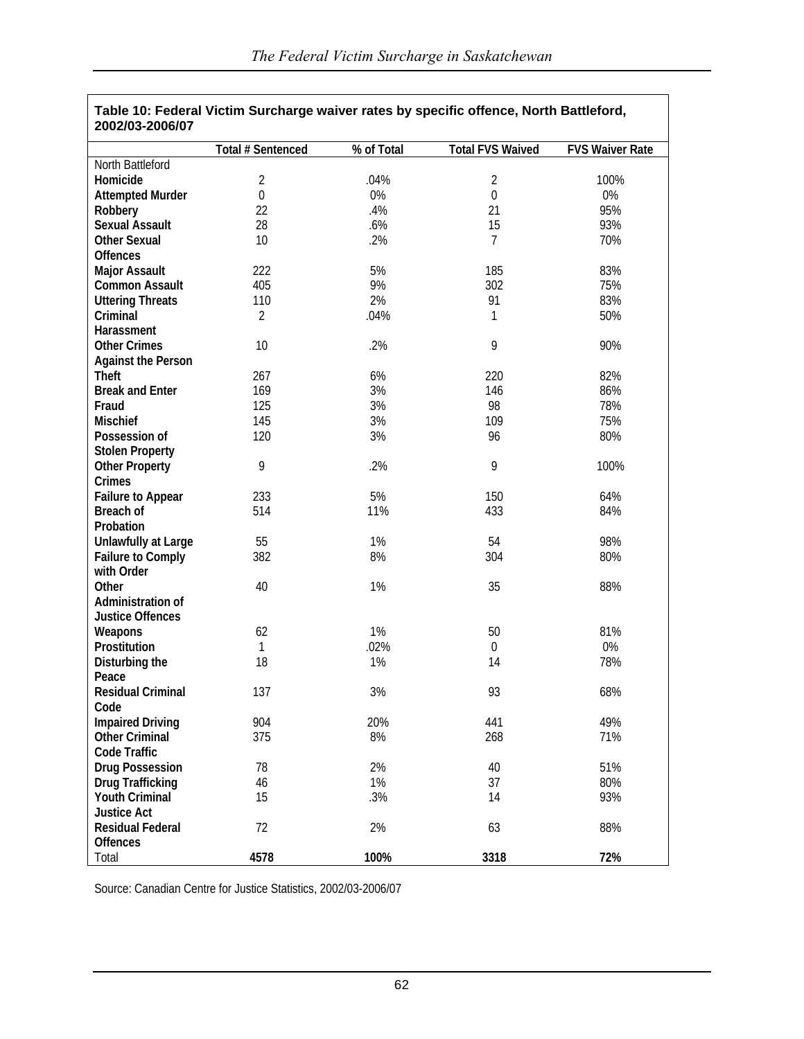| Table 10: Federal Victim Surcharge waiver rates by specific offence, North Battleford,<br>2002/03-2006/07 |                          |            |                         |                        |
|-----------------------------------------------------------------------------------------------------------|--------------------------|------------|-------------------------|------------------------|
|                                                                                                           | <b>Total # Sentenced</b> | % of Total | <b>Total FVS Waived</b> | <b>FVS Waiver Rate</b> |
| North Battleford                                                                                          |                          |            |                         |                        |
| Homicide                                                                                                  | $\overline{2}$           | .04%       | $\overline{2}$          | 100%                   |
| <b>Attempted Murder</b>                                                                                   | $\mathbf 0$              | 0%         | $\mathbf 0$             | 0%                     |
| Robbery                                                                                                   | 22                       | .4%        | 21                      | 95%                    |
| <b>Sexual Assault</b>                                                                                     | 28                       | .6%        | 15                      | 93%                    |
| <b>Other Sexual</b>                                                                                       | 10                       | .2%        | $\overline{7}$          | 70%                    |
| <b>Offences</b>                                                                                           |                          |            |                         |                        |
| <b>Major Assault</b>                                                                                      | 222                      | 5%         | 185                     | 83%                    |
| <b>Common Assault</b>                                                                                     | 405                      | 9%         | 302                     | 75%                    |
| <b>Uttering Threats</b>                                                                                   | 110                      | 2%         | 91                      | 83%                    |
| Criminal                                                                                                  | $\overline{2}$           | .04%       | 1                       | 50%                    |
| Harassment                                                                                                |                          |            |                         |                        |
| <b>Other Crimes</b>                                                                                       | 10                       | .2%        | 9                       | 90%                    |
| <b>Against the Person</b>                                                                                 |                          |            |                         |                        |
| <b>Theft</b>                                                                                              | 267                      | 6%         | 220                     | 82%                    |
| <b>Break and Enter</b>                                                                                    |                          | 3%         |                         |                        |
|                                                                                                           | 169                      |            | 146                     | 86%                    |
| Fraud                                                                                                     | 125                      | 3%         | 98                      | 78%                    |
| <b>Mischief</b>                                                                                           | 145                      | 3%         | 109                     | 75%                    |
| Possession of                                                                                             | 120                      | 3%         | 96                      | 80%                    |
| <b>Stolen Property</b>                                                                                    |                          |            |                         |                        |
| <b>Other Property</b>                                                                                     | 9                        | .2%        | 9                       | 100%                   |
| Crimes                                                                                                    |                          |            |                         |                        |
| <b>Failure to Appear</b>                                                                                  | 233                      | 5%         | 150                     | 64%                    |
| Breach of                                                                                                 | 514                      | 11%        | 433                     | 84%                    |
| Probation                                                                                                 |                          |            |                         |                        |
| Unlawfully at Large                                                                                       | 55                       | 1%         | 54                      | 98%                    |
| <b>Failure to Comply</b>                                                                                  | 382                      | 8%         | 304                     | 80%                    |
| with Order                                                                                                |                          |            |                         |                        |
| Other                                                                                                     | 40                       | 1%         | 35                      | 88%                    |
| Administration of                                                                                         |                          |            |                         |                        |
| <b>Justice Offences</b>                                                                                   |                          |            |                         |                        |
| Weapons                                                                                                   | 62                       | 1%         | 50                      | 81%                    |
| Prostitution                                                                                              | $\mathbf{1}$             | .02%       | $\pmb{0}$               | 0%                     |
| Disturbing the                                                                                            | 18                       | 1%         | 14                      | 78%                    |
| Peace                                                                                                     |                          |            |                         |                        |
| <b>Residual Criminal</b>                                                                                  | 137                      | 3%         | 93                      | 68%                    |
| Code                                                                                                      |                          |            |                         |                        |
| <b>Impaired Driving</b>                                                                                   | 904                      | 20%        | 441                     | 49%                    |
| <b>Other Criminal</b>                                                                                     | 375                      | 8%         | 268                     | 71%                    |
| <b>Code Traffic</b>                                                                                       |                          |            |                         |                        |
| <b>Drug Possession</b>                                                                                    | 78                       | 2%         | 40                      | 51%                    |
| <b>Drug Trafficking</b>                                                                                   | 46                       | 1%         | 37                      | 80%                    |
| <b>Youth Criminal</b>                                                                                     | 15                       | .3%        | 14                      | 93%                    |
| <b>Justice Act</b>                                                                                        |                          |            |                         |                        |
| <b>Residual Federal</b>                                                                                   | 72                       | 2%         | 63                      | 88%                    |
| <b>Offences</b>                                                                                           |                          |            |                         |                        |
|                                                                                                           |                          | 100%       |                         |                        |
| Total                                                                                                     | 4578                     |            | 3318                    | 72%                    |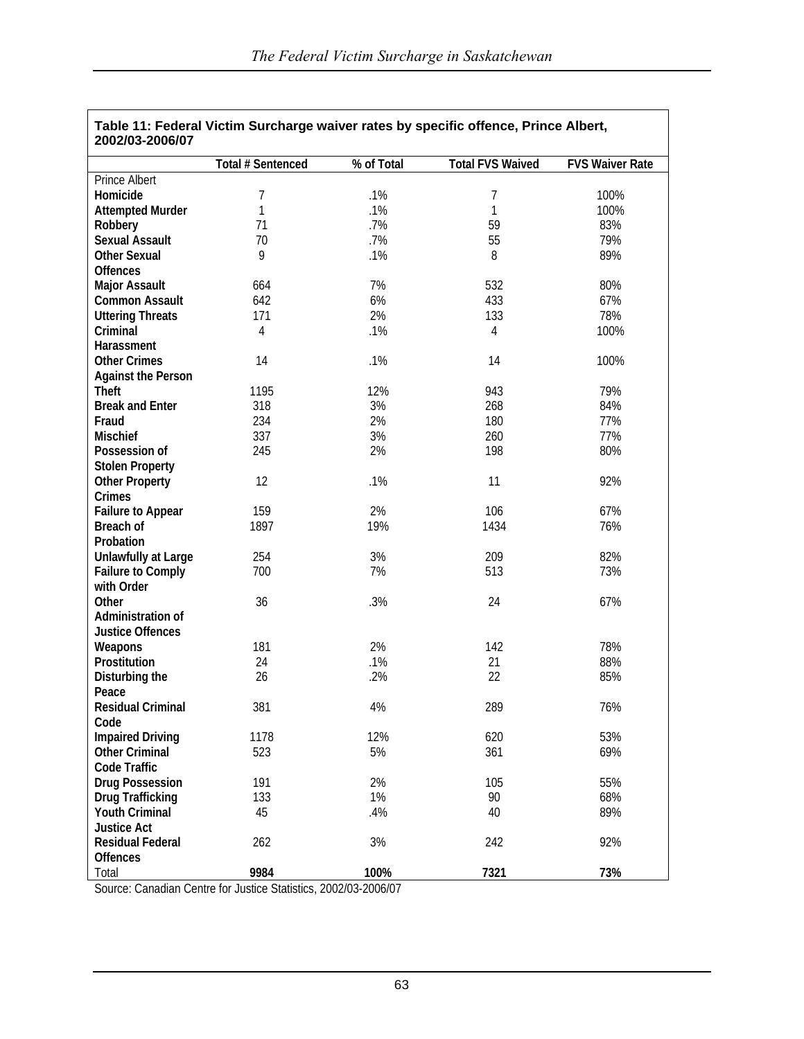| Table 11: Federal Victim Surcharge waiver rates by specific offence, Prince Albert,<br>2002/03-2006/07 |                          |            |                         |                        |
|--------------------------------------------------------------------------------------------------------|--------------------------|------------|-------------------------|------------------------|
|                                                                                                        | <b>Total # Sentenced</b> | % of Total | <b>Total FVS Waived</b> | <b>FVS Waiver Rate</b> |
| Prince Albert                                                                                          |                          |            |                         |                        |
| Homicide                                                                                               | 7                        | .1%        | 7                       | 100%                   |
| <b>Attempted Murder</b>                                                                                | 1                        | .1%        | 1                       | 100%                   |
| Robbery                                                                                                | 71                       | .7%        | 59                      | 83%                    |
| <b>Sexual Assault</b>                                                                                  | 70                       | .7%        | 55                      | 79%                    |
| <b>Other Sexual</b>                                                                                    | 9                        | .1%        | 8                       | 89%                    |
| <b>Offences</b>                                                                                        |                          |            |                         |                        |
| <b>Major Assault</b>                                                                                   | 664                      | 7%         | 532                     | 80%                    |
| <b>Common Assault</b>                                                                                  | 642                      | 6%         | 433                     | 67%                    |
| <b>Uttering Threats</b>                                                                                | 171                      | 2%         | 133                     | 78%                    |
| Criminal                                                                                               | $\overline{4}$           | .1%        | $\overline{4}$          | 100%                   |
| <b>Harassment</b>                                                                                      |                          |            |                         |                        |
| <b>Other Crimes</b>                                                                                    | 14                       | .1%        | 14                      | 100%                   |
| <b>Against the Person</b>                                                                              |                          |            |                         |                        |
| <b>Theft</b>                                                                                           | 1195                     | 12%        | 943                     | 79%                    |
| <b>Break and Enter</b>                                                                                 | 318                      | 3%         | 268                     | 84%                    |
| Fraud                                                                                                  | 234                      | 2%         | 180                     | 77%                    |
| <b>Mischief</b>                                                                                        | 337                      | 3%         | 260                     | 77%                    |
|                                                                                                        | 245                      | 2%         | 198                     | 80%                    |
| Possession of                                                                                          |                          |            |                         |                        |
| <b>Stolen Property</b>                                                                                 |                          |            |                         |                        |
| <b>Other Property</b>                                                                                  | 12                       | .1%        | 11                      | 92%                    |
| Crimes                                                                                                 |                          |            |                         |                        |
| <b>Failure to Appear</b>                                                                               | 159                      | 2%         | 106                     | 67%                    |
| Breach of                                                                                              | 1897                     | 19%        | 1434                    | 76%                    |
| Probation                                                                                              |                          |            |                         |                        |
| <b>Unlawfully at Large</b>                                                                             | 254                      | 3%         | 209                     | 82%                    |
| <b>Failure to Comply</b>                                                                               | 700                      | 7%         | 513                     | 73%                    |
| with Order                                                                                             |                          |            |                         |                        |
| Other                                                                                                  | 36                       | .3%        | 24                      | 67%                    |
| Administration of                                                                                      |                          |            |                         |                        |
| <b>Justice Offences</b>                                                                                |                          |            |                         |                        |
| Weapons                                                                                                | 181                      | 2%         | 142                     | 78%                    |
| Prostitution                                                                                           | 24                       | .1%        | 21                      | 88%                    |
| Disturbing the                                                                                         | 26                       | .2%        | 22                      | 85%                    |
| Peace                                                                                                  |                          |            |                         |                        |
| <b>Residual Criminal</b>                                                                               | 381                      | 4%         | 289                     | 76%                    |
| Code                                                                                                   |                          |            |                         |                        |
| <b>Impaired Driving</b>                                                                                | 1178                     | 12%        | 620                     | 53%                    |
| <b>Other Criminal</b>                                                                                  | 523                      | 5%         | 361                     | 69%                    |
| <b>Code Traffic</b>                                                                                    |                          |            |                         |                        |
| <b>Drug Possession</b>                                                                                 | 191                      | 2%         | 105                     | 55%                    |
| Drug Trafficking                                                                                       | 133                      | 1%         | 90                      | 68%                    |
| <b>Youth Criminal</b>                                                                                  | 45                       | .4%        | 40                      | 89%                    |
| <b>Justice Act</b>                                                                                     |                          |            |                         |                        |
| <b>Residual Federal</b>                                                                                | 262                      | 3%         | 242                     | 92%                    |
| Offences                                                                                               |                          |            |                         |                        |
| Total                                                                                                  | 9984                     | 100%       | 7321                    | 73%                    |
|                                                                                                        |                          |            |                         |                        |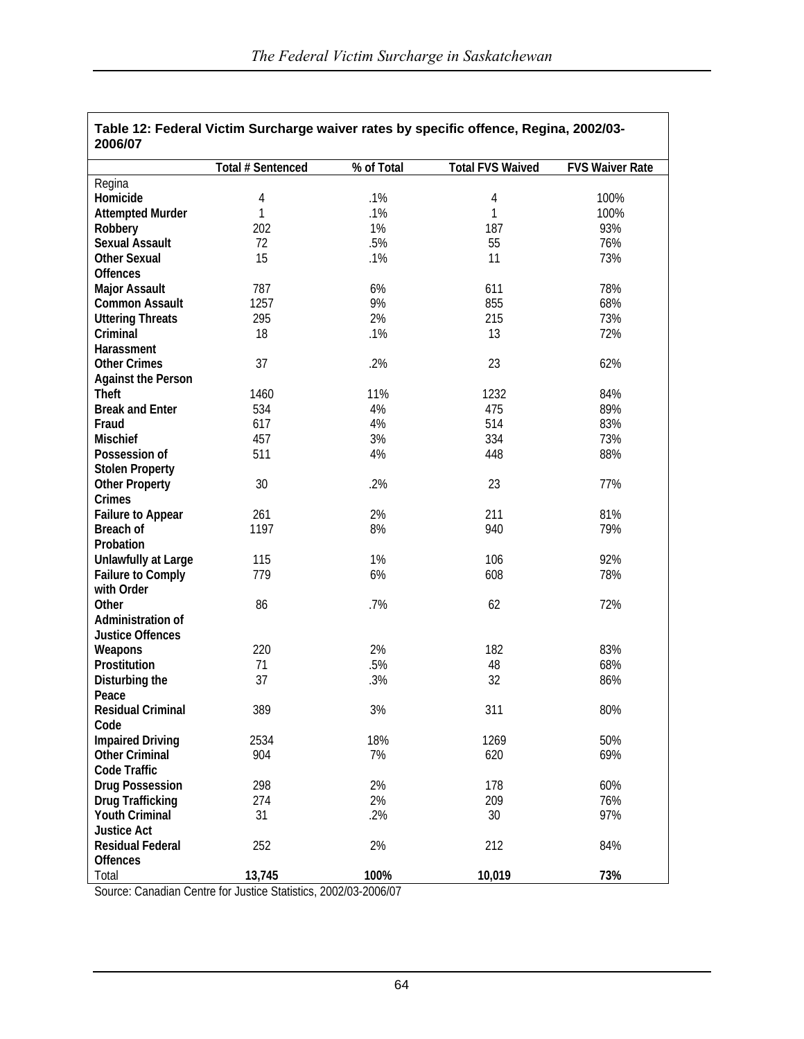| 2006/07                   |                          |            | Table 12: Federal Victim Surcharge waiver rates by specific offence, Regina, 2002/03- |                        |
|---------------------------|--------------------------|------------|---------------------------------------------------------------------------------------|------------------------|
|                           | <b>Total # Sentenced</b> | % of Total | <b>Total FVS Waived</b>                                                               | <b>FVS Waiver Rate</b> |
| Regina                    |                          |            |                                                                                       |                        |
| Homicide                  | $\sqrt{4}$               | .1%        | $\sqrt{4}$                                                                            | 100%                   |
| <b>Attempted Murder</b>   | 1                        | .1%        | 1                                                                                     | 100%                   |
| Robbery                   | 202                      | 1%         | 187                                                                                   | 93%                    |
| <b>Sexual Assault</b>     | 72                       | .5%        | 55                                                                                    | 76%                    |
| <b>Other Sexual</b>       | 15                       | .1%        | 11                                                                                    | 73%                    |
| <b>Offences</b>           |                          |            |                                                                                       |                        |
| <b>Major Assault</b>      | 787                      | 6%         | 611                                                                                   | 78%                    |
| <b>Common Assault</b>     | 1257                     | 9%         | 855                                                                                   | 68%                    |
| <b>Uttering Threats</b>   | 295                      | 2%         | 215                                                                                   | 73%                    |
| Criminal                  | 18                       | .1%        | 13                                                                                    | 72%                    |
| Harassment                |                          |            |                                                                                       |                        |
|                           |                          |            |                                                                                       |                        |
| <b>Other Crimes</b>       | 37                       | .2%        | 23                                                                                    | 62%                    |
| <b>Against the Person</b> |                          |            |                                                                                       |                        |
| <b>Theft</b>              | 1460                     | 11%        | 1232                                                                                  | 84%                    |
| <b>Break and Enter</b>    | 534                      | 4%         | 475                                                                                   | 89%                    |
| Fraud                     | 617                      | 4%         | 514                                                                                   | 83%                    |
| <b>Mischief</b>           | 457                      | 3%         | 334                                                                                   | 73%                    |
| Possession of             | 511                      | 4%         | 448                                                                                   | 88%                    |
| <b>Stolen Property</b>    |                          |            |                                                                                       |                        |
| <b>Other Property</b>     | 30                       | .2%        | 23                                                                                    | 77%                    |
| Crimes                    |                          |            |                                                                                       |                        |
| <b>Failure to Appear</b>  | 261                      | 2%         | 211                                                                                   | 81%                    |
| Breach of                 | 1197                     | 8%         | 940                                                                                   | 79%                    |
| Probation                 |                          |            |                                                                                       |                        |
| Unlawfully at Large       | 115                      | 1%         | 106                                                                                   | 92%                    |
| <b>Failure to Comply</b>  | 779                      | 6%         | 608                                                                                   | 78%                    |
| with Order                |                          |            |                                                                                       |                        |
| Other                     | 86                       | .7%        | 62                                                                                    | 72%                    |
| Administration of         |                          |            |                                                                                       |                        |
| <b>Justice Offences</b>   |                          |            |                                                                                       |                        |
|                           | 220                      |            | 182                                                                                   |                        |
| Weapons                   |                          | 2%         |                                                                                       | 83%                    |
| Prostitution              | 71                       | .5%        | 48                                                                                    | 68%                    |
| Disturbing the            | 37                       | .3%        | 32                                                                                    | 86%                    |
| Peace                     |                          |            |                                                                                       |                        |
| Residual Criminal         | 389                      | 3%         | 311                                                                                   | 80%                    |
| Code                      |                          |            |                                                                                       |                        |
| <b>Impaired Driving</b>   | 2534                     | 18%        | 1269                                                                                  | 50%                    |
| <b>Other Criminal</b>     | 904                      | 7%         | 620                                                                                   | 69%                    |
| <b>Code Traffic</b>       |                          |            |                                                                                       |                        |
| <b>Drug Possession</b>    | 298                      | 2%         | 178                                                                                   | 60%                    |
| Drug Trafficking          | 274                      | 2%         | 209                                                                                   | 76%                    |
| <b>Youth Criminal</b>     | 31                       | .2%        | 30                                                                                    | 97%                    |
| <b>Justice Act</b>        |                          |            |                                                                                       |                        |
| <b>Residual Federal</b>   | 252                      | 2%         | 212                                                                                   | 84%                    |
| Offences                  |                          |            |                                                                                       |                        |
| Total                     | 13,745                   | 100%       | 10,019                                                                                | 73%                    |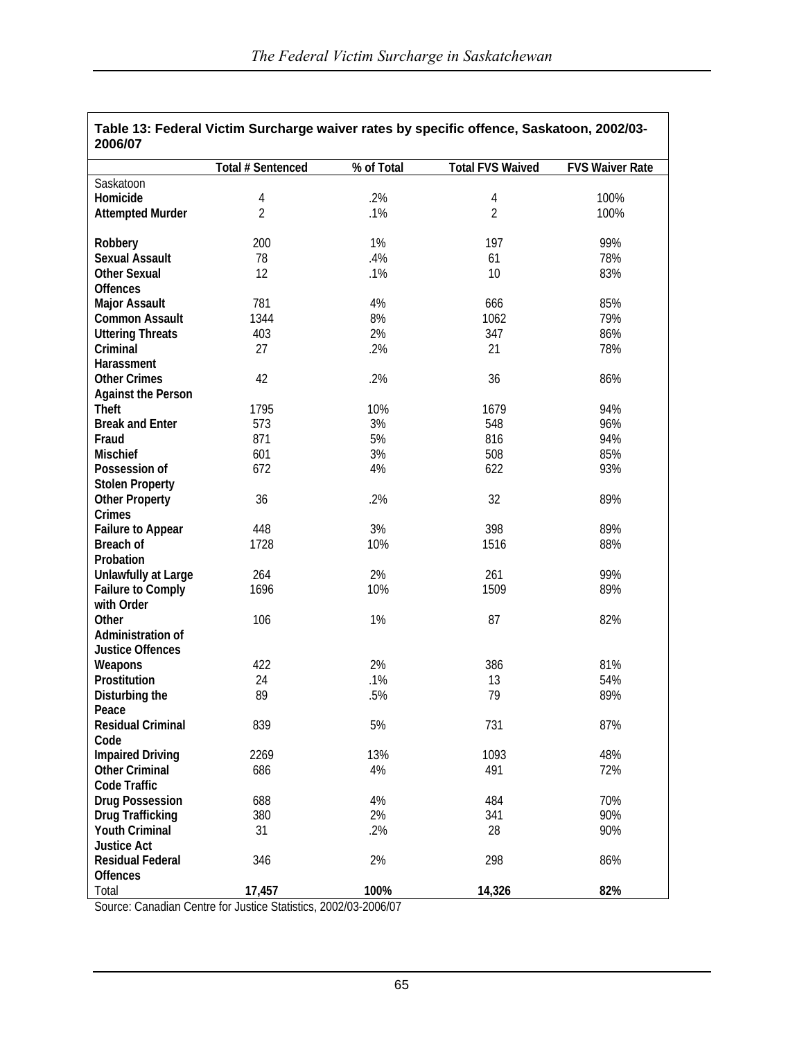┑

| Table 13: Federal Victim Surcharge waiver rates by specific offence, Saskatoon, 2002/03-<br>2006/07 |                   |            |                         |                        |  |
|-----------------------------------------------------------------------------------------------------|-------------------|------------|-------------------------|------------------------|--|
|                                                                                                     | Total # Sentenced | % of Total | <b>Total FVS Waived</b> | <b>FVS Waiver Rate</b> |  |
| Saskatoon                                                                                           |                   |            |                         |                        |  |
| Homicide                                                                                            | $\overline{4}$    | .2%        | $\overline{4}$          | 100%                   |  |
| <b>Attempted Murder</b>                                                                             | $\overline{2}$    | .1%        | $\overline{2}$          | 100%                   |  |
| Robbery                                                                                             | 200               | 1%         | 197                     | 99%                    |  |
| <b>Sexual Assault</b>                                                                               | 78                | .4%        | 61                      | 78%                    |  |
| <b>Other Sexual</b>                                                                                 | 12                | .1%        | 10                      | 83%                    |  |
| <b>Offences</b>                                                                                     |                   |            |                         |                        |  |
| <b>Major Assault</b>                                                                                | 781               | 4%         | 666                     | 85%                    |  |
| <b>Common Assault</b>                                                                               | 1344              | 8%         | 1062                    | 79%                    |  |
| <b>Uttering Threats</b>                                                                             | 403               | 2%         | 347                     | 86%                    |  |
| Criminal                                                                                            | 27                | .2%        | 21                      | 78%                    |  |
| Harassment                                                                                          |                   |            |                         |                        |  |
| <b>Other Crimes</b>                                                                                 | 42                | .2%        | 36                      | 86%                    |  |
| <b>Against the Person</b>                                                                           |                   |            |                         |                        |  |
| <b>Theft</b>                                                                                        | 1795              | 10%        | 1679                    | 94%                    |  |
| <b>Break and Enter</b>                                                                              | 573               | 3%         | 548                     | 96%                    |  |
| Fraud                                                                                               | 871               | 5%         | 816                     | 94%                    |  |
| <b>Mischief</b>                                                                                     | 601               | 3%         | 508                     | 85%                    |  |
| Possession of                                                                                       | 672               | 4%         | 622                     | 93%                    |  |
| <b>Stolen Property</b>                                                                              |                   |            |                         |                        |  |
| <b>Other Property</b>                                                                               | 36                | .2%        | 32                      | 89%                    |  |
| Crimes                                                                                              |                   |            |                         |                        |  |
| <b>Failure to Appear</b>                                                                            | 448               | 3%         | 398                     | 89%                    |  |
| Breach of                                                                                           | 1728              | 10%        | 1516                    | 88%                    |  |
| Probation                                                                                           |                   |            |                         |                        |  |
| Unlawfully at Large                                                                                 | 264               | 2%         | 261                     | 99%                    |  |
| <b>Failure to Comply</b>                                                                            | 1696              | 10%        | 1509                    | 89%                    |  |
| with Order                                                                                          |                   |            |                         |                        |  |
| Other                                                                                               | 106               | 1%         | 87                      | 82%                    |  |
| Administration of                                                                                   |                   |            |                         |                        |  |
| <b>Justice Offences</b>                                                                             |                   |            |                         |                        |  |
| Weapons                                                                                             | 422               | 2%         | 386                     | 81%                    |  |
| Prostitution                                                                                        | 24                | .1%        | 13                      | 54%                    |  |
| Disturbing the                                                                                      | 89                | .5%        | 79                      | 89%                    |  |
| Peace                                                                                               |                   |            |                         |                        |  |
| <b>Residual Criminal</b>                                                                            | 839               | 5%         | 731                     | 87%                    |  |
| Code                                                                                                |                   |            |                         |                        |  |
| <b>Impaired Driving</b>                                                                             | 2269              | 13%        | 1093                    | 48%                    |  |
| <b>Other Criminal</b>                                                                               | 686               | 4%         | 491                     | 72%                    |  |
| <b>Code Traffic</b>                                                                                 |                   |            |                         |                        |  |
| <b>Drug Possession</b>                                                                              | 688               | 4%         | 484                     | 70%                    |  |
| <b>Drug Trafficking</b>                                                                             | 380               | 2%         | 341                     | 90%                    |  |
| <b>Youth Criminal</b>                                                                               | 31                | .2%        | 28                      | 90%                    |  |
| <b>Justice Act</b>                                                                                  |                   |            |                         |                        |  |
| <b>Residual Federal</b>                                                                             | 346               | 2%         | 298                     | 86%                    |  |
| Offences                                                                                            |                   |            |                         |                        |  |
| Total                                                                                               | 17,457            | 100%       | 14,326                  | 82%                    |  |

Source: Canadian Centre for Justice Statistics, 2002/03-2006/07

 $\overline{1}$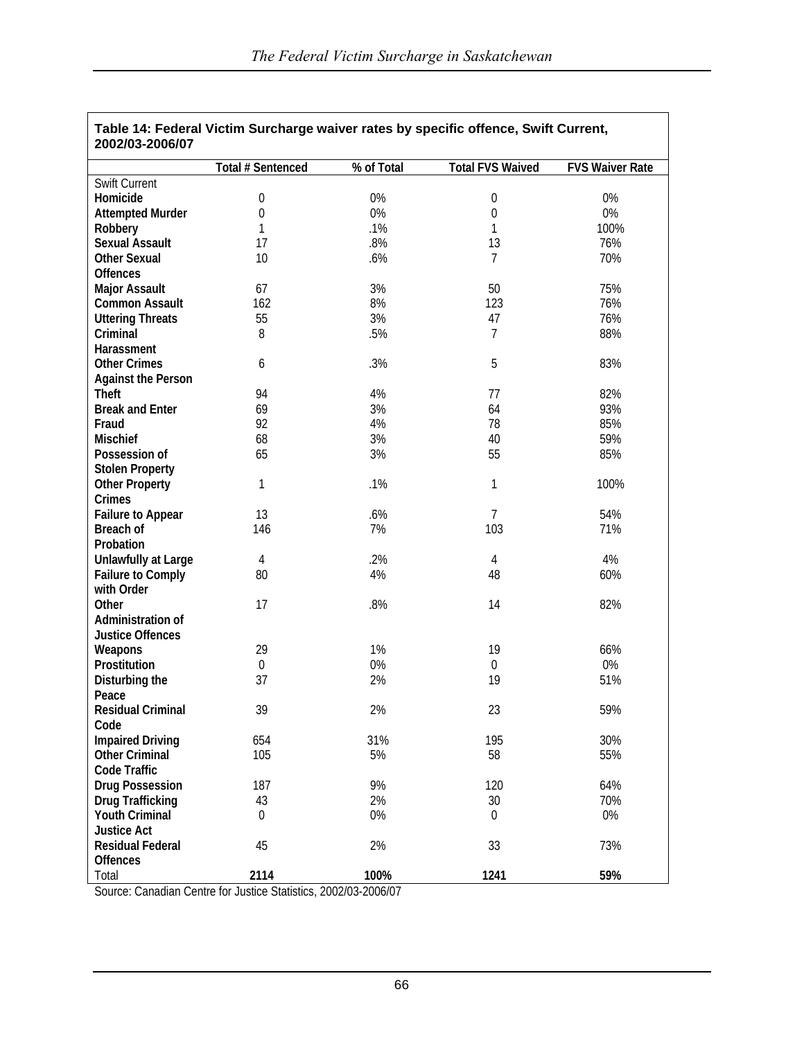$\perp$ 

| Table 14: Federal Victim Surcharge waiver rates by specific offence, Swift Current,<br>2002/03-2006/07 |                          |            |                         |                        |
|--------------------------------------------------------------------------------------------------------|--------------------------|------------|-------------------------|------------------------|
|                                                                                                        | <b>Total # Sentenced</b> | % of Total | <b>Total FVS Waived</b> | <b>FVS Waiver Rate</b> |
| Swift Current                                                                                          |                          |            |                         |                        |
| Homicide                                                                                               | 0                        | 0%         | 0                       | 0%                     |
| <b>Attempted Murder</b>                                                                                | $\boldsymbol{0}$         | 0%         | $\mathbf 0$             | 0%                     |
| Robbery                                                                                                | 1                        | .1%        | $\mathbf{1}$            | 100%                   |
| <b>Sexual Assault</b>                                                                                  | 17                       | $.8\%$     | 13                      | 76%                    |
| <b>Other Sexual</b>                                                                                    | 10                       | .6%        | $\overline{7}$          | 70%                    |
| <b>Offences</b>                                                                                        |                          |            |                         |                        |
| <b>Major Assault</b>                                                                                   | 67                       | 3%         | 50                      | 75%                    |
| <b>Common Assault</b>                                                                                  | 162                      | 8%         | 123                     | 76%                    |
| <b>Uttering Threats</b>                                                                                | 55                       | 3%         | 47                      | 76%                    |
| Criminal                                                                                               | 8                        | .5%        | $\overline{7}$          | 88%                    |
| Harassment                                                                                             |                          |            |                         |                        |
| <b>Other Crimes</b>                                                                                    | 6                        | .3%        | 5                       | 83%                    |
| <b>Against the Person</b>                                                                              |                          |            |                         |                        |
| <b>Theft</b>                                                                                           | 94                       | 4%         | 77                      | 82%                    |
| <b>Break and Enter</b>                                                                                 | 69                       | 3%         |                         | 93%                    |
|                                                                                                        |                          |            | 64                      |                        |
| Fraud                                                                                                  | 92                       | 4%         | 78                      | 85%                    |
| Mischief                                                                                               | 68                       | 3%         | 40                      | 59%                    |
| Possession of                                                                                          | 65                       | 3%         | 55                      | 85%                    |
| <b>Stolen Property</b>                                                                                 |                          |            |                         |                        |
| <b>Other Property</b>                                                                                  | $\mathbf{1}$             | .1%        | 1                       | 100%                   |
| Crimes                                                                                                 |                          |            |                         |                        |
| <b>Failure to Appear</b>                                                                               | 13                       | .6%        | $\overline{7}$          | 54%                    |
| Breach of                                                                                              | 146                      | 7%         | 103                     | 71%                    |
| Probation                                                                                              |                          |            |                         |                        |
| Unlawfully at Large                                                                                    | 4                        | .2%        | 4                       | 4%                     |
| <b>Failure to Comply</b>                                                                               | 80                       | 4%         | 48                      | 60%                    |
| with Order                                                                                             |                          |            |                         |                        |
| Other                                                                                                  | 17                       | .8%        | 14                      | 82%                    |
| Administration of                                                                                      |                          |            |                         |                        |
| <b>Justice Offences</b>                                                                                |                          |            |                         |                        |
| Weapons                                                                                                | 29                       | 1%         | 19                      | 66%                    |
| Prostitution                                                                                           | $\mathbf 0$              | 0%         | $\mathbf 0$             | 0%                     |
| Disturbing the                                                                                         | 37                       | 2%         | 19                      | 51%                    |
| Peace                                                                                                  |                          |            |                         |                        |
| Residual Criminal                                                                                      | 39                       | 2%         | 23                      | 59%                    |
| Code                                                                                                   |                          |            |                         |                        |
| <b>Impaired Driving</b>                                                                                | 654                      | 31%        | 195                     | 30%                    |
| <b>Other Criminal</b>                                                                                  | 105                      | 5%         | 58                      | 55%                    |
| <b>Code Traffic</b>                                                                                    |                          |            |                         |                        |
| <b>Drug Possession</b>                                                                                 | 187                      | 9%         | 120                     | 64%                    |
| <b>Drug Trafficking</b>                                                                                | 43                       | 2%         | 30                      | 70%                    |
|                                                                                                        |                          |            |                         |                        |
| <b>Youth Criminal</b>                                                                                  | $\mathbf 0$              | 0%         | 0                       | 0%                     |
| <b>Justice Act</b>                                                                                     |                          |            |                         |                        |
| <b>Residual Federal</b>                                                                                | 45                       | 2%         | 33                      | 73%                    |
| <b>Offences</b>                                                                                        |                          |            |                         |                        |
| Total                                                                                                  | 2114                     | 100%       | 1241                    | 59%                    |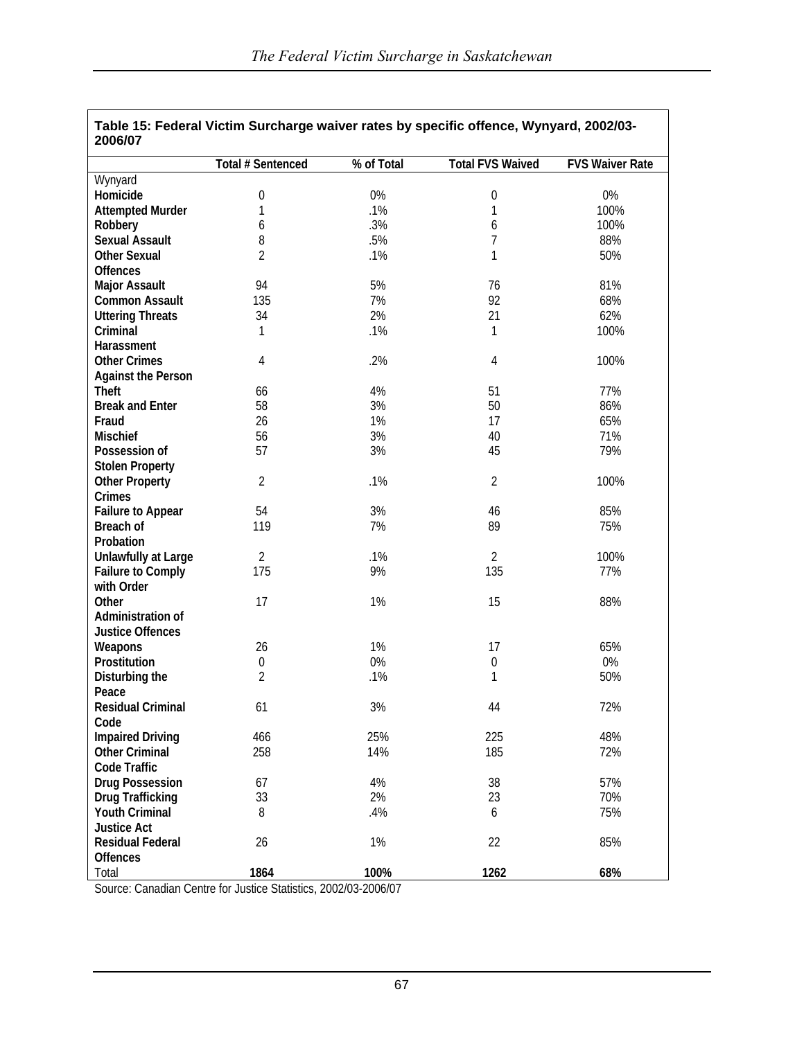| Table 15: Federal Victim Surcharge waiver rates by specific offence, Wynyard, 2002/03-<br>2006/07 |                          |            |                         |                        |
|---------------------------------------------------------------------------------------------------|--------------------------|------------|-------------------------|------------------------|
|                                                                                                   | <b>Total # Sentenced</b> | % of Total | <b>Total FVS Waived</b> | <b>FVS Waiver Rate</b> |
| Wynyard                                                                                           |                          |            |                         |                        |
| Homicide                                                                                          | 0                        | 0%         | 0                       | 0%                     |
| <b>Attempted Murder</b>                                                                           | 1                        | .1%        | 1                       | 100%                   |
| Robbery                                                                                           | 6                        | .3%        | 6                       | 100%                   |
| <b>Sexual Assault</b>                                                                             | 8                        | .5%        | 7                       | 88%                    |
| <b>Other Sexual</b>                                                                               | $\overline{2}$           | .1%        | 1                       | 50%                    |
| <b>Offences</b>                                                                                   |                          |            |                         |                        |
| <b>Major Assault</b>                                                                              | 94                       | 5%         | 76                      | 81%                    |
| <b>Common Assault</b>                                                                             | 135                      | 7%         | 92                      | 68%                    |
| <b>Uttering Threats</b>                                                                           | 34                       | 2%         | 21                      | 62%                    |
| Criminal                                                                                          | 1                        | .1%        | 1                       | 100%                   |
| Harassment                                                                                        |                          |            |                         |                        |
| <b>Other Crimes</b>                                                                               | 4                        | .2%        | 4                       | 100%                   |
|                                                                                                   |                          |            |                         |                        |
| <b>Against the Person</b>                                                                         |                          | 4%         | 51                      | 77%                    |
| <b>Theft</b>                                                                                      | 66                       |            |                         |                        |
| <b>Break and Enter</b>                                                                            | 58                       | 3%         | 50                      | 86%                    |
| Fraud                                                                                             | 26                       | 1%         | 17                      | 65%                    |
| <b>Mischief</b>                                                                                   | 56                       | 3%         | 40                      | 71%                    |
| Possession of                                                                                     | 57                       | 3%         | 45                      | 79%                    |
| <b>Stolen Property</b>                                                                            |                          |            |                         |                        |
| <b>Other Property</b>                                                                             | $\overline{2}$           | .1%        | $\overline{2}$          | 100%                   |
| <b>Crimes</b>                                                                                     |                          |            |                         |                        |
| <b>Failure to Appear</b>                                                                          | 54                       | 3%         | 46                      | 85%                    |
| Breach of                                                                                         | 119                      | 7%         | 89                      | 75%                    |
| Probation                                                                                         |                          |            |                         |                        |
| <b>Unlawfully at Large</b>                                                                        | $\overline{2}$           | .1%        | $\overline{2}$          | 100%                   |
| <b>Failure to Comply</b>                                                                          | 175                      | 9%         | 135                     | 77%                    |
| with Order                                                                                        |                          |            |                         |                        |
| Other                                                                                             | 17                       | 1%         | 15                      | 88%                    |
| Administration of                                                                                 |                          |            |                         |                        |
| <b>Justice Offences</b>                                                                           |                          |            |                         |                        |
| Weapons                                                                                           | 26                       | 1%         | 17                      | 65%                    |
| Prostitution                                                                                      | $\boldsymbol{0}$         | 0%         | $\boldsymbol{0}$        | 0%                     |
| Disturbing the                                                                                    | $\overline{2}$           | .1%        | 1                       | 50%                    |
| Peace                                                                                             |                          |            |                         |                        |
| <b>Residual Criminal</b>                                                                          | 61                       | 3%         | 44                      | 72%                    |
| Code                                                                                              |                          |            |                         |                        |
| <b>Impaired Driving</b>                                                                           | 466                      | 25%        | 225                     | 48%                    |
| <b>Other Criminal</b>                                                                             | 258                      | 14%        | 185                     | 72%                    |
|                                                                                                   |                          |            |                         |                        |
| <b>Code Traffic</b>                                                                               |                          |            |                         |                        |
| <b>Drug Possession</b>                                                                            | 67                       | 4%         | 38                      | 57%                    |
| Drug Trafficking                                                                                  | 33                       | 2%         | 23                      | 70%                    |
| <b>Youth Criminal</b>                                                                             | 8                        | .4%        | 6                       | 75%                    |
| <b>Justice Act</b>                                                                                |                          |            |                         |                        |
| <b>Residual Federal</b>                                                                           | 26                       | 1%         | 22                      | 85%                    |
| <b>Offences</b>                                                                                   |                          |            |                         |                        |
| Total                                                                                             | 1864                     | 100%       | 1262                    | 68%                    |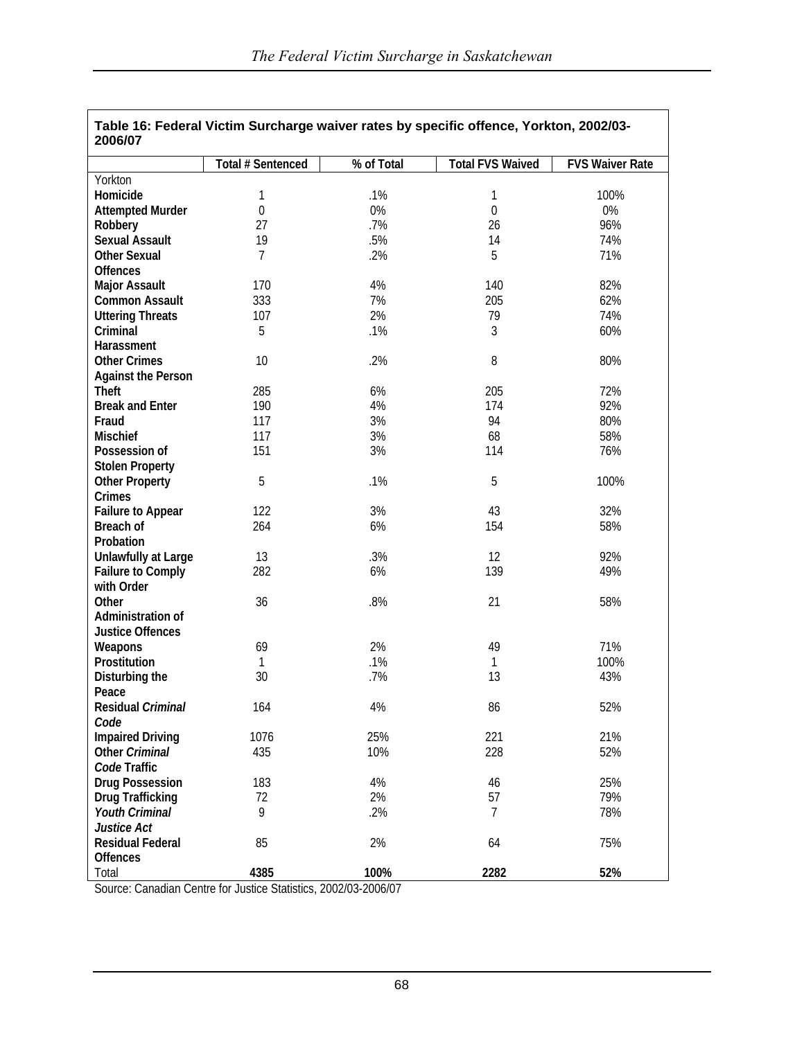$\overline{\phantom{a}}$ 

| Table 16: Federal Victim Surcharge waiver rates by specific offence, Yorkton, 2002/03-<br>2006/07 |                          |            |                         |                        |
|---------------------------------------------------------------------------------------------------|--------------------------|------------|-------------------------|------------------------|
|                                                                                                   | <b>Total # Sentenced</b> | % of Total | <b>Total FVS Waived</b> | <b>FVS Waiver Rate</b> |
| Yorkton                                                                                           |                          |            |                         |                        |
| Homicide                                                                                          | 1                        | .1%        | 1                       | 100%                   |
| <b>Attempted Murder</b>                                                                           | $\mathbf 0$              | 0%         | $\mathbf 0$             | 0%                     |
| Robbery                                                                                           | 27                       | .7%        | 26                      | 96%                    |
| <b>Sexual Assault</b>                                                                             | 19                       | .5%        | 14                      | 74%                    |
| <b>Other Sexual</b>                                                                               | $\overline{7}$           | .2%        | 5                       | 71%                    |
| <b>Offences</b>                                                                                   |                          |            |                         |                        |
| <b>Major Assault</b>                                                                              | 170                      | 4%         | 140                     | 82%                    |
| <b>Common Assault</b>                                                                             | 333                      | 7%         | 205                     | 62%                    |
| <b>Uttering Threats</b>                                                                           | 107                      | 2%         | 79                      | 74%                    |
| Criminal                                                                                          | 5                        | .1%        | 3                       | 60%                    |
| Harassment                                                                                        |                          |            |                         |                        |
| <b>Other Crimes</b>                                                                               | 10                       | .2%        | 8                       | 80%                    |
| <b>Against the Person</b>                                                                         |                          |            |                         |                        |
| <b>Theft</b>                                                                                      | 285                      | 6%         | 205                     | 72%                    |
| <b>Break and Enter</b>                                                                            | 190                      | 4%         | 174                     | 92%                    |
| Fraud                                                                                             | 117                      | 3%         | 94                      | 80%                    |
|                                                                                                   |                          |            |                         |                        |
| Mischief                                                                                          | 117                      | 3%         | 68                      | 58%                    |
| Possession of                                                                                     | 151                      | 3%         | 114                     | 76%                    |
| <b>Stolen Property</b>                                                                            |                          |            |                         |                        |
| <b>Other Property</b>                                                                             | 5                        | .1%        | 5                       | 100%                   |
| Crimes                                                                                            |                          |            |                         |                        |
| <b>Failure to Appear</b>                                                                          | 122                      | 3%         | 43                      | 32%                    |
| Breach of                                                                                         | 264                      | 6%         | 154                     | 58%                    |
| Probation                                                                                         |                          |            |                         |                        |
| <b>Unlawfully at Large</b>                                                                        | 13                       | .3%        | 12                      | 92%                    |
| <b>Failure to Comply</b>                                                                          | 282                      | 6%         | 139                     | 49%                    |
| with Order                                                                                        |                          |            |                         |                        |
| Other                                                                                             | 36                       | .8%        | 21                      | 58%                    |
| Administration of                                                                                 |                          |            |                         |                        |
| <b>Justice Offences</b>                                                                           |                          |            |                         |                        |
| Weapons                                                                                           | 69                       | 2%         | 49                      | 71%                    |
| Prostitution                                                                                      | $\mathbf{1}$             | .1%        | $\mathbf{1}$            | 100%                   |
| Disturbing the                                                                                    | 30                       | .7%        | 13                      | 43%                    |
| Peace                                                                                             |                          |            |                         |                        |
| Residual Criminal                                                                                 | 164                      | 4%         | 86                      | 52%                    |
| Code                                                                                              |                          |            |                         |                        |
| <b>Impaired Driving</b>                                                                           | 1076                     | 25%        | 221                     | 21%                    |
| Other Criminal                                                                                    | 435                      | 10%        | 228                     | 52%                    |
| Code Traffic                                                                                      |                          |            |                         |                        |
| <b>Drug Possession</b>                                                                            | 183                      | 4%         | 46                      | 25%                    |
| <b>Drug Trafficking</b>                                                                           | 72                       | 2%         | 57                      | 79%                    |
| <b>Youth Criminal</b>                                                                             | 9                        | .2%        | $\overline{7}$          | 78%                    |
| Justice Act                                                                                       |                          |            |                         |                        |
| <b>Residual Federal</b>                                                                           | 85                       | 2%         | 64                      | 75%                    |
|                                                                                                   |                          |            |                         |                        |
| <b>Offences</b>                                                                                   |                          |            |                         |                        |
| Total                                                                                             | 4385                     | 100%       | 2282                    | 52%                    |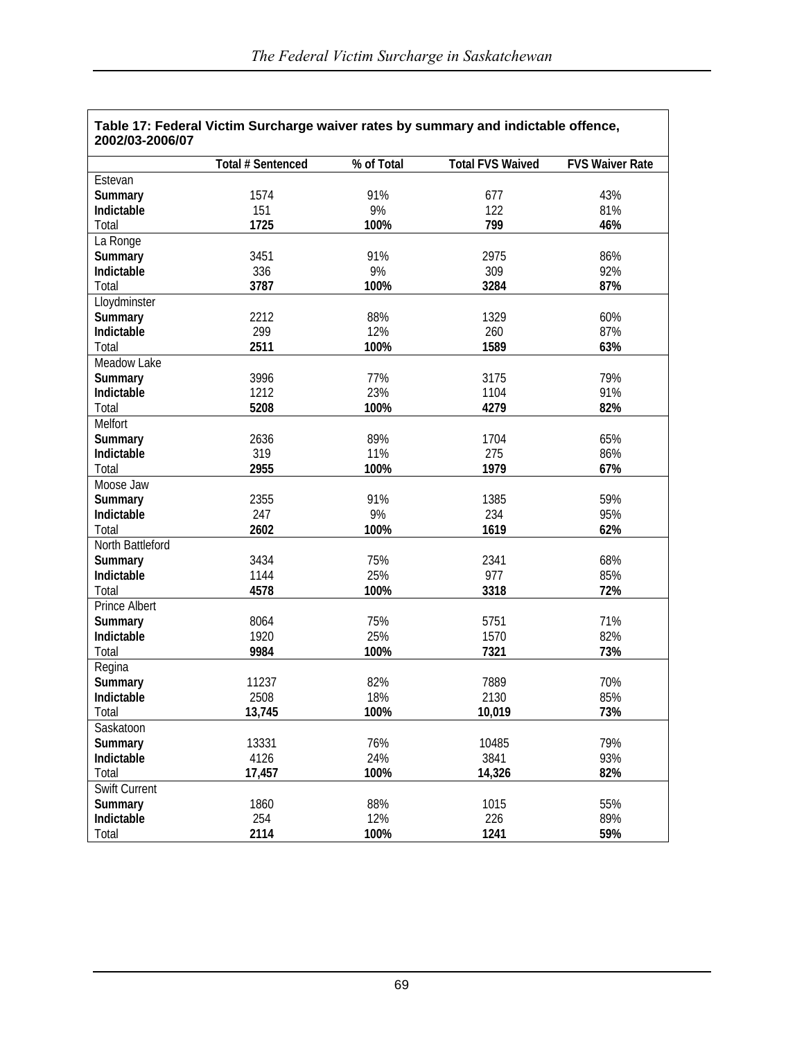Ī

 $\overline{\phantom{a}}$ 

| Table 17: Federal Victim Surcharge waiver rates by summary and indictable offence,<br>2002/03-2006/07 |                          |            |                         |                        |
|-------------------------------------------------------------------------------------------------------|--------------------------|------------|-------------------------|------------------------|
|                                                                                                       | <b>Total # Sentenced</b> | % of Total | <b>Total FVS Waived</b> | <b>FVS Waiver Rate</b> |
| Estevan                                                                                               |                          |            |                         |                        |
| Summary                                                                                               | 1574                     | 91%        | 677                     | 43%                    |
| Indictable                                                                                            | 151                      | 9%         | 122                     | 81%                    |
| Total                                                                                                 | 1725                     | 100%       | 799                     | 46%                    |
| La Ronge                                                                                              |                          |            |                         |                        |
| Summary                                                                                               | 3451                     | 91%        | 2975                    | 86%                    |
| Indictable                                                                                            | 336                      | 9%         | 309                     | 92%                    |
| Total                                                                                                 | 3787                     | 100%       | 3284                    | 87%                    |
| Lloydminster                                                                                          |                          |            |                         |                        |
| Summary                                                                                               | 2212                     | 88%        | 1329                    | 60%                    |
| Indictable                                                                                            | 299                      | 12%        | 260                     | 87%                    |
| Total                                                                                                 | 2511                     | 100%       | 1589                    | 63%                    |
| Meadow Lake                                                                                           |                          |            |                         |                        |
| Summary                                                                                               | 3996                     | 77%        | 3175                    | 79%                    |
| Indictable                                                                                            | 1212                     | 23%        | 1104                    | 91%                    |
| Total                                                                                                 | 5208                     | 100%       | 4279                    | 82%                    |
| Melfort                                                                                               |                          |            |                         |                        |
| Summary                                                                                               | 2636                     | 89%        | 1704                    | 65%                    |
| Indictable                                                                                            | 319                      | 11%        | 275                     | 86%                    |
| Total                                                                                                 | 2955                     | 100%       | 1979                    | 67%                    |
| Moose Jaw                                                                                             |                          |            |                         |                        |
| Summary                                                                                               | 2355                     | 91%        | 1385                    | 59%                    |
| Indictable                                                                                            | 247                      | 9%         | 234                     | 95%                    |
| Total                                                                                                 | 2602                     | 100%       | 1619                    | 62%                    |
| North Battleford                                                                                      |                          |            |                         |                        |
| Summary                                                                                               | 3434                     | 75%        | 2341                    | 68%                    |
| Indictable                                                                                            | 1144                     | 25%        | 977                     | 85%                    |
| Total                                                                                                 | 4578                     | 100%       | 3318                    | 72%                    |
| Prince Albert                                                                                         |                          |            |                         |                        |
| Summary                                                                                               | 8064                     | 75%        | 5751                    | 71%                    |
| Indictable                                                                                            | 1920                     | 25%        | 1570                    | 82%                    |
| Total                                                                                                 | 9984                     | 100%       | 7321                    | 73%                    |
| Regina                                                                                                |                          |            |                         |                        |
| Summary                                                                                               | 11237                    | 82%        | 7889                    | 70%                    |
| Indictable                                                                                            | 2508                     | 18%        | 2130                    | 85%                    |
| Total                                                                                                 | 13,745                   | 100%       | 10,019                  | 73%                    |
| Saskatoon                                                                                             |                          |            |                         |                        |
|                                                                                                       | 13331                    | 76%        | 10485                   | 79%                    |
| Summary<br>Indictable                                                                                 | 4126                     | 24%        | 3841                    | 93%                    |
|                                                                                                       |                          | 100%       |                         |                        |
| Total                                                                                                 | 17,457                   |            | 14,326                  | 82%                    |
| Swift Current                                                                                         |                          |            |                         |                        |
| Summary<br>Indictable                                                                                 | 1860                     | 88%        | 1015                    | 55%                    |
|                                                                                                       | 254                      | 12%        | 226                     | 89%                    |
| Total                                                                                                 | 2114                     | 100%       | 1241                    | 59%                    |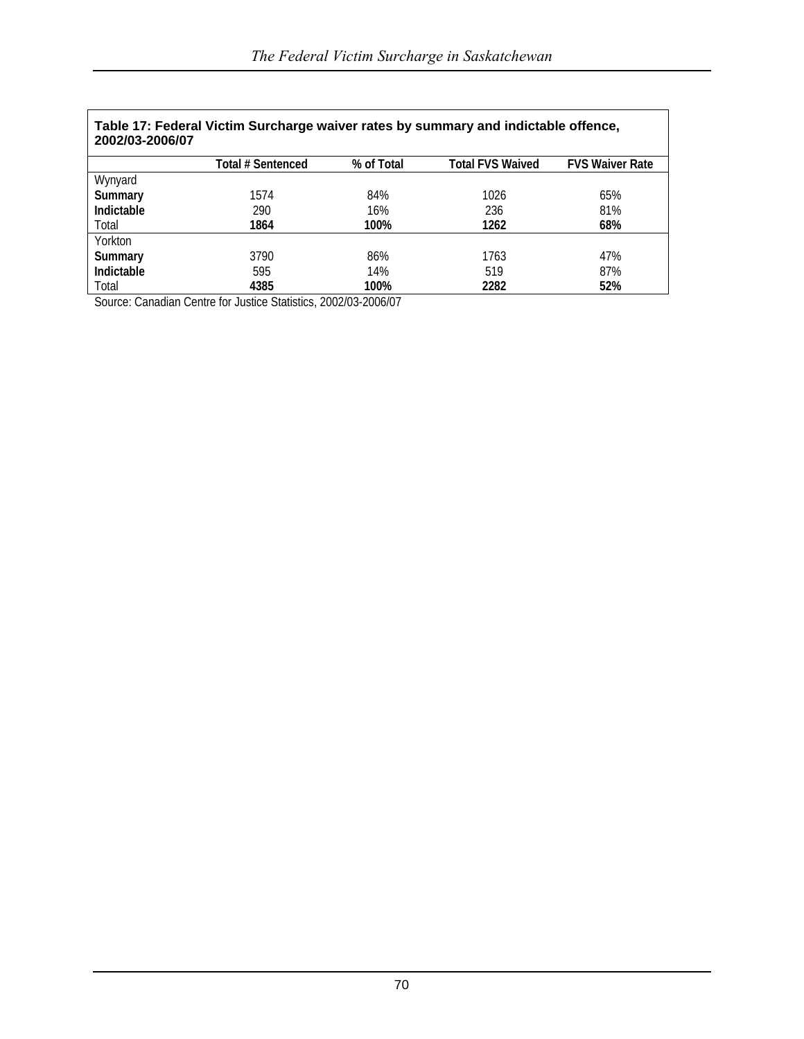| Table 17: Federal Victim Surcharge waiver rates by summary and indictable offence,<br>2002/03-2006/07 |                   |            |                         |                        |
|-------------------------------------------------------------------------------------------------------|-------------------|------------|-------------------------|------------------------|
|                                                                                                       | Total # Sentenced | % of Total | <b>Total FVS Waived</b> | <b>FVS Waiver Rate</b> |
| Wynyard                                                                                               |                   |            |                         |                        |
| Summary                                                                                               | 1574              | 84%        | 1026                    | 65%                    |
| Indictable                                                                                            | 290               | 16%        | 236                     | 81%                    |
| Total                                                                                                 | 1864              | 100%       | 1262                    | 68%                    |
| Yorkton                                                                                               |                   |            |                         |                        |
| Summary                                                                                               | 3790              | 86%        | 1763                    | 47%                    |
| Indictable                                                                                            | 595               | 14%        | 519                     | 87%                    |
| Total                                                                                                 | 4385              | 100%       | 2282                    | 52%                    |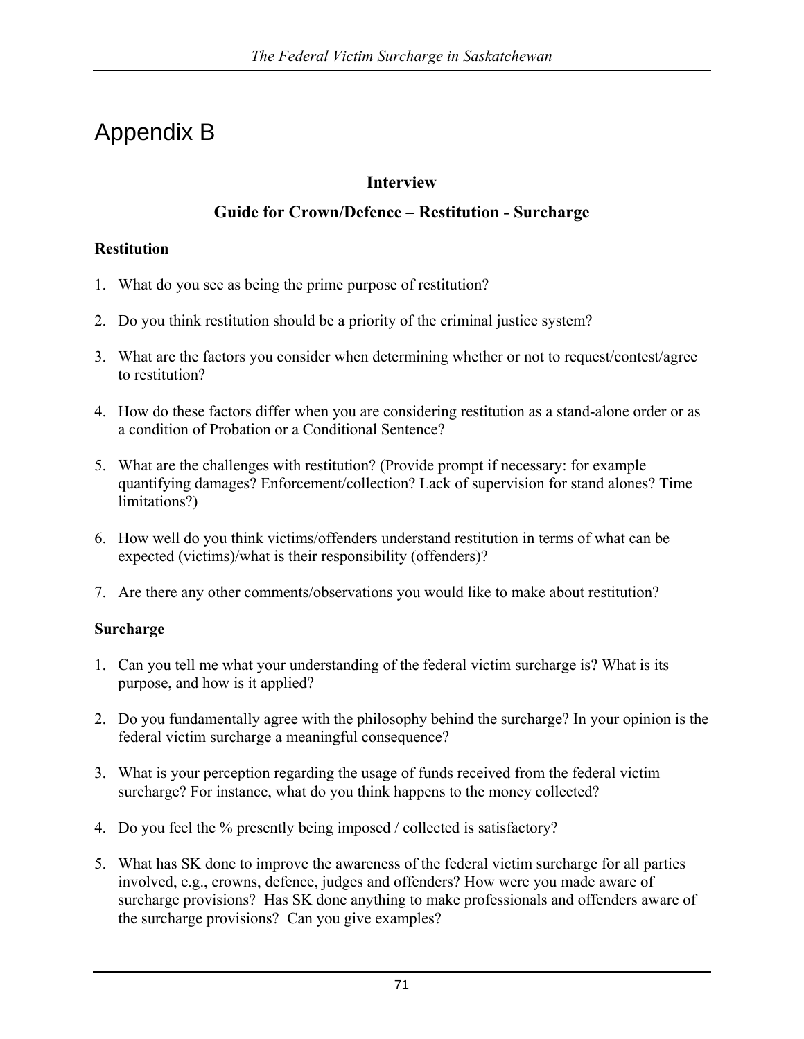# Appendix B

## **Interview**

## **Guide for Crown/Defence – Restitution - Surcharge**

## **Restitution**

- 1. What do you see as being the prime purpose of restitution?
- 2. Do you think restitution should be a priority of the criminal justice system?
- 3. What are the factors you consider when determining whether or not to request/contest/agree to restitution?
- 4. How do these factors differ when you are considering restitution as a stand-alone order or as a condition of Probation or a Conditional Sentence?
- 5. What are the challenges with restitution? (Provide prompt if necessary: for example quantifying damages? Enforcement/collection? Lack of supervision for stand alones? Time limitations?)
- 6. How well do you think victims/offenders understand restitution in terms of what can be expected (victims)/what is their responsibility (offenders)?
- 7. Are there any other comments/observations you would like to make about restitution?

## **Surcharge**

- 1. Can you tell me what your understanding of the federal victim surcharge is? What is its purpose, and how is it applied?
- 2. Do you fundamentally agree with the philosophy behind the surcharge? In your opinion is the federal victim surcharge a meaningful consequence?
- 3. What is your perception regarding the usage of funds received from the federal victim surcharge? For instance, what do you think happens to the money collected?
- 4. Do you feel the % presently being imposed / collected is satisfactory?
- 5. What has SK done to improve the awareness of the federal victim surcharge for all parties involved, e.g., crowns, defence, judges and offenders? How were you made aware of surcharge provisions? Has SK done anything to make professionals and offenders aware of the surcharge provisions? Can you give examples?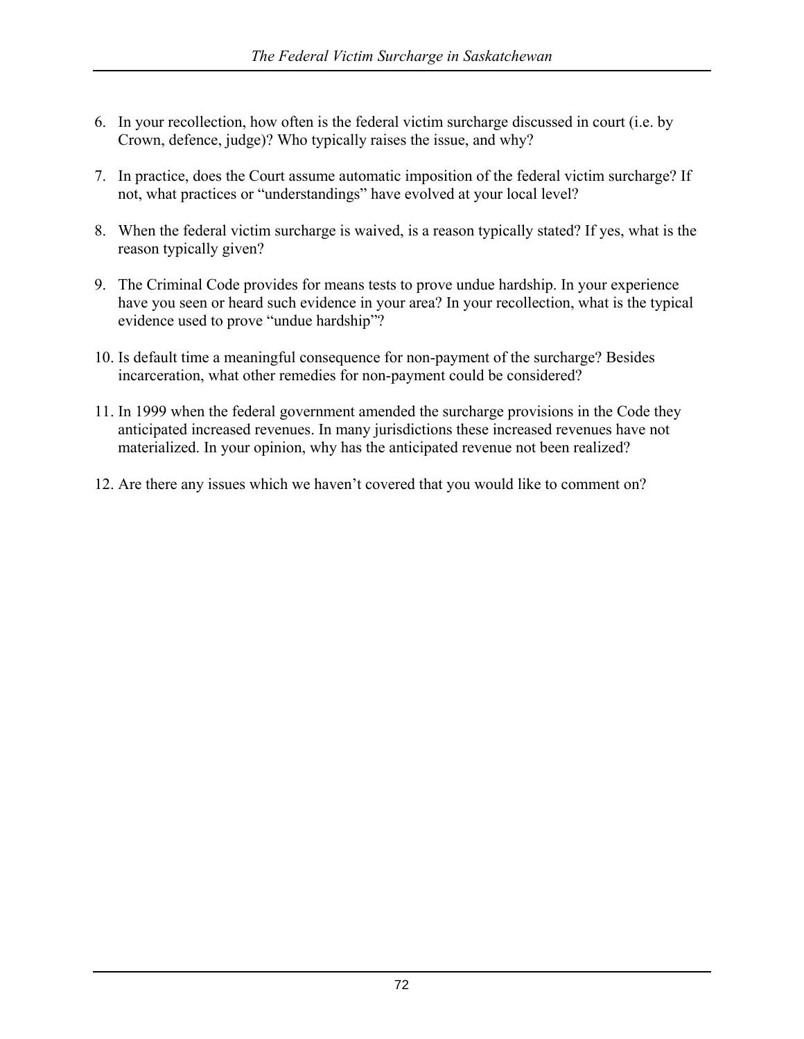- 6. In your recollection, how often is the federal victim surcharge discussed in court (i.e. by Crown, defence, judge)? Who typically raises the issue, and why?
- 7. In practice, does the Court assume automatic imposition of the federal victim surcharge? If not, what practices or "understandings" have evolved at your local level?
- 8. When the federal victim surcharge is waived, is a reason typically stated? If yes, what is the reason typically given?
- 9. The Criminal Code provides for means tests to prove undue hardship. In your experience have you seen or heard such evidence in your area? In your recollection, what is the typical evidence used to prove "undue hardship"?
- 10. Is default time a meaningful consequence for non-payment of the surcharge? Besides incarceration, what other remedies for non-payment could be considered?
- 11. In 1999 when the federal government amended the surcharge provisions in the Code they anticipated increased revenues. In many jurisdictions these increased revenues have not materialized. In your opinion, why has the anticipated revenue not been realized?
- 12. Are there any issues which we haven't covered that you would like to comment on?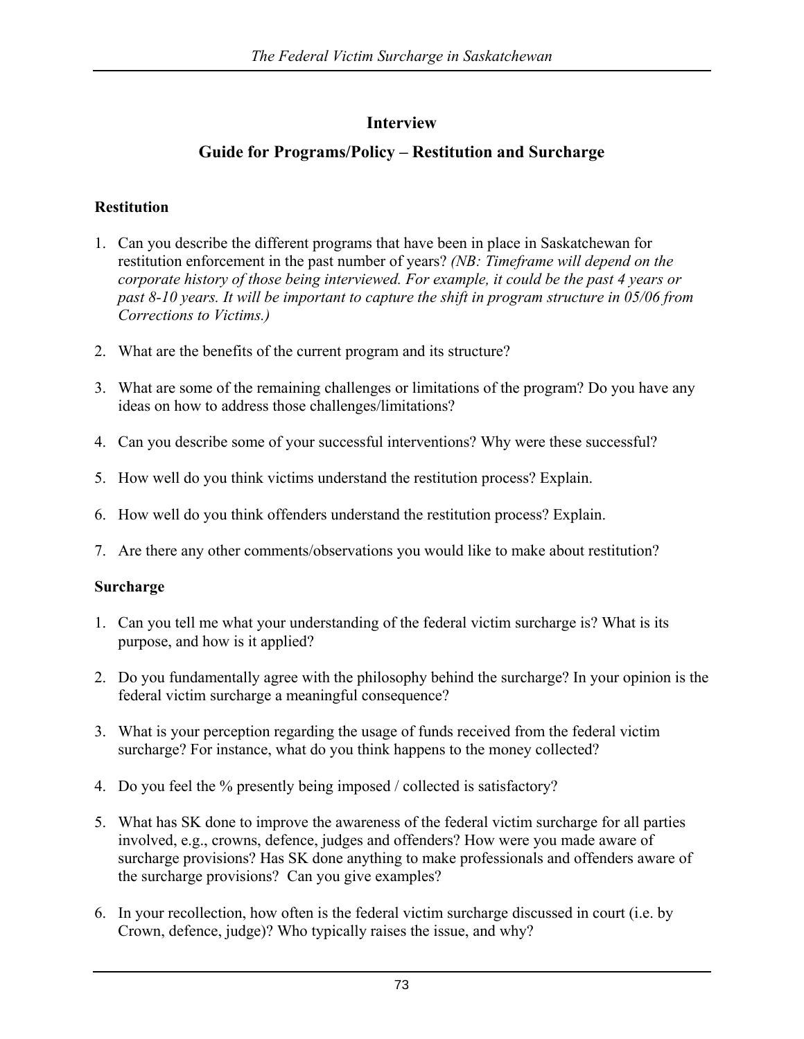## **Interview**

# **Guide for Programs/Policy – Restitution and Surcharge**

#### **Restitution**

- 1. Can you describe the different programs that have been in place in Saskatchewan for restitution enforcement in the past number of years? *(NB: Timeframe will depend on the corporate history of those being interviewed. For example, it could be the past 4 years or past 8-10 years. It will be important to capture the shift in program structure in 05/06 from Corrections to Victims.)*
- 2. What are the benefits of the current program and its structure?
- 3. What are some of the remaining challenges or limitations of the program? Do you have any ideas on how to address those challenges/limitations?
- 4. Can you describe some of your successful interventions? Why were these successful?
- 5. How well do you think victims understand the restitution process? Explain.
- 6. How well do you think offenders understand the restitution process? Explain.
- 7. Are there any other comments/observations you would like to make about restitution?

## **Surcharge**

- 1. Can you tell me what your understanding of the federal victim surcharge is? What is its purpose, and how is it applied?
- 2. Do you fundamentally agree with the philosophy behind the surcharge? In your opinion is the federal victim surcharge a meaningful consequence?
- 3. What is your perception regarding the usage of funds received from the federal victim surcharge? For instance, what do you think happens to the money collected?
- 4. Do you feel the % presently being imposed / collected is satisfactory?
- 5. What has SK done to improve the awareness of the federal victim surcharge for all parties involved, e.g., crowns, defence, judges and offenders? How were you made aware of surcharge provisions? Has SK done anything to make professionals and offenders aware of the surcharge provisions? Can you give examples?
- 6. In your recollection, how often is the federal victim surcharge discussed in court (i.e. by Crown, defence, judge)? Who typically raises the issue, and why?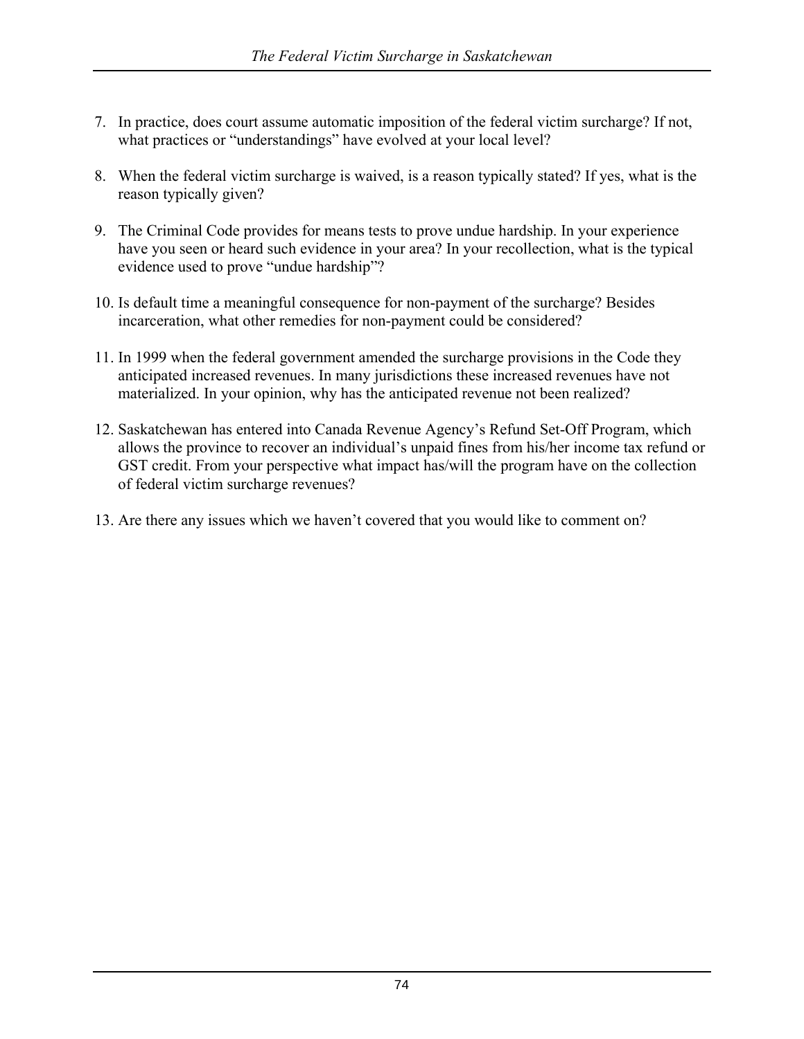- 7. In practice, does court assume automatic imposition of the federal victim surcharge? If not, what practices or "understandings" have evolved at your local level?
- 8. When the federal victim surcharge is waived, is a reason typically stated? If yes, what is the reason typically given?
- 9. The Criminal Code provides for means tests to prove undue hardship. In your experience have you seen or heard such evidence in your area? In your recollection, what is the typical evidence used to prove "undue hardship"?
- 10. Is default time a meaningful consequence for non-payment of the surcharge? Besides incarceration, what other remedies for non-payment could be considered?
- 11. In 1999 when the federal government amended the surcharge provisions in the Code they anticipated increased revenues. In many jurisdictions these increased revenues have not materialized. In your opinion, why has the anticipated revenue not been realized?
- 12. Saskatchewan has entered into Canada Revenue Agency's Refund Set-Off Program, which allows the province to recover an individual's unpaid fines from his/her income tax refund or GST credit. From your perspective what impact has/will the program have on the collection of federal victim surcharge revenues?
- 13. Are there any issues which we haven't covered that you would like to comment on?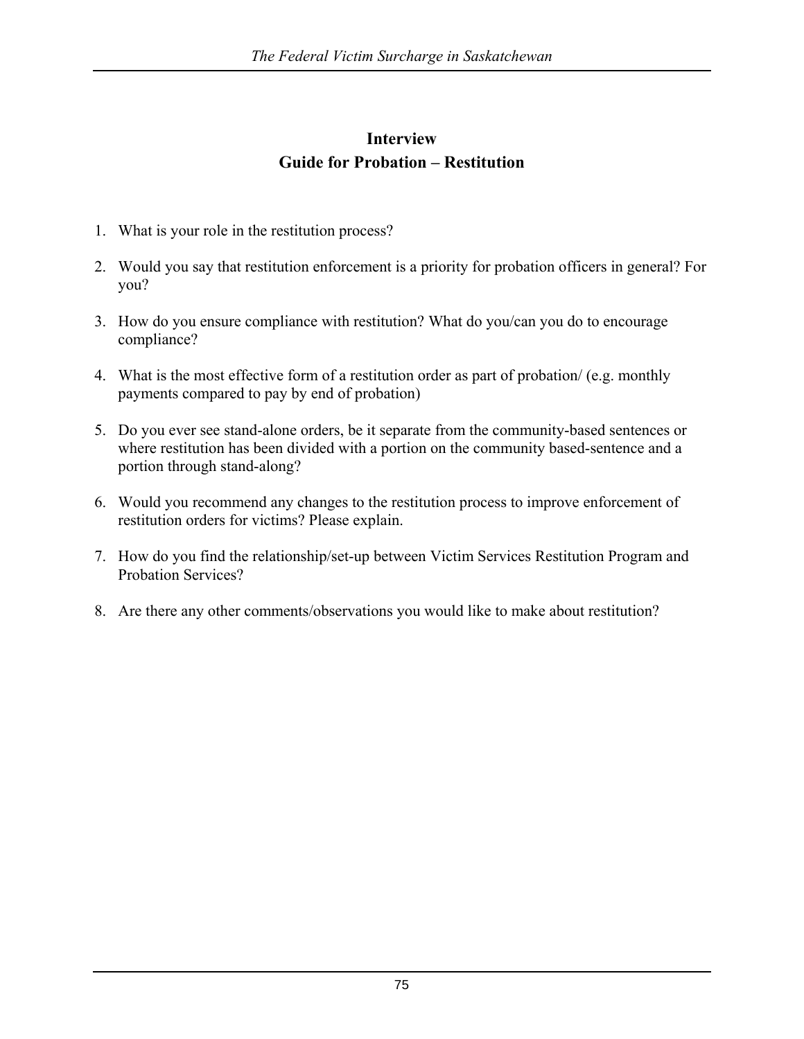# **Interview Guide for Probation – Restitution**

- 1. What is your role in the restitution process?
- 2. Would you say that restitution enforcement is a priority for probation officers in general? For you?
- 3. How do you ensure compliance with restitution? What do you/can you do to encourage compliance?
- 4. What is the most effective form of a restitution order as part of probation/ (e.g. monthly payments compared to pay by end of probation)
- 5. Do you ever see stand-alone orders, be it separate from the community-based sentences or where restitution has been divided with a portion on the community based-sentence and a portion through stand-along?
- 6. Would you recommend any changes to the restitution process to improve enforcement of restitution orders for victims? Please explain.
- 7. How do you find the relationship/set-up between Victim Services Restitution Program and Probation Services?
- 8. Are there any other comments/observations you would like to make about restitution?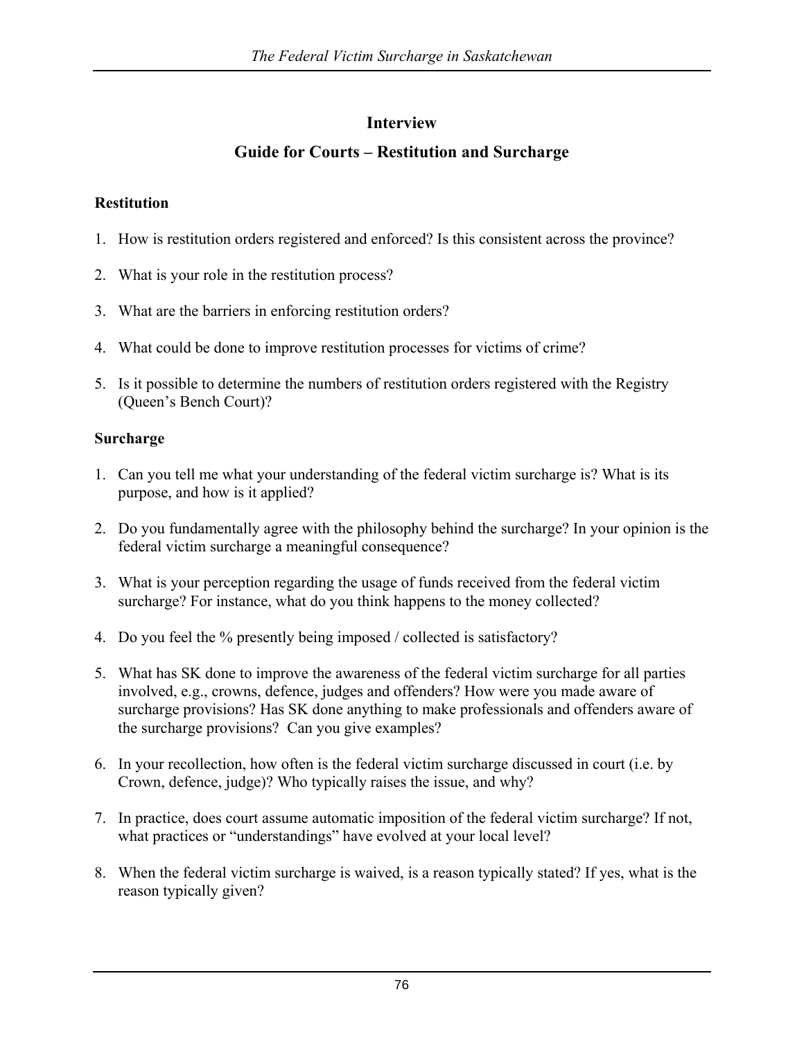#### **Interview**

# **Guide for Courts – Restitution and Surcharge**

#### **Restitution**

- 1. How is restitution orders registered and enforced? Is this consistent across the province?
- 2. What is your role in the restitution process?
- 3. What are the barriers in enforcing restitution orders?
- 4. What could be done to improve restitution processes for victims of crime?
- 5. Is it possible to determine the numbers of restitution orders registered with the Registry (Queen's Bench Court)?

#### **Surcharge**

- 1. Can you tell me what your understanding of the federal victim surcharge is? What is its purpose, and how is it applied?
- 2. Do you fundamentally agree with the philosophy behind the surcharge? In your opinion is the federal victim surcharge a meaningful consequence?
- 3. What is your perception regarding the usage of funds received from the federal victim surcharge? For instance, what do you think happens to the money collected?
- 4. Do you feel the % presently being imposed / collected is satisfactory?
- 5. What has SK done to improve the awareness of the federal victim surcharge for all parties involved, e.g., crowns, defence, judges and offenders? How were you made aware of surcharge provisions? Has SK done anything to make professionals and offenders aware of the surcharge provisions? Can you give examples?
- 6. In your recollection, how often is the federal victim surcharge discussed in court (i.e. by Crown, defence, judge)? Who typically raises the issue, and why?
- 7. In practice, does court assume automatic imposition of the federal victim surcharge? If not, what practices or "understandings" have evolved at your local level?
- 8. When the federal victim surcharge is waived, is a reason typically stated? If yes, what is the reason typically given?